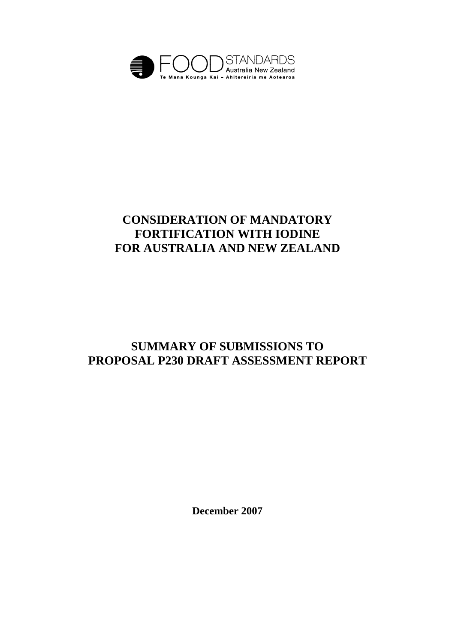

# **CONSIDERATION OF MANDATORY FORTIFICATION WITH IODINE FOR AUSTRALIA AND NEW ZEALAND**

# **SUMMARY OF SUBMISSIONS TO PROPOSAL P230 DRAFT ASSESSMENT REPORT**

**December 2007**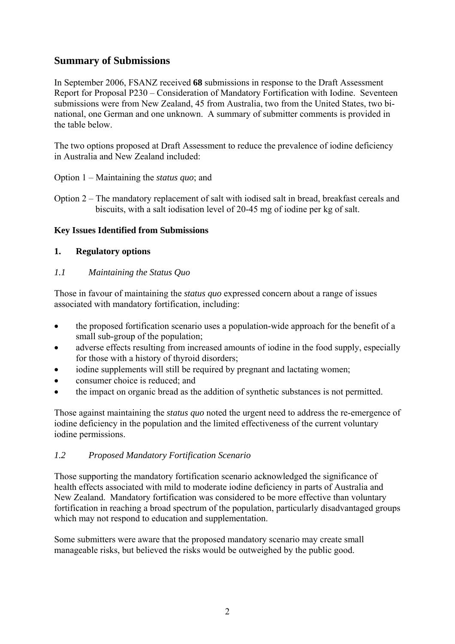## **Summary of Submissions**

In September 2006, FSANZ received **68** submissions in response to the Draft Assessment Report for Proposal P230 – Consideration of Mandatory Fortification with Iodine. Seventeen submissions were from New Zealand, 45 from Australia, two from the United States, two binational, one German and one unknown. A summary of submitter comments is provided in the table below.

The two options proposed at Draft Assessment to reduce the prevalence of iodine deficiency in Australia and New Zealand included:

Option 1 – Maintaining the *status quo*; and

Option 2 – The mandatory replacement of salt with iodised salt in bread, breakfast cereals and biscuits, with a salt iodisation level of 20-45 mg of iodine per kg of salt.

#### **Key Issues Identified from Submissions**

#### **1. Regulatory options**

#### *1.1 Maintaining the Status Quo*

Those in favour of maintaining the *status quo* expressed concern about a range of issues associated with mandatory fortification, including:

- the proposed fortification scenario uses a population-wide approach for the benefit of a small sub-group of the population;
- adverse effects resulting from increased amounts of iodine in the food supply, especially for those with a history of thyroid disorders;
- iodine supplements will still be required by pregnant and lactating women;
- consumer choice is reduced; and
- the impact on organic bread as the addition of synthetic substances is not permitted.

Those against maintaining the *status quo* noted the urgent need to address the re-emergence of iodine deficiency in the population and the limited effectiveness of the current voluntary iodine permissions.

#### *1.2 Proposed Mandatory Fortification Scenario*

Those supporting the mandatory fortification scenario acknowledged the significance of health effects associated with mild to moderate iodine deficiency in parts of Australia and New Zealand. Mandatory fortification was considered to be more effective than voluntary fortification in reaching a broad spectrum of the population, particularly disadvantaged groups which may not respond to education and supplementation.

Some submitters were aware that the proposed mandatory scenario may create small manageable risks, but believed the risks would be outweighed by the public good.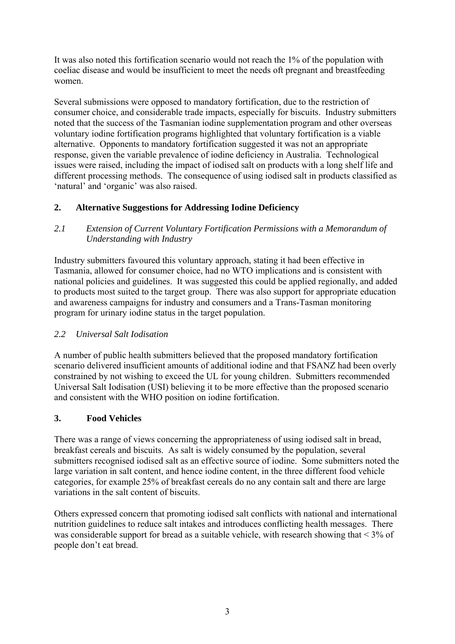It was also noted this fortification scenario would not reach the 1% of the population with coeliac disease and would be insufficient to meet the needs oft pregnant and breastfeeding women.

Several submissions were opposed to mandatory fortification, due to the restriction of consumer choice, and considerable trade impacts, especially for biscuits. Industry submitters noted that the success of the Tasmanian iodine supplementation program and other overseas voluntary iodine fortification programs highlighted that voluntary fortification is a viable alternative. Opponents to mandatory fortification suggested it was not an appropriate response, given the variable prevalence of iodine deficiency in Australia. Technological issues were raised, including the impact of iodised salt on products with a long shelf life and different processing methods. The consequence of using iodised salt in products classified as 'natural' and 'organic' was also raised.

## **2. Alternative Suggestions for Addressing Iodine Deficiency**

#### *2.1 Extension of Current Voluntary Fortification Permissions with a Memorandum of Understanding with Industry*

Industry submitters favoured this voluntary approach, stating it had been effective in Tasmania, allowed for consumer choice, had no WTO implications and is consistent with national policies and guidelines. It was suggested this could be applied regionally, and added to products most suited to the target group. There was also support for appropriate education and awareness campaigns for industry and consumers and a Trans-Tasman monitoring program for urinary iodine status in the target population.

#### *2.2 Universal Salt Iodisation*

A number of public health submitters believed that the proposed mandatory fortification scenario delivered insufficient amounts of additional iodine and that FSANZ had been overly constrained by not wishing to exceed the UL for young children. Submitters recommended Universal Salt Iodisation (USI) believing it to be more effective than the proposed scenario and consistent with the WHO position on iodine fortification.

## **3. Food Vehicles**

There was a range of views concerning the appropriateness of using iodised salt in bread, breakfast cereals and biscuits. As salt is widely consumed by the population, several submitters recognised iodised salt as an effective source of iodine. Some submitters noted the large variation in salt content, and hence iodine content, in the three different food vehicle categories, for example 25% of breakfast cereals do no any contain salt and there are large variations in the salt content of biscuits.

Others expressed concern that promoting iodised salt conflicts with national and international nutrition guidelines to reduce salt intakes and introduces conflicting health messages. There was considerable support for bread as a suitable vehicle, with research showing that < 3% of people don't eat bread.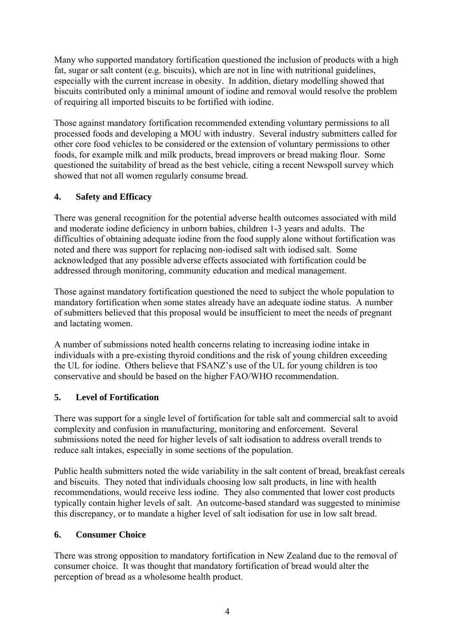Many who supported mandatory fortification questioned the inclusion of products with a high fat, sugar or salt content (e.g. biscuits), which are not in line with nutritional guidelines, especially with the current increase in obesity. In addition, dietary modelling showed that biscuits contributed only a minimal amount of iodine and removal would resolve the problem of requiring all imported biscuits to be fortified with iodine.

Those against mandatory fortification recommended extending voluntary permissions to all processed foods and developing a MOU with industry. Several industry submitters called for other core food vehicles to be considered or the extension of voluntary permissions to other foods, for example milk and milk products, bread improvers or bread making flour. Some questioned the suitability of bread as the best vehicle, citing a recent Newspoll survey which showed that not all women regularly consume bread.

## **4. Safety and Efficacy**

There was general recognition for the potential adverse health outcomes associated with mild and moderate iodine deficiency in unborn babies, children 1-3 years and adults. The difficulties of obtaining adequate iodine from the food supply alone without fortification was noted and there was support for replacing non-iodised salt with iodised salt. Some acknowledged that any possible adverse effects associated with fortification could be addressed through monitoring, community education and medical management.

Those against mandatory fortification questioned the need to subject the whole population to mandatory fortification when some states already have an adequate iodine status. A number of submitters believed that this proposal would be insufficient to meet the needs of pregnant and lactating women.

A number of submissions noted health concerns relating to increasing iodine intake in individuals with a pre-existing thyroid conditions and the risk of young children exceeding the UL for iodine. Others believe that FSANZ's use of the UL for young children is too conservative and should be based on the higher FAO/WHO recommendation.

## **5. Level of Fortification**

There was support for a single level of fortification for table salt and commercial salt to avoid complexity and confusion in manufacturing, monitoring and enforcement. Several submissions noted the need for higher levels of salt iodisation to address overall trends to reduce salt intakes, especially in some sections of the population.

Public health submitters noted the wide variability in the salt content of bread, breakfast cereals and biscuits. They noted that individuals choosing low salt products, in line with health recommendations, would receive less iodine. They also commented that lower cost products typically contain higher levels of salt. An outcome-based standard was suggested to minimise this discrepancy, or to mandate a higher level of salt iodisation for use in low salt bread.

#### **6. Consumer Choice**

There was strong opposition to mandatory fortification in New Zealand due to the removal of consumer choice. It was thought that mandatory fortification of bread would alter the perception of bread as a wholesome health product.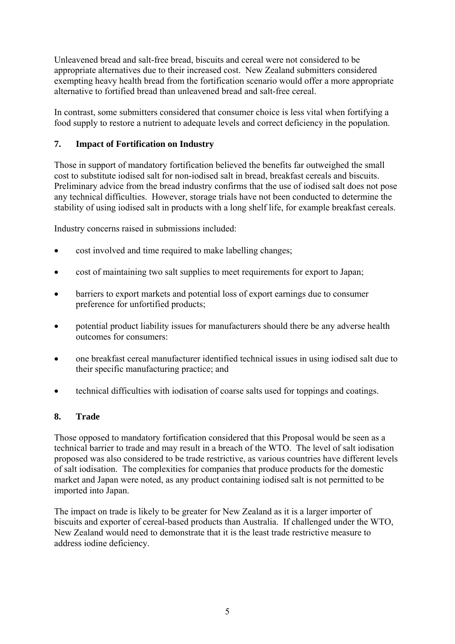Unleavened bread and salt-free bread, biscuits and cereal were not considered to be appropriate alternatives due to their increased cost. New Zealand submitters considered exempting heavy health bread from the fortification scenario would offer a more appropriate alternative to fortified bread than unleavened bread and salt-free cereal.

In contrast, some submitters considered that consumer choice is less vital when fortifying a food supply to restore a nutrient to adequate levels and correct deficiency in the population.

## **7. Impact of Fortification on Industry**

Those in support of mandatory fortification believed the benefits far outweighed the small cost to substitute iodised salt for non-iodised salt in bread, breakfast cereals and biscuits. Preliminary advice from the bread industry confirms that the use of iodised salt does not pose any technical difficulties. However, storage trials have not been conducted to determine the stability of using iodised salt in products with a long shelf life, for example breakfast cereals.

Industry concerns raised in submissions included:

- cost involved and time required to make labelling changes;
- cost of maintaining two salt supplies to meet requirements for export to Japan;
- barriers to export markets and potential loss of export earnings due to consumer preference for unfortified products;
- potential product liability issues for manufacturers should there be any adverse health outcomes for consumers:
- one breakfast cereal manufacturer identified technical issues in using iodised salt due to their specific manufacturing practice; and
- technical difficulties with iodisation of coarse salts used for toppings and coatings.

#### **8. Trade**

Those opposed to mandatory fortification considered that this Proposal would be seen as a technical barrier to trade and may result in a breach of the WTO. The level of salt iodisation proposed was also considered to be trade restrictive, as various countries have different levels of salt iodisation. The complexities for companies that produce products for the domestic market and Japan were noted, as any product containing iodised salt is not permitted to be imported into Japan.

The impact on trade is likely to be greater for New Zealand as it is a larger importer of biscuits and exporter of cereal-based products than Australia. If challenged under the WTO, New Zealand would need to demonstrate that it is the least trade restrictive measure to address iodine deficiency.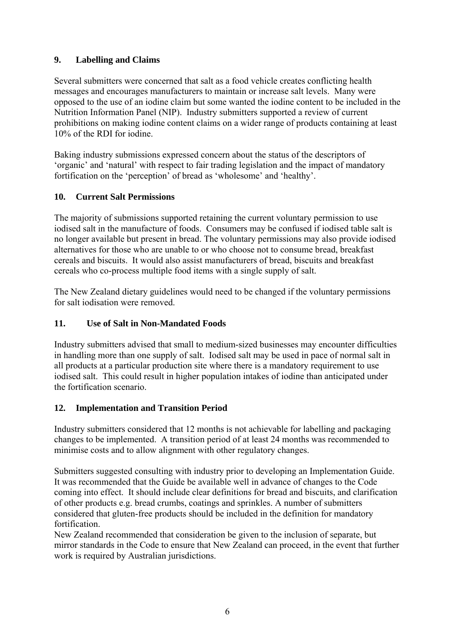## **9. Labelling and Claims**

Several submitters were concerned that salt as a food vehicle creates conflicting health messages and encourages manufacturers to maintain or increase salt levels. Many were opposed to the use of an iodine claim but some wanted the iodine content to be included in the Nutrition Information Panel (NIP). Industry submitters supported a review of current prohibitions on making iodine content claims on a wider range of products containing at least 10% of the RDI for iodine.

Baking industry submissions expressed concern about the status of the descriptors of 'organic' and 'natural' with respect to fair trading legislation and the impact of mandatory fortification on the 'perception' of bread as 'wholesome' and 'healthy'.

#### **10. Current Salt Permissions**

The majority of submissions supported retaining the current voluntary permission to use iodised salt in the manufacture of foods. Consumers may be confused if iodised table salt is no longer available but present in bread. The voluntary permissions may also provide iodised alternatives for those who are unable to or who choose not to consume bread, breakfast cereals and biscuits. It would also assist manufacturers of bread, biscuits and breakfast cereals who co-process multiple food items with a single supply of salt.

The New Zealand dietary guidelines would need to be changed if the voluntary permissions for salt iodisation were removed.

### **11. Use of Salt in Non-Mandated Foods**

Industry submitters advised that small to medium-sized businesses may encounter difficulties in handling more than one supply of salt. Iodised salt may be used in pace of normal salt in all products at a particular production site where there is a mandatory requirement to use iodised salt. This could result in higher population intakes of iodine than anticipated under the fortification scenario.

#### **12. Implementation and Transition Period**

Industry submitters considered that 12 months is not achievable for labelling and packaging changes to be implemented. A transition period of at least 24 months was recommended to minimise costs and to allow alignment with other regulatory changes.

Submitters suggested consulting with industry prior to developing an Implementation Guide. It was recommended that the Guide be available well in advance of changes to the Code coming into effect. It should include clear definitions for bread and biscuits, and clarification of other products e.g. bread crumbs, coatings and sprinkles. A number of submitters considered that gluten-free products should be included in the definition for mandatory fortification.

New Zealand recommended that consideration be given to the inclusion of separate, but mirror standards in the Code to ensure that New Zealand can proceed, in the event that further work is required by Australian jurisdictions.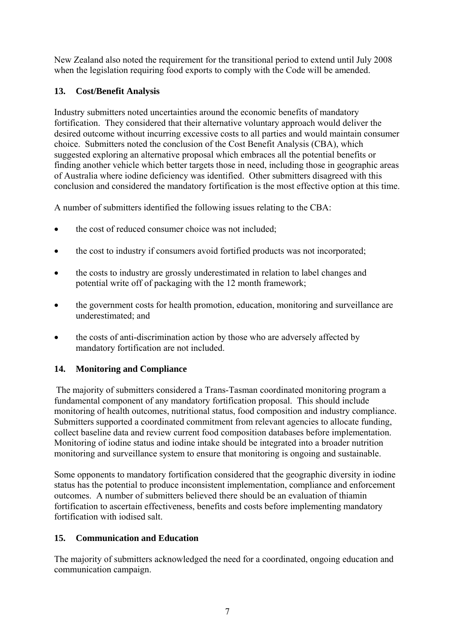New Zealand also noted the requirement for the transitional period to extend until July 2008 when the legislation requiring food exports to comply with the Code will be amended.

## **13. Cost/Benefit Analysis**

Industry submitters noted uncertainties around the economic benefits of mandatory fortification. They considered that their alternative voluntary approach would deliver the desired outcome without incurring excessive costs to all parties and would maintain consumer choice. Submitters noted the conclusion of the Cost Benefit Analysis (CBA), which suggested exploring an alternative proposal which embraces all the potential benefits or finding another vehicle which better targets those in need, including those in geographic areas of Australia where iodine deficiency was identified. Other submitters disagreed with this conclusion and considered the mandatory fortification is the most effective option at this time.

A number of submitters identified the following issues relating to the CBA:

- the cost of reduced consumer choice was not included;
- the cost to industry if consumers avoid fortified products was not incorporated;
- the costs to industry are grossly underestimated in relation to label changes and potential write off of packaging with the 12 month framework;
- the government costs for health promotion, education, monitoring and surveillance are underestimated; and
- the costs of anti-discrimination action by those who are adversely affected by mandatory fortification are not included.

## **14. Monitoring and Compliance**

The majority of submitters considered a Trans-Tasman coordinated monitoring program a fundamental component of any mandatory fortification proposal. This should include monitoring of health outcomes, nutritional status, food composition and industry compliance. Submitters supported a coordinated commitment from relevant agencies to allocate funding, collect baseline data and review current food composition databases before implementation. Monitoring of iodine status and iodine intake should be integrated into a broader nutrition monitoring and surveillance system to ensure that monitoring is ongoing and sustainable.

Some opponents to mandatory fortification considered that the geographic diversity in iodine status has the potential to produce inconsistent implementation, compliance and enforcement outcomes. A number of submitters believed there should be an evaluation of thiamin fortification to ascertain effectiveness, benefits and costs before implementing mandatory fortification with iodised salt.

## **15. Communication and Education**

The majority of submitters acknowledged the need for a coordinated, ongoing education and communication campaign.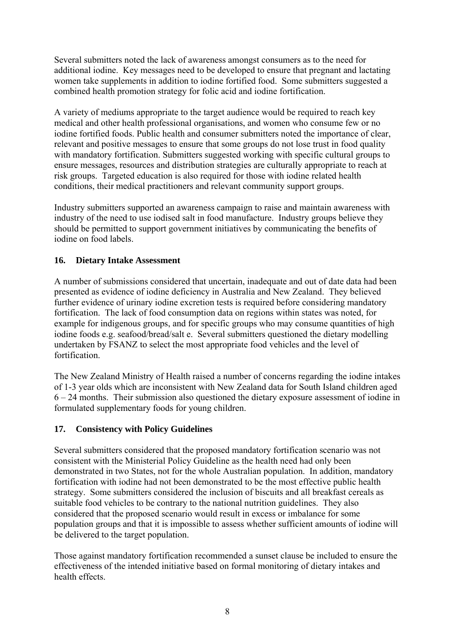Several submitters noted the lack of awareness amongst consumers as to the need for additional iodine. Key messages need to be developed to ensure that pregnant and lactating women take supplements in addition to iodine fortified food. Some submitters suggested a combined health promotion strategy for folic acid and iodine fortification.

A variety of mediums appropriate to the target audience would be required to reach key medical and other health professional organisations, and women who consume few or no iodine fortified foods. Public health and consumer submitters noted the importance of clear, relevant and positive messages to ensure that some groups do not lose trust in food quality with mandatory fortification. Submitters suggested working with specific cultural groups to ensure messages, resources and distribution strategies are culturally appropriate to reach at risk groups. Targeted education is also required for those with iodine related health conditions, their medical practitioners and relevant community support groups.

Industry submitters supported an awareness campaign to raise and maintain awareness with industry of the need to use iodised salt in food manufacture. Industry groups believe they should be permitted to support government initiatives by communicating the benefits of iodine on food labels.

## **16. Dietary Intake Assessment**

A number of submissions considered that uncertain, inadequate and out of date data had been presented as evidence of iodine deficiency in Australia and New Zealand. They believed further evidence of urinary iodine excretion tests is required before considering mandatory fortification. The lack of food consumption data on regions within states was noted, for example for indigenous groups, and for specific groups who may consume quantities of high iodine foods e.g. seafood/bread/salt e. Several submitters questioned the dietary modelling undertaken by FSANZ to select the most appropriate food vehicles and the level of fortification.

The New Zealand Ministry of Health raised a number of concerns regarding the iodine intakes of 1-3 year olds which are inconsistent with New Zealand data for South Island children aged 6 – 24 months. Their submission also questioned the dietary exposure assessment of iodine in formulated supplementary foods for young children.

## **17. Consistency with Policy Guidelines**

Several submitters considered that the proposed mandatory fortification scenario was not consistent with the Ministerial Policy Guideline as the health need had only been demonstrated in two States, not for the whole Australian population. In addition, mandatory fortification with iodine had not been demonstrated to be the most effective public health strategy. Some submitters considered the inclusion of biscuits and all breakfast cereals as suitable food vehicles to be contrary to the national nutrition guidelines. They also considered that the proposed scenario would result in excess or imbalance for some population groups and that it is impossible to assess whether sufficient amounts of iodine will be delivered to the target population.

Those against mandatory fortification recommended a sunset clause be included to ensure the effectiveness of the intended initiative based on formal monitoring of dietary intakes and health effects.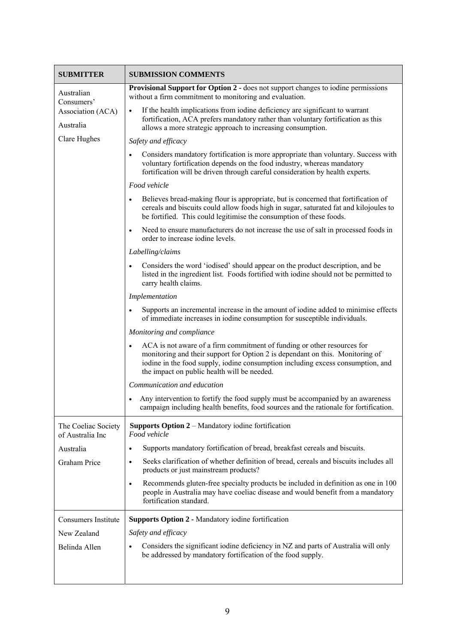| <b>SUBMITTER</b>                             | <b>SUBMISSION COMMENTS</b>                                                                                                                                                                                                                                                                              |
|----------------------------------------------|---------------------------------------------------------------------------------------------------------------------------------------------------------------------------------------------------------------------------------------------------------------------------------------------------------|
| Australian                                   | Provisional Support for Option 2 - does not support changes to iodine permissions<br>without a firm commitment to monitoring and evaluation.                                                                                                                                                            |
| Consumers'<br>Association (ACA)<br>Australia | If the health implications from iodine deficiency are significant to warrant<br>$\bullet$<br>fortification, ACA prefers mandatory rather than voluntary fortification as this<br>allows a more strategic approach to increasing consumption.                                                            |
| Clare Hughes                                 | Safety and efficacy                                                                                                                                                                                                                                                                                     |
|                                              | Considers mandatory fortification is more appropriate than voluntary. Success with<br>$\bullet$<br>voluntary fortification depends on the food industry, whereas mandatory<br>fortification will be driven through careful consideration by health experts.                                             |
|                                              | Food vehicle                                                                                                                                                                                                                                                                                            |
|                                              | Believes bread-making flour is appropriate, but is concerned that fortification of<br>$\bullet$<br>cereals and biscuits could allow foods high in sugar, saturated fat and kilojoules to<br>be fortified. This could legitimise the consumption of these foods.                                         |
|                                              | Need to ensure manufacturers do not increase the use of salt in processed foods in<br>$\bullet$<br>order to increase iodine levels.                                                                                                                                                                     |
|                                              | Labelling/claims                                                                                                                                                                                                                                                                                        |
|                                              | Considers the word 'iodised' should appear on the product description, and be<br>$\bullet$<br>listed in the ingredient list. Foods fortified with iodine should not be permitted to<br>carry health claims.                                                                                             |
|                                              | Implementation                                                                                                                                                                                                                                                                                          |
|                                              | Supports an incremental increase in the amount of iodine added to minimise effects<br>$\bullet$<br>of immediate increases in iodine consumption for susceptible individuals.                                                                                                                            |
|                                              | Monitoring and compliance                                                                                                                                                                                                                                                                               |
|                                              | ACA is not aware of a firm commitment of funding or other resources for<br>$\bullet$<br>monitoring and their support for Option 2 is dependant on this. Monitoring of<br>iodine in the food supply, iodine consumption including excess consumption, and<br>the impact on public health will be needed. |
|                                              | Communication and education                                                                                                                                                                                                                                                                             |
|                                              | Any intervention to fortify the food supply must be accompanied by an awareness<br>$\bullet$<br>campaign including health benefits, food sources and the rationale for fortification.                                                                                                                   |
| The Coeliac Society<br>of Australia Inc      | <b>Supports Option 2</b> – Mandatory iodine fortification<br>Food vehicle                                                                                                                                                                                                                               |
| Australia                                    | Supports mandatory fortification of bread, breakfast cereals and biscuits.<br>$\bullet$                                                                                                                                                                                                                 |
| Graham Price                                 | Seeks clarification of whether definition of bread, cereals and biscuits includes all<br>$\bullet$<br>products or just mainstream products?                                                                                                                                                             |
|                                              | Recommends gluten-free specialty products be included in definition as one in 100<br>$\bullet$<br>people in Australia may have coeliac disease and would benefit from a mandatory<br>fortification standard.                                                                                            |
| <b>Consumers Institute</b>                   | <b>Supports Option 2 - Mandatory iodine fortification</b>                                                                                                                                                                                                                                               |
| New Zealand                                  | Safety and efficacy                                                                                                                                                                                                                                                                                     |
| Belinda Allen                                | Considers the significant iodine deficiency in NZ and parts of Australia will only<br>be addressed by mandatory fortification of the food supply.                                                                                                                                                       |
|                                              |                                                                                                                                                                                                                                                                                                         |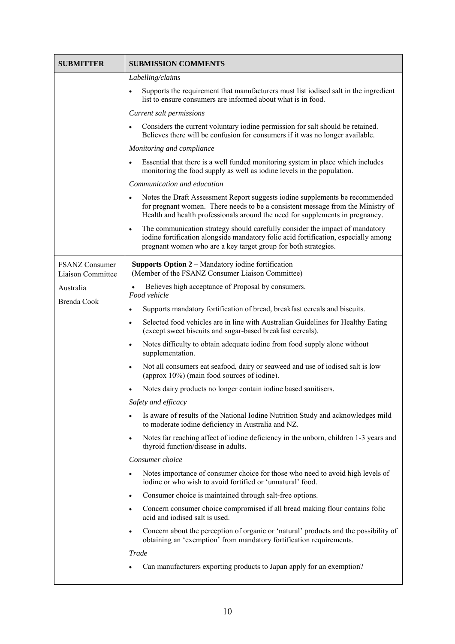| <b>SUBMITTER</b>                           | <b>SUBMISSION COMMENTS</b>                                                                                                                                                                                                                                    |
|--------------------------------------------|---------------------------------------------------------------------------------------------------------------------------------------------------------------------------------------------------------------------------------------------------------------|
|                                            | Labelling/claims                                                                                                                                                                                                                                              |
|                                            | Supports the requirement that manufacturers must list iodised salt in the ingredient<br>$\bullet$<br>list to ensure consumers are informed about what is in food.                                                                                             |
|                                            | Current salt permissions                                                                                                                                                                                                                                      |
|                                            | Considers the current voluntary iodine permission for salt should be retained.<br>$\bullet$<br>Believes there will be confusion for consumers if it was no longer available.                                                                                  |
|                                            | Monitoring and compliance                                                                                                                                                                                                                                     |
|                                            | Essential that there is a well funded monitoring system in place which includes<br>$\bullet$<br>monitoring the food supply as well as iodine levels in the population.                                                                                        |
|                                            | Communication and education                                                                                                                                                                                                                                   |
|                                            | Notes the Draft Assessment Report suggests iodine supplements be recommended<br>$\bullet$<br>for pregnant women. There needs to be a consistent message from the Ministry of<br>Health and health professionals around the need for supplements in pregnancy. |
|                                            | The communication strategy should carefully consider the impact of mandatory<br>$\bullet$<br>iodine fortification alongside mandatory folic acid fortification, especially among<br>pregnant women who are a key target group for both strategies.            |
| <b>FSANZ Consumer</b><br>Liaison Committee | <b>Supports Option 2</b> – Mandatory iodine fortification<br>(Member of the FSANZ Consumer Liaison Committee)                                                                                                                                                 |
| Australia<br>Brenda Cook                   | Believes high acceptance of Proposal by consumers.<br>Food vehicle                                                                                                                                                                                            |
|                                            | Supports mandatory fortification of bread, breakfast cereals and biscuits.<br>$\bullet$                                                                                                                                                                       |
|                                            | Selected food vehicles are in line with Australian Guidelines for Healthy Eating<br>$\bullet$<br>(except sweet biscuits and sugar-based breakfast cereals).                                                                                                   |
|                                            | Notes difficulty to obtain adequate iodine from food supply alone without<br>$\bullet$<br>supplementation.                                                                                                                                                    |
|                                            | Not all consumers eat seafood, dairy or seaweed and use of iodised salt is low<br>$\bullet$<br>(approx 10%) (main food sources of iodine).                                                                                                                    |
|                                            | Notes dairy products no longer contain iodine based sanitisers.<br>٠                                                                                                                                                                                          |
|                                            | Safety and efficacy                                                                                                                                                                                                                                           |
|                                            | Is aware of results of the National Iodine Nutrition Study and acknowledges mild<br>to moderate iodine deficiency in Australia and NZ.                                                                                                                        |
|                                            | Notes far reaching affect of iodine deficiency in the unborn, children 1-3 years and<br>$\bullet$<br>thyroid function/disease in adults.                                                                                                                      |
|                                            | Consumer choice                                                                                                                                                                                                                                               |
|                                            | Notes importance of consumer choice for those who need to avoid high levels of<br>$\bullet$<br>iodine or who wish to avoid fortified or 'unnatural' food.                                                                                                     |
|                                            | Consumer choice is maintained through salt-free options.<br>٠                                                                                                                                                                                                 |
|                                            | Concern consumer choice compromised if all bread making flour contains folic<br>٠<br>acid and iodised salt is used.                                                                                                                                           |
|                                            | Concern about the perception of organic or 'natural' products and the possibility of<br>$\bullet$<br>obtaining an 'exemption' from mandatory fortification requirements.                                                                                      |
|                                            | Trade                                                                                                                                                                                                                                                         |
|                                            | Can manufacturers exporting products to Japan apply for an exemption?<br>$\bullet$                                                                                                                                                                            |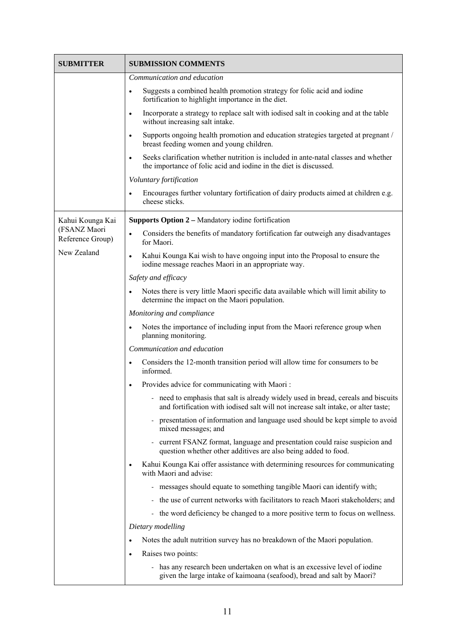| SUBMITTER                        | <b>SUBMISSION COMMENTS</b>                                                                                                                                             |
|----------------------------------|------------------------------------------------------------------------------------------------------------------------------------------------------------------------|
|                                  | Communication and education                                                                                                                                            |
|                                  | Suggests a combined health promotion strategy for folic acid and iodine<br>$\bullet$<br>fortification to highlight importance in the diet.                             |
|                                  | Incorporate a strategy to replace salt with iodised salt in cooking and at the table<br>$\bullet$<br>without increasing salt intake.                                   |
|                                  | Supports ongoing health promotion and education strategies targeted at pregnant /<br>$\bullet$<br>breast feeding women and young children.                             |
|                                  | Seeks clarification whether nutrition is included in ante-natal classes and whether<br>$\bullet$<br>the importance of folic acid and iodine in the diet is discussed.  |
|                                  | Voluntary fortification                                                                                                                                                |
|                                  | Encourages further voluntary fortification of dairy products aimed at children e.g.<br>$\bullet$<br>cheese sticks.                                                     |
| Kahui Kounga Kai                 | <b>Supports Option 2 – Mandatory iodine fortification</b>                                                                                                              |
| (FSANZ Maori<br>Reference Group) | Considers the benefits of mandatory fortification far outweigh any disadvantages<br>$\bullet$<br>for Maori.                                                            |
| New Zealand                      | Kahui Kounga Kai wish to have ongoing input into the Proposal to ensure the<br>$\bullet$<br>iodine message reaches Maori in an appropriate way.                        |
|                                  | Safety and efficacy                                                                                                                                                    |
|                                  | Notes there is very little Maori specific data available which will limit ability to<br>$\bullet$<br>determine the impact on the Maori population.                     |
|                                  | Monitoring and compliance                                                                                                                                              |
|                                  | Notes the importance of including input from the Maori reference group when<br>$\bullet$<br>planning monitoring.                                                       |
|                                  | Communication and education                                                                                                                                            |
|                                  | Considers the 12-month transition period will allow time for consumers to be<br>$\bullet$<br>informed.                                                                 |
|                                  | Provides advice for communicating with Maori:<br>$\bullet$                                                                                                             |
|                                  | need to emphasis that salt is already widely used in bread, cereals and biscuits<br>and fortification with iodised salt will not increase salt intake, or alter taste; |
|                                  | presentation of information and language used should be kept simple to avoid<br>mixed messages; and                                                                    |
|                                  | current FSANZ format, language and presentation could raise suspicion and<br>question whether other additives are also being added to food.                            |
|                                  | Kahui Kounga Kai offer assistance with determining resources for communicating<br>$\bullet$<br>with Maori and advise:                                                  |
|                                  | - messages should equate to something tangible Maori can identify with;                                                                                                |
|                                  | the use of current networks with facilitators to reach Maori stakeholders; and                                                                                         |
|                                  | - the word deficiency be changed to a more positive term to focus on wellness.                                                                                         |
|                                  | Dietary modelling                                                                                                                                                      |
|                                  | Notes the adult nutrition survey has no breakdown of the Maori population.<br>$\bullet$                                                                                |
|                                  | Raises two points:<br>$\bullet$                                                                                                                                        |
|                                  | - has any research been undertaken on what is an excessive level of iodine<br>given the large intake of kaimoana (seafood), bread and salt by Maori?                   |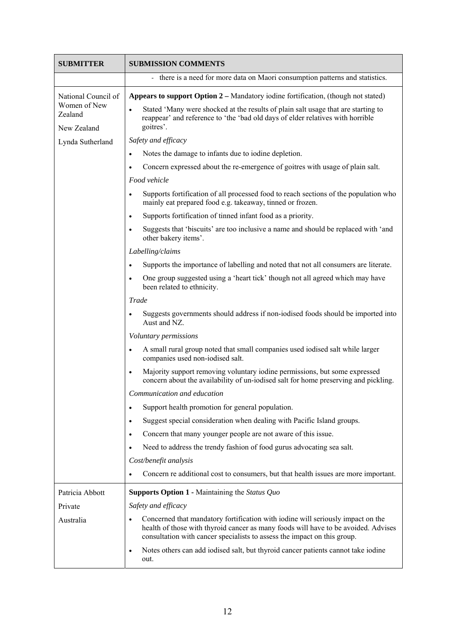| <b>SUBMITTER</b>                                              | <b>SUBMISSION COMMENTS</b>                                                                                                                                                                                                                                     |
|---------------------------------------------------------------|----------------------------------------------------------------------------------------------------------------------------------------------------------------------------------------------------------------------------------------------------------------|
|                                                               | - there is a need for more data on Maori consumption patterns and statistics.                                                                                                                                                                                  |
| National Council of<br>Women of New<br>Zealand<br>New Zealand | Appears to support Option 2 – Mandatory iodine fortification, (though not stated)                                                                                                                                                                              |
|                                                               | Stated 'Many were shocked at the results of plain salt usage that are starting to<br>reappear' and reference to 'the 'bad old days of elder relatives with horrible<br>goitres'.                                                                               |
| Lynda Sutherland                                              | Safety and efficacy                                                                                                                                                                                                                                            |
|                                                               | Notes the damage to infants due to iodine depletion.<br>$\bullet$                                                                                                                                                                                              |
|                                                               | Concern expressed about the re-emergence of goitres with usage of plain salt.<br>$\bullet$                                                                                                                                                                     |
|                                                               | Food vehicle                                                                                                                                                                                                                                                   |
|                                                               | Supports fortification of all processed food to reach sections of the population who<br>$\bullet$<br>mainly eat prepared food e.g. takeaway, tinned or frozen.                                                                                                 |
|                                                               | Supports fortification of tinned infant food as a priority.<br>$\bullet$                                                                                                                                                                                       |
|                                                               | Suggests that 'biscuits' are too inclusive a name and should be replaced with 'and<br>$\bullet$<br>other bakery items'.                                                                                                                                        |
|                                                               | Labelling/claims                                                                                                                                                                                                                                               |
|                                                               | Supports the importance of labelling and noted that not all consumers are literate.<br>$\bullet$                                                                                                                                                               |
|                                                               | One group suggested using a 'heart tick' though not all agreed which may have<br>$\bullet$<br>been related to ethnicity.                                                                                                                                       |
|                                                               | Trade                                                                                                                                                                                                                                                          |
|                                                               | Suggests governments should address if non-iodised foods should be imported into<br>$\bullet$<br>Aust and NZ.                                                                                                                                                  |
|                                                               | Voluntary permissions                                                                                                                                                                                                                                          |
|                                                               | A small rural group noted that small companies used iodised salt while larger<br>$\bullet$<br>companies used non-iodised salt.                                                                                                                                 |
|                                                               | Majority support removing voluntary iodine permissions, but some expressed<br>$\bullet$<br>concern about the availability of un-iodised salt for home preserving and pickling.                                                                                 |
|                                                               | Communication and education                                                                                                                                                                                                                                    |
|                                                               | Support health promotion for general population.<br>$\bullet$                                                                                                                                                                                                  |
|                                                               | Suggest special consideration when dealing with Pacific Island groups.<br>$\bullet$                                                                                                                                                                            |
|                                                               | Concern that many younger people are not aware of this issue.<br>$\bullet$                                                                                                                                                                                     |
|                                                               | Need to address the trendy fashion of food gurus advocating sea salt.<br>$\bullet$                                                                                                                                                                             |
|                                                               | Cost/benefit analysis                                                                                                                                                                                                                                          |
|                                                               | Concern re additional cost to consumers, but that health issues are more important.                                                                                                                                                                            |
| Patricia Abbott                                               | <b>Supports Option 1 - Maintaining the Status Quo</b>                                                                                                                                                                                                          |
| Private                                                       | Safety and efficacy                                                                                                                                                                                                                                            |
| Australia                                                     | Concerned that mandatory fortification with iodine will seriously impact on the<br>$\bullet$<br>health of those with thyroid cancer as many foods will have to be avoided. Advises<br>consultation with cancer specialists to assess the impact on this group. |
|                                                               | Notes others can add iodised salt, but thyroid cancer patients cannot take iodine<br>$\bullet$<br>out.                                                                                                                                                         |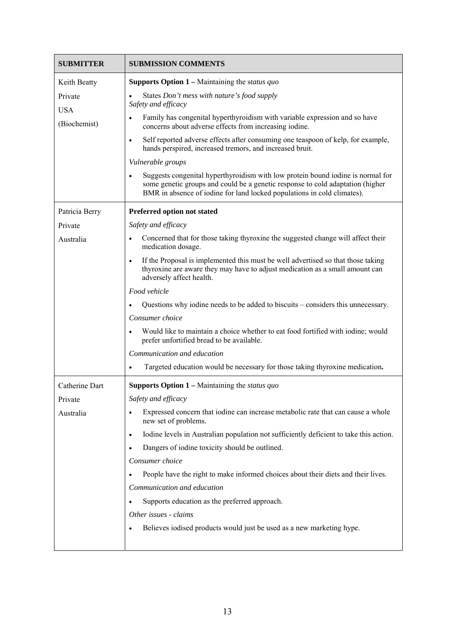| <b>SUBMITTER</b>      | <b>SUBMISSION COMMENTS</b>                                                                                                                                                                                                                                |
|-----------------------|-----------------------------------------------------------------------------------------------------------------------------------------------------------------------------------------------------------------------------------------------------------|
| Keith Beatty          | <b>Supports Option 1</b> – Maintaining the status quo                                                                                                                                                                                                     |
| Private<br><b>USA</b> | States Don't mess with nature's food supply<br>Safety and efficacy                                                                                                                                                                                        |
| (Biochemist)          | Family has congenital hyperthyroidism with variable expression and so have<br>concerns about adverse effects from increasing iodine.                                                                                                                      |
|                       | Self reported adverse effects after consuming one teaspoon of kelp, for example,<br>$\bullet$<br>hands perspired, increased tremors, and increased bruit.                                                                                                 |
|                       | Vulnerable groups                                                                                                                                                                                                                                         |
|                       | Suggests congenital hyperthyroidism with low protein bound iodine is normal for<br>$\bullet$<br>some genetic groups and could be a genetic response to cold adaptation (higher<br>BMR in absence of iodine for land locked populations in cold climates). |
| Patricia Berry        | Preferred option not stated                                                                                                                                                                                                                               |
| Private               | Safety and efficacy                                                                                                                                                                                                                                       |
| Australia             | Concerned that for those taking thyroxine the suggested change will affect their<br>$\bullet$<br>medication dosage.                                                                                                                                       |
|                       | If the Proposal is implemented this must be well advertised so that those taking<br>$\bullet$<br>thyroxine are aware they may have to adjust medication as a small amount can<br>adversely affect health.                                                 |
|                       | Food vehicle                                                                                                                                                                                                                                              |
|                       | Questions why iodine needs to be added to biscuits - considers this unnecessary.<br>$\bullet$                                                                                                                                                             |
|                       | Consumer choice                                                                                                                                                                                                                                           |
|                       | Would like to maintain a choice whether to eat food fortified with iodine; would<br>$\bullet$<br>prefer unfortified bread to be available.                                                                                                                |
|                       | Communication and education                                                                                                                                                                                                                               |
|                       | Targeted education would be necessary for those taking thyroxine medication.<br>$\bullet$                                                                                                                                                                 |
| Catherine Dart        | <b>Supports Option 1</b> – Maintaining the <i>status quo</i>                                                                                                                                                                                              |
| Private               | Safety and efficacy                                                                                                                                                                                                                                       |
| Australia             | Expressed concern that iodine can increase metabolic rate that can cause a whole<br>new set of problems.                                                                                                                                                  |
|                       | Iodine levels in Australian population not sufficiently deficient to take this action.<br>$\bullet$                                                                                                                                                       |
|                       | Dangers of iodine toxicity should be outlined.<br>٠                                                                                                                                                                                                       |
|                       | Consumer choice                                                                                                                                                                                                                                           |
|                       | People have the right to make informed choices about their diets and their lives.<br>$\bullet$                                                                                                                                                            |
|                       | Communication and education                                                                                                                                                                                                                               |
|                       | Supports education as the preferred approach.<br>٠                                                                                                                                                                                                        |
|                       | Other issues - claims                                                                                                                                                                                                                                     |
|                       | Believes iodised products would just be used as a new marketing hype.<br>٠                                                                                                                                                                                |
|                       |                                                                                                                                                                                                                                                           |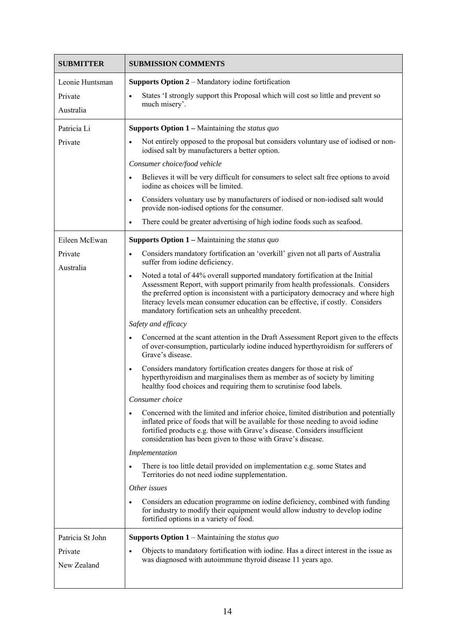| <b>SUBMITTER</b>       | <b>SUBMISSION COMMENTS</b>                                                                                                                                                                                                                                                                                                                                                                                   |
|------------------------|--------------------------------------------------------------------------------------------------------------------------------------------------------------------------------------------------------------------------------------------------------------------------------------------------------------------------------------------------------------------------------------------------------------|
| Leonie Huntsman        | Supports Option 2 – Mandatory iodine fortification                                                                                                                                                                                                                                                                                                                                                           |
| Private                | States 'I strongly support this Proposal which will cost so little and prevent so<br>$\bullet$                                                                                                                                                                                                                                                                                                               |
| Australia              | much misery'.                                                                                                                                                                                                                                                                                                                                                                                                |
| Patricia Li            | <b>Supports Option 1</b> – Maintaining the <i>status quo</i>                                                                                                                                                                                                                                                                                                                                                 |
| Private                | Not entirely opposed to the proposal but considers voluntary use of iodised or non-<br>iodised salt by manufacturers a better option.                                                                                                                                                                                                                                                                        |
|                        | Consumer choice/food vehicle                                                                                                                                                                                                                                                                                                                                                                                 |
|                        | Believes it will be very difficult for consumers to select salt free options to avoid<br>$\bullet$<br>iodine as choices will be limited.                                                                                                                                                                                                                                                                     |
|                        | Considers voluntary use by manufacturers of iodised or non-iodised salt would<br>$\bullet$<br>provide non-iodised options for the consumer.                                                                                                                                                                                                                                                                  |
|                        | There could be greater advertising of high iodine foods such as seafood.<br>$\bullet$                                                                                                                                                                                                                                                                                                                        |
| Eileen McEwan          | <b>Supports Option 1</b> – Maintaining the <i>status quo</i>                                                                                                                                                                                                                                                                                                                                                 |
| Private                | Considers mandatory fortification an 'overkill' given not all parts of Australia<br>$\bullet$<br>suffer from iodine deficiency.                                                                                                                                                                                                                                                                              |
| Australia              | Noted a total of 44% overall supported mandatory fortification at the Initial<br>$\bullet$<br>Assessment Report, with support primarily from health professionals. Considers<br>the preferred option is inconsistent with a participatory democracy and where high<br>literacy levels mean consumer education can be effective, if costly. Considers<br>mandatory fortification sets an unhealthy precedent. |
|                        | Safety and efficacy                                                                                                                                                                                                                                                                                                                                                                                          |
|                        | Concerned at the scant attention in the Draft Assessment Report given to the effects<br>$\bullet$<br>of over-consumption, particularly iodine induced hyperthyroidism for sufferers of<br>Grave's disease.                                                                                                                                                                                                   |
|                        | Considers mandatory fortification creates dangers for those at risk of<br>$\bullet$<br>hyperthyroidism and marginalises them as member as of society by limiting<br>healthy food choices and requiring them to scrutinise food labels.                                                                                                                                                                       |
|                        | Consumer choice                                                                                                                                                                                                                                                                                                                                                                                              |
|                        | Concerned with the limited and inferior choice, limited distribution and potentially<br>٠<br>inflated price of foods that will be available for those needing to avoid iodine<br>fortified products e.g. those with Grave's disease. Considers insufficient<br>consideration has been given to those with Grave's disease.                                                                                   |
|                        | Implementation                                                                                                                                                                                                                                                                                                                                                                                               |
|                        | There is too little detail provided on implementation e.g. some States and<br>$\bullet$<br>Territories do not need iodine supplementation.                                                                                                                                                                                                                                                                   |
|                        | Other issues                                                                                                                                                                                                                                                                                                                                                                                                 |
|                        | Considers an education programme on iodine deficiency, combined with funding<br>$\bullet$<br>for industry to modify their equipment would allow industry to develop iodine<br>fortified options in a variety of food.                                                                                                                                                                                        |
| Patricia St John       | <b>Supports Option 1</b> – Maintaining the <i>status quo</i>                                                                                                                                                                                                                                                                                                                                                 |
| Private<br>New Zealand | Objects to mandatory fortification with iodine. Has a direct interest in the issue as<br>$\bullet$<br>was diagnosed with autoimmune thyroid disease 11 years ago.                                                                                                                                                                                                                                            |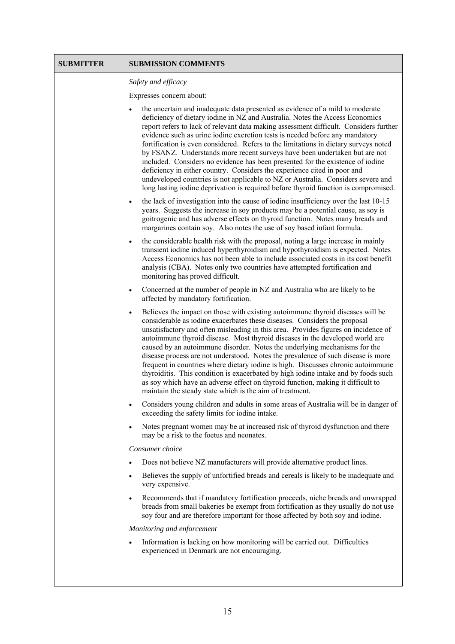| <b>SUBMITTER</b> | <b>SUBMISSION COMMENTS</b>                                                                                                                                                                                                                                                                                                                                                                                                                                                                                                                                                                                                                                                                                                                                                                                                                            |
|------------------|-------------------------------------------------------------------------------------------------------------------------------------------------------------------------------------------------------------------------------------------------------------------------------------------------------------------------------------------------------------------------------------------------------------------------------------------------------------------------------------------------------------------------------------------------------------------------------------------------------------------------------------------------------------------------------------------------------------------------------------------------------------------------------------------------------------------------------------------------------|
|                  | Safety and efficacy                                                                                                                                                                                                                                                                                                                                                                                                                                                                                                                                                                                                                                                                                                                                                                                                                                   |
|                  | Expresses concern about:                                                                                                                                                                                                                                                                                                                                                                                                                                                                                                                                                                                                                                                                                                                                                                                                                              |
|                  | the uncertain and inadequate data presented as evidence of a mild to moderate<br>deficiency of dietary iodine in NZ and Australia. Notes the Access Economics<br>report refers to lack of relevant data making assessment difficult. Considers further<br>evidence such as urine iodine excretion tests is needed before any mandatory<br>fortification is even considered. Refers to the limitations in dietary surveys noted<br>by FSANZ. Understands more recent surveys have been undertaken but are not<br>included. Considers no evidence has been presented for the existence of iodine<br>deficiency in either country. Considers the experience cited in poor and<br>undeveloped countries is not applicable to NZ or Australia. Considers severe and<br>long lasting iodine deprivation is required before thyroid function is compromised. |
|                  | the lack of investigation into the cause of iodine insufficiency over the last 10-15<br>$\bullet$<br>years. Suggests the increase in soy products may be a potential cause, as soy is<br>goitrogenic and has adverse effects on thyroid function. Notes many breads and<br>margarines contain soy. Also notes the use of soy based infant formula.                                                                                                                                                                                                                                                                                                                                                                                                                                                                                                    |
|                  | the considerable health risk with the proposal, noting a large increase in mainly<br>$\bullet$<br>transient iodine induced hyperthyroidism and hypothyroidism is expected. Notes<br>Access Economics has not been able to include associated costs in its cost benefit<br>analysis (CBA). Notes only two countries have attempted fortification and<br>monitoring has proved difficult.                                                                                                                                                                                                                                                                                                                                                                                                                                                               |
|                  | Concerned at the number of people in NZ and Australia who are likely to be<br>$\bullet$<br>affected by mandatory fortification.                                                                                                                                                                                                                                                                                                                                                                                                                                                                                                                                                                                                                                                                                                                       |
|                  | Believes the impact on those with existing autoimmune thyroid diseases will be<br>$\bullet$<br>considerable as iodine exacerbates these diseases. Considers the proposal<br>unsatisfactory and often misleading in this area. Provides figures on incidence of<br>autoimmune thyroid disease. Most thyroid diseases in the developed world are<br>caused by an autoimmune disorder. Notes the underlying mechanisms for the<br>disease process are not understood. Notes the prevalence of such disease is more<br>frequent in countries where dietary iodine is high. Discusses chronic autoimmune<br>thyroiditis. This condition is exacerbated by high iodine intake and by foods such<br>as soy which have an adverse effect on thyroid function, making it difficult to<br>maintain the steady state which is the aim of treatment.              |
|                  | Considers young children and adults in some areas of Australia will be in danger of<br>$\bullet$<br>exceeding the safety limits for iodine intake.                                                                                                                                                                                                                                                                                                                                                                                                                                                                                                                                                                                                                                                                                                    |
|                  | Notes pregnant women may be at increased risk of thyroid dysfunction and there<br>$\bullet$<br>may be a risk to the foetus and neonates.                                                                                                                                                                                                                                                                                                                                                                                                                                                                                                                                                                                                                                                                                                              |
|                  | Consumer choice                                                                                                                                                                                                                                                                                                                                                                                                                                                                                                                                                                                                                                                                                                                                                                                                                                       |
|                  | Does not believe NZ manufacturers will provide alternative product lines.<br>$\bullet$                                                                                                                                                                                                                                                                                                                                                                                                                                                                                                                                                                                                                                                                                                                                                                |
|                  | Believes the supply of unfortified breads and cereals is likely to be inadequate and<br>$\bullet$<br>very expensive.                                                                                                                                                                                                                                                                                                                                                                                                                                                                                                                                                                                                                                                                                                                                  |
|                  | Recommends that if mandatory fortification proceeds, niche breads and unwrapped<br>$\bullet$<br>breads from small bakeries be exempt from fortification as they usually do not use<br>soy four and are therefore important for those affected by both soy and iodine.                                                                                                                                                                                                                                                                                                                                                                                                                                                                                                                                                                                 |
|                  | Monitoring and enforcement                                                                                                                                                                                                                                                                                                                                                                                                                                                                                                                                                                                                                                                                                                                                                                                                                            |
|                  | Information is lacking on how monitoring will be carried out. Difficulties<br>$\bullet$<br>experienced in Denmark are not encouraging.                                                                                                                                                                                                                                                                                                                                                                                                                                                                                                                                                                                                                                                                                                                |
|                  |                                                                                                                                                                                                                                                                                                                                                                                                                                                                                                                                                                                                                                                                                                                                                                                                                                                       |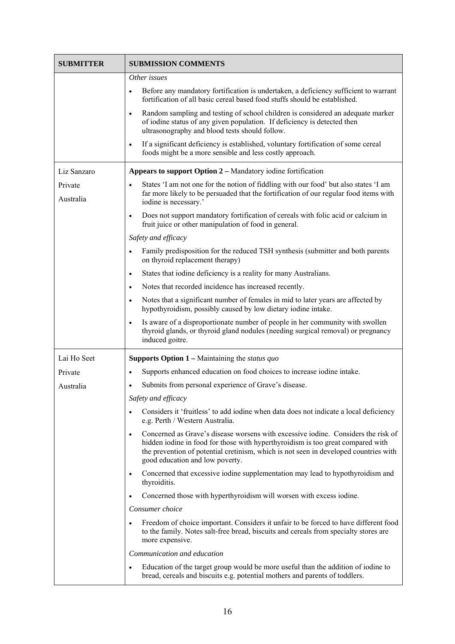| <b>SUBMITTER</b> | <b>SUBMISSION COMMENTS</b>                                                                                                                                                                                                                                                                                   |
|------------------|--------------------------------------------------------------------------------------------------------------------------------------------------------------------------------------------------------------------------------------------------------------------------------------------------------------|
|                  | Other issues                                                                                                                                                                                                                                                                                                 |
|                  | Before any mandatory fortification is undertaken, a deficiency sufficient to warrant<br>$\bullet$<br>fortification of all basic cereal based food stuffs should be established.                                                                                                                              |
|                  | Random sampling and testing of school children is considered an adequate marker<br>$\bullet$<br>of iodine status of any given population. If deficiency is detected then<br>ultrasonography and blood tests should follow.                                                                                   |
|                  | If a significant deficiency is established, voluntary fortification of some cereal<br>$\bullet$<br>foods might be a more sensible and less costly approach.                                                                                                                                                  |
| Liz Sanzaro      | Appears to support Option 2 – Mandatory iodine fortification                                                                                                                                                                                                                                                 |
| Private          | States 'I am not one for the notion of fiddling with our food' but also states 'I am<br>$\bullet$                                                                                                                                                                                                            |
| Australia        | far more likely to be persuaded that the fortification of our regular food items with<br>iodine is necessary.'                                                                                                                                                                                               |
|                  | Does not support mandatory fortification of cereals with folic acid or calcium in<br>$\bullet$<br>fruit juice or other manipulation of food in general.                                                                                                                                                      |
|                  | Safety and efficacy                                                                                                                                                                                                                                                                                          |
|                  | Family predisposition for the reduced TSH synthesis (submitter and both parents<br>$\bullet$<br>on thyroid replacement therapy)                                                                                                                                                                              |
|                  | States that iodine deficiency is a reality for many Australians.<br>$\bullet$                                                                                                                                                                                                                                |
|                  | Notes that recorded incidence has increased recently.<br>$\bullet$                                                                                                                                                                                                                                           |
|                  | Notes that a significant number of females in mid to later years are affected by<br>$\bullet$<br>hypothyroidism, possibly caused by low dietary iodine intake.                                                                                                                                               |
|                  | Is aware of a disproportionate number of people in her community with swollen<br>$\bullet$<br>thyroid glands, or thyroid gland nodules (needing surgical removal) or pregnancy<br>induced goitre.                                                                                                            |
| Lai Ho Seet      | <b>Supports Option 1</b> – Maintaining the <i>status quo</i>                                                                                                                                                                                                                                                 |
| Private          | Supports enhanced education on food choices to increase iodine intake.<br>$\bullet$                                                                                                                                                                                                                          |
| Australia        | Submits from personal experience of Grave's disease.                                                                                                                                                                                                                                                         |
|                  | Safety and efficacy                                                                                                                                                                                                                                                                                          |
|                  | Considers it 'fruitless' to add iodine when data does not indicate a local deficiency<br>e.g. Perth / Western Australia.                                                                                                                                                                                     |
|                  | Concerned as Grave's disease worsens with excessive iodine. Considers the risk of<br>$\bullet$<br>hidden iodine in food for those with hyperthyroidism is too great compared with<br>the prevention of potential cretinism, which is not seen in developed countries with<br>good education and low poverty. |
|                  | Concerned that excessive iodine supplementation may lead to hypothyroidism and<br>$\bullet$<br>thyroiditis.                                                                                                                                                                                                  |
|                  | Concerned those with hyperthyroidism will worsen with excess iodine.<br>$\bullet$                                                                                                                                                                                                                            |
|                  | Consumer choice                                                                                                                                                                                                                                                                                              |
|                  | Freedom of choice important. Considers it unfair to be forced to have different food<br>$\bullet$<br>to the family. Notes salt-free bread, biscuits and cereals from specialty stores are<br>more expensive.                                                                                                 |
|                  | Communication and education                                                                                                                                                                                                                                                                                  |
|                  | Education of the target group would be more useful than the addition of iodine to<br>$\bullet$<br>bread, cereals and biscuits e.g. potential mothers and parents of toddlers.                                                                                                                                |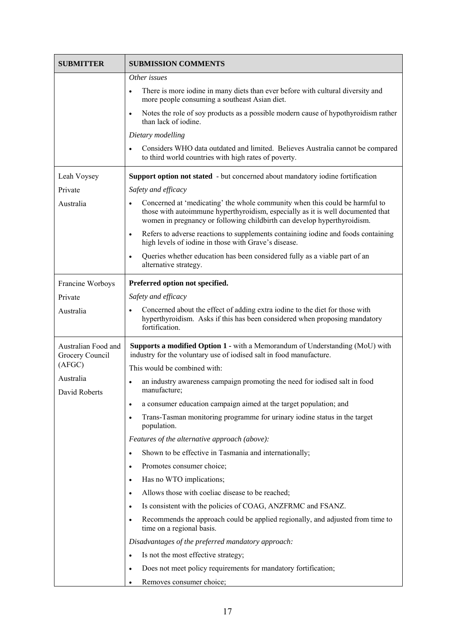| <b>SUBMITTER</b>                       | <b>SUBMISSION COMMENTS</b>                                                                                                                                                                                                                             |
|----------------------------------------|--------------------------------------------------------------------------------------------------------------------------------------------------------------------------------------------------------------------------------------------------------|
|                                        | Other issues                                                                                                                                                                                                                                           |
|                                        | There is more iodine in many diets than ever before with cultural diversity and<br>$\bullet$<br>more people consuming a southeast Asian diet.                                                                                                          |
|                                        | Notes the role of soy products as a possible modern cause of hypothyroidism rather<br>$\bullet$<br>than lack of jodine.                                                                                                                                |
|                                        | Dietary modelling                                                                                                                                                                                                                                      |
|                                        | Considers WHO data outdated and limited. Believes Australia cannot be compared<br>$\bullet$<br>to third world countries with high rates of poverty.                                                                                                    |
| Leah Voysey                            | Support option not stated - but concerned about mandatory iodine fortification                                                                                                                                                                         |
| Private                                | Safety and efficacy                                                                                                                                                                                                                                    |
| Australia                              | Concerned at 'medicating' the whole community when this could be harmful to<br>$\bullet$<br>those with autoimmune hyperthyroidism, especially as it is well documented that<br>women in pregnancy or following childbirth can develop hyperthyroidism. |
|                                        | Refers to adverse reactions to supplements containing iodine and foods containing<br>$\bullet$<br>high levels of iodine in those with Grave's disease.                                                                                                 |
|                                        | Queries whether education has been considered fully as a viable part of an<br>$\bullet$<br>alternative strategy.                                                                                                                                       |
| Francine Worboys                       | Preferred option not specified.                                                                                                                                                                                                                        |
| Private                                | Safety and efficacy                                                                                                                                                                                                                                    |
| Australia                              | Concerned about the effect of adding extra iodine to the diet for those with<br>$\bullet$<br>hyperthyroidism. Asks if this has been considered when proposing mandatory<br>fortification.                                                              |
| Australian Food and<br>Grocery Council | Supports a modified Option 1 - with a Memorandum of Understanding (MoU) with<br>industry for the voluntary use of iodised salt in food manufacture.                                                                                                    |
| (AFGC)                                 | This would be combined with:                                                                                                                                                                                                                           |
| Australia<br>David Roberts             | an industry awareness campaign promoting the need for iodised salt in food<br>$\bullet$<br>manufacture;                                                                                                                                                |
|                                        | a consumer education campaign aimed at the target population; and<br>٠                                                                                                                                                                                 |
|                                        | Trans-Tasman monitoring programme for urinary iodine status in the target<br>٠<br>population.                                                                                                                                                          |
|                                        | Features of the alternative approach (above):                                                                                                                                                                                                          |
|                                        | Shown to be effective in Tasmania and internationally;<br>$\bullet$                                                                                                                                                                                    |
|                                        | Promotes consumer choice;<br>$\bullet$                                                                                                                                                                                                                 |
|                                        | Has no WTO implications;<br>$\bullet$                                                                                                                                                                                                                  |
|                                        | Allows those with coeliac disease to be reached;<br>$\bullet$                                                                                                                                                                                          |
|                                        | Is consistent with the policies of COAG, ANZFRMC and FSANZ.<br>$\bullet$                                                                                                                                                                               |
|                                        | Recommends the approach could be applied regionally, and adjusted from time to<br>$\bullet$<br>time on a regional basis.                                                                                                                               |
|                                        | Disadvantages of the preferred mandatory approach:                                                                                                                                                                                                     |
|                                        | Is not the most effective strategy;<br>$\bullet$                                                                                                                                                                                                       |
|                                        | Does not meet policy requirements for mandatory fortification;<br>$\bullet$                                                                                                                                                                            |
|                                        | Removes consumer choice;                                                                                                                                                                                                                               |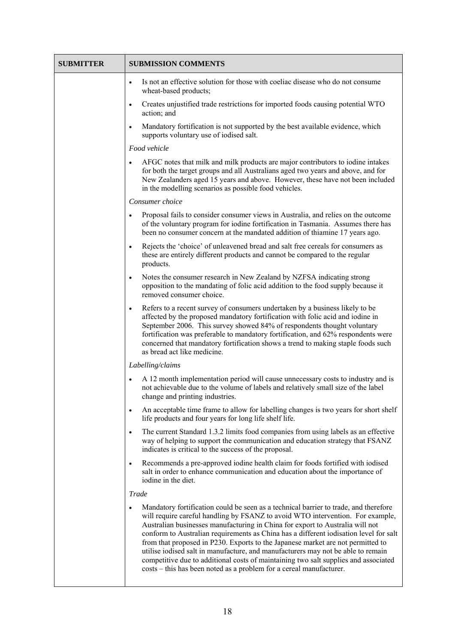| <b>SUBMITTER</b> | <b>SUBMISSION COMMENTS</b>                                                                                                                                                                                                                                                                                                                                                                                                                                                                                                                                                                                                                                                                         |
|------------------|----------------------------------------------------------------------------------------------------------------------------------------------------------------------------------------------------------------------------------------------------------------------------------------------------------------------------------------------------------------------------------------------------------------------------------------------------------------------------------------------------------------------------------------------------------------------------------------------------------------------------------------------------------------------------------------------------|
|                  | Is not an effective solution for those with coeliac disease who do not consume<br>$\bullet$<br>wheat-based products;                                                                                                                                                                                                                                                                                                                                                                                                                                                                                                                                                                               |
|                  | Creates unjustified trade restrictions for imported foods causing potential WTO<br>$\bullet$<br>action; and                                                                                                                                                                                                                                                                                                                                                                                                                                                                                                                                                                                        |
|                  | Mandatory fortification is not supported by the best available evidence, which<br>$\bullet$<br>supports voluntary use of iodised salt.                                                                                                                                                                                                                                                                                                                                                                                                                                                                                                                                                             |
|                  | Food vehicle                                                                                                                                                                                                                                                                                                                                                                                                                                                                                                                                                                                                                                                                                       |
|                  | AFGC notes that milk and milk products are major contributors to iodine intakes<br>for both the target groups and all Australians aged two years and above, and for<br>New Zealanders aged 15 years and above. However, these have not been included<br>in the modelling scenarios as possible food vehicles.                                                                                                                                                                                                                                                                                                                                                                                      |
|                  | Consumer choice                                                                                                                                                                                                                                                                                                                                                                                                                                                                                                                                                                                                                                                                                    |
|                  | Proposal fails to consider consumer views in Australia, and relies on the outcome<br>$\bullet$<br>of the voluntary program for iodine fortification in Tasmania. Assumes there has<br>been no consumer concern at the mandated addition of thiamine 17 years ago.                                                                                                                                                                                                                                                                                                                                                                                                                                  |
|                  | Rejects the 'choice' of unleavened bread and salt free cereals for consumers as<br>$\bullet$<br>these are entirely different products and cannot be compared to the regular<br>products.                                                                                                                                                                                                                                                                                                                                                                                                                                                                                                           |
|                  | Notes the consumer research in New Zealand by NZFSA indicating strong<br>$\bullet$<br>opposition to the mandating of folic acid addition to the food supply because it<br>removed consumer choice.                                                                                                                                                                                                                                                                                                                                                                                                                                                                                                 |
|                  | Refers to a recent survey of consumers undertaken by a business likely to be<br>$\bullet$<br>affected by the proposed mandatory fortification with folic acid and iodine in<br>September 2006. This survey showed 84% of respondents thought voluntary<br>fortification was preferable to mandatory fortification, and 62% respondents were<br>concerned that mandatory fortification shows a trend to making staple foods such<br>as bread act like medicine.                                                                                                                                                                                                                                     |
|                  | Labelling/claims                                                                                                                                                                                                                                                                                                                                                                                                                                                                                                                                                                                                                                                                                   |
|                  | A 12 month implementation period will cause unnecessary costs to industry and is<br>$\bullet$<br>not achievable due to the volume of labels and relatively small size of the label<br>change and printing industries.                                                                                                                                                                                                                                                                                                                                                                                                                                                                              |
|                  | An acceptable time frame to allow for labelling changes is two years for short shelf<br>$\bullet$<br>life products and four years for long life shelf life.                                                                                                                                                                                                                                                                                                                                                                                                                                                                                                                                        |
|                  | The current Standard 1.3.2 limits food companies from using labels as an effective<br>$\bullet$<br>way of helping to support the communication and education strategy that FSANZ<br>indicates is critical to the success of the proposal.                                                                                                                                                                                                                                                                                                                                                                                                                                                          |
|                  | Recommends a pre-approved iodine health claim for foods fortified with iodised<br>$\bullet$<br>salt in order to enhance communication and education about the importance of<br>iodine in the diet.                                                                                                                                                                                                                                                                                                                                                                                                                                                                                                 |
|                  | <b>Trade</b>                                                                                                                                                                                                                                                                                                                                                                                                                                                                                                                                                                                                                                                                                       |
|                  | Mandatory fortification could be seen as a technical barrier to trade, and therefore<br>$\bullet$<br>will require careful handling by FSANZ to avoid WTO intervention. For example,<br>Australian businesses manufacturing in China for export to Australia will not<br>conform to Australian requirements as China has a different iodisation level for salt<br>from that proposed in P230. Exports to the Japanese market are not permitted to<br>utilise iodised salt in manufacture, and manufacturers may not be able to remain<br>competitive due to additional costs of maintaining two salt supplies and associated<br>costs – this has been noted as a problem for a cereal manufacturer. |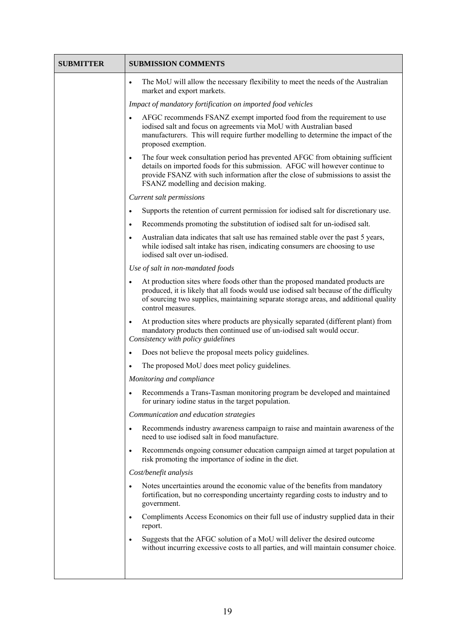| <b>SUBMITTER</b> | <b>SUBMISSION COMMENTS</b>                                                                                                                                                                                                                                                                              |
|------------------|---------------------------------------------------------------------------------------------------------------------------------------------------------------------------------------------------------------------------------------------------------------------------------------------------------|
|                  | The MoU will allow the necessary flexibility to meet the needs of the Australian<br>$\bullet$<br>market and export markets.                                                                                                                                                                             |
|                  | Impact of mandatory fortification on imported food vehicles                                                                                                                                                                                                                                             |
|                  | AFGC recommends FSANZ exempt imported food from the requirement to use<br>$\bullet$<br>iodised salt and focus on agreements via MoU with Australian based<br>manufacturers. This will require further modelling to determine the impact of the<br>proposed exemption.                                   |
|                  | The four week consultation period has prevented AFGC from obtaining sufficient<br>$\bullet$<br>details on imported foods for this submission. AFGC will however continue to<br>provide FSANZ with such information after the close of submissions to assist the<br>FSANZ modelling and decision making. |
|                  | Current salt permissions                                                                                                                                                                                                                                                                                |
|                  | Supports the retention of current permission for iodised salt for discretionary use.<br>$\bullet$                                                                                                                                                                                                       |
|                  | Recommends promoting the substitution of iodised salt for un-iodised salt.<br>$\bullet$                                                                                                                                                                                                                 |
|                  | Australian data indicates that salt use has remained stable over the past 5 years,<br>$\bullet$<br>while iodised salt intake has risen, indicating consumers are choosing to use<br>iodised salt over un-iodised.                                                                                       |
|                  | Use of salt in non-mandated foods                                                                                                                                                                                                                                                                       |
|                  | At production sites where foods other than the proposed mandated products are<br>$\bullet$<br>produced, it is likely that all foods would use iodised salt because of the difficulty<br>of sourcing two supplies, maintaining separate storage areas, and additional quality<br>control measures.       |
|                  | At production sites where products are physically separated (different plant) from<br>$\bullet$<br>mandatory products then continued use of un-iodised salt would occur.<br>Consistency with policy guidelines                                                                                          |
|                  | Does not believe the proposal meets policy guidelines.<br>$\bullet$                                                                                                                                                                                                                                     |
|                  | The proposed MoU does meet policy guidelines.<br>$\bullet$                                                                                                                                                                                                                                              |
|                  | Monitoring and compliance                                                                                                                                                                                                                                                                               |
|                  | Recommends a Trans-Tasman monitoring program be developed and maintained<br>for urinary iodine status in the target population.                                                                                                                                                                         |
|                  | Communication and education strategies                                                                                                                                                                                                                                                                  |
|                  | Recommends industry awareness campaign to raise and maintain awareness of the<br>$\bullet$<br>need to use iodised salt in food manufacture.                                                                                                                                                             |
|                  | Recommends ongoing consumer education campaign aimed at target population at<br>$\bullet$<br>risk promoting the importance of iodine in the diet.                                                                                                                                                       |
|                  | Cost/benefit analysis                                                                                                                                                                                                                                                                                   |
|                  | Notes uncertainties around the economic value of the benefits from mandatory<br>$\bullet$<br>fortification, but no corresponding uncertainty regarding costs to industry and to<br>government.                                                                                                          |
|                  | Compliments Access Economics on their full use of industry supplied data in their<br>$\bullet$<br>report.                                                                                                                                                                                               |
|                  | Suggests that the AFGC solution of a MoU will deliver the desired outcome<br>$\bullet$<br>without incurring excessive costs to all parties, and will maintain consumer choice.                                                                                                                          |
|                  |                                                                                                                                                                                                                                                                                                         |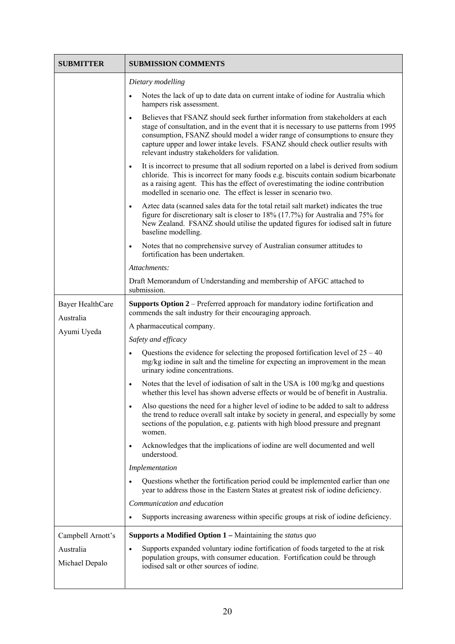| <b>SUBMITTER</b>        | <b>SUBMISSION COMMENTS</b>                                                                                                                                                                                                                                                                                                                                                                               |
|-------------------------|----------------------------------------------------------------------------------------------------------------------------------------------------------------------------------------------------------------------------------------------------------------------------------------------------------------------------------------------------------------------------------------------------------|
|                         | Dietary modelling                                                                                                                                                                                                                                                                                                                                                                                        |
|                         | Notes the lack of up to date data on current intake of iodine for Australia which<br>$\bullet$<br>hampers risk assessment.                                                                                                                                                                                                                                                                               |
|                         | Believes that FSANZ should seek further information from stakeholders at each<br>$\bullet$<br>stage of consultation, and in the event that it is necessary to use patterns from 1995<br>consumption, FSANZ should model a wider range of consumptions to ensure they<br>capture upper and lower intake levels. FSANZ should check outlier results with<br>relevant industry stakeholders for validation. |
|                         | It is incorrect to presume that all sodium reported on a label is derived from sodium<br>$\bullet$<br>chloride. This is incorrect for many foods e.g. biscuits contain sodium bicarbonate<br>as a raising agent. This has the effect of overestimating the iodine contribution<br>modelled in scenario one. The effect is lesser in scenario two.                                                        |
|                         | Aztec data (scanned sales data for the total retail salt market) indicates the true<br>$\bullet$<br>figure for discretionary salt is closer to 18% (17.7%) for Australia and 75% for<br>New Zealand. FSANZ should utilise the updated figures for iodised salt in future<br>baseline modelling.                                                                                                          |
|                         | Notes that no comprehensive survey of Australian consumer attitudes to<br>$\bullet$<br>fortification has been undertaken.                                                                                                                                                                                                                                                                                |
|                         | Attachments:                                                                                                                                                                                                                                                                                                                                                                                             |
|                         | Draft Memorandum of Understanding and membership of AFGC attached to<br>submission.                                                                                                                                                                                                                                                                                                                      |
| <b>Bayer HealthCare</b> | Supports Option 2 – Preferred approach for mandatory iodine fortification and<br>commends the salt industry for their encouraging approach.                                                                                                                                                                                                                                                              |
| Australia               | A pharmaceutical company.                                                                                                                                                                                                                                                                                                                                                                                |
| Ayumi Uyeda             | Safety and efficacy                                                                                                                                                                                                                                                                                                                                                                                      |
|                         | Questions the evidence for selecting the proposed fortification level of $25 - 40$<br>$\bullet$<br>mg/kg iodine in salt and the timeline for expecting an improvement in the mean<br>urinary iodine concentrations.                                                                                                                                                                                      |
|                         | Notes that the level of iodisation of salt in the USA is 100 mg/kg and questions<br>$\bullet$<br>whether this level has shown adverse effects or would be of benefit in Australia.                                                                                                                                                                                                                       |
|                         | Also questions the need for a higher level of iodine to be added to salt to address<br>$\bullet$<br>the trend to reduce overall salt intake by society in general, and especially by some<br>sections of the population, e.g. patients with high blood pressure and pregnant<br>women.                                                                                                                   |
|                         | Acknowledges that the implications of iodine are well documented and well<br>$\bullet$<br>understood.                                                                                                                                                                                                                                                                                                    |
|                         | Implementation                                                                                                                                                                                                                                                                                                                                                                                           |
|                         | Questions whether the fortification period could be implemented earlier than one<br>$\bullet$<br>year to address those in the Eastern States at greatest risk of iodine deficiency.                                                                                                                                                                                                                      |
|                         | Communication and education                                                                                                                                                                                                                                                                                                                                                                              |
|                         | Supports increasing awareness within specific groups at risk of iodine deficiency.<br>$\bullet$                                                                                                                                                                                                                                                                                                          |
| Campbell Arnott's       | <b>Supports a Modified Option 1</b> – Maintaining the <i>status quo</i>                                                                                                                                                                                                                                                                                                                                  |
| Australia               | Supports expanded voluntary iodine fortification of foods targeted to the at risk<br>$\bullet$                                                                                                                                                                                                                                                                                                           |
| Michael Depalo          | population groups, with consumer education. Fortification could be through<br>iodised salt or other sources of iodine.                                                                                                                                                                                                                                                                                   |
|                         |                                                                                                                                                                                                                                                                                                                                                                                                          |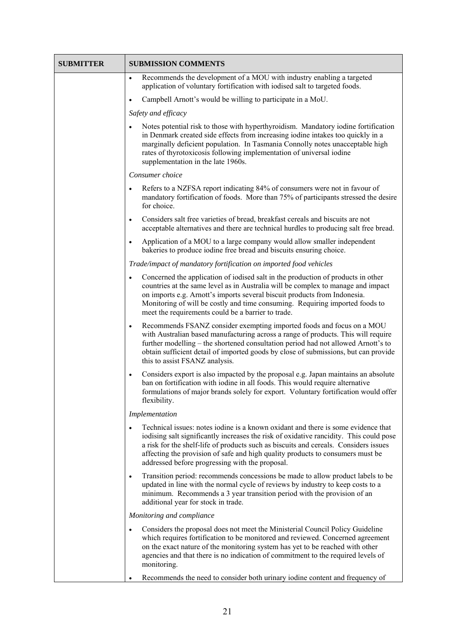| <b>SUBMITTER</b> | <b>SUBMISSION COMMENTS</b>                                                                                                                                                                                                                                                                                                                                                                                            |
|------------------|-----------------------------------------------------------------------------------------------------------------------------------------------------------------------------------------------------------------------------------------------------------------------------------------------------------------------------------------------------------------------------------------------------------------------|
|                  | Recommends the development of a MOU with industry enabling a targeted<br>$\bullet$<br>application of voluntary fortification with iodised salt to targeted foods.                                                                                                                                                                                                                                                     |
|                  | Campbell Arnott's would be willing to participate in a MoU.<br>$\bullet$                                                                                                                                                                                                                                                                                                                                              |
|                  | Safety and efficacy                                                                                                                                                                                                                                                                                                                                                                                                   |
|                  | Notes potential risk to those with hyperthyroidism. Mandatory iodine fortification<br>$\bullet$<br>in Denmark created side effects from increasing iodine intakes too quickly in a<br>marginally deficient population. In Tasmania Connolly notes unacceptable high<br>rates of thyrotoxicosis following implementation of universal iodine<br>supplementation in the late 1960s.                                     |
|                  | Consumer choice                                                                                                                                                                                                                                                                                                                                                                                                       |
|                  | Refers to a NZFSA report indicating 84% of consumers were not in favour of<br>$\bullet$<br>mandatory fortification of foods. More than 75% of participants stressed the desire<br>for choice.                                                                                                                                                                                                                         |
|                  | Considers salt free varieties of bread, breakfast cereals and biscuits are not<br>$\bullet$<br>acceptable alternatives and there are technical hurdles to producing salt free bread.                                                                                                                                                                                                                                  |
|                  | Application of a MOU to a large company would allow smaller independent<br>$\bullet$<br>bakeries to produce iodine free bread and biscuits ensuring choice.                                                                                                                                                                                                                                                           |
|                  | Trade/impact of mandatory fortification on imported food vehicles                                                                                                                                                                                                                                                                                                                                                     |
|                  | Concerned the application of iodised salt in the production of products in other<br>$\bullet$<br>countries at the same level as in Australia will be complex to manage and impact<br>on imports e.g. Arnott's imports several biscuit products from Indonesia.<br>Monitoring of will be costly and time consuming. Requiring imported foods to<br>meet the requirements could be a barrier to trade.                  |
|                  | Recommends FSANZ consider exempting imported foods and focus on a MOU<br>$\bullet$<br>with Australian based manufacturing across a range of products. This will require<br>further modelling – the shortened consultation period had not allowed Arnott's to<br>obtain sufficient detail of imported goods by close of submissions, but can provide<br>this to assist FSANZ analysis.                                 |
|                  | Considers export is also impacted by the proposal e.g. Japan maintains an absolute<br>$\bullet$<br>ban on fortification with iodine in all foods. This would require alternative<br>formulations of major brands solely for export. Voluntary fortification would offer<br>flexibility.                                                                                                                               |
|                  | Implementation                                                                                                                                                                                                                                                                                                                                                                                                        |
|                  | Technical issues: notes iodine is a known oxidant and there is some evidence that<br>$\bullet$<br>iodising salt significantly increases the risk of oxidative rancidity. This could pose<br>a risk for the shelf-life of products such as biscuits and cereals. Considers issues<br>affecting the provision of safe and high quality products to consumers must be<br>addressed before progressing with the proposal. |
|                  | Transition period: recommends concessions be made to allow product labels to be<br>$\bullet$<br>updated in line with the normal cycle of reviews by industry to keep costs to a<br>minimum. Recommends a 3 year transition period with the provision of an<br>additional year for stock in trade.                                                                                                                     |
|                  | Monitoring and compliance                                                                                                                                                                                                                                                                                                                                                                                             |
|                  | Considers the proposal does not meet the Ministerial Council Policy Guideline<br>$\bullet$<br>which requires fortification to be monitored and reviewed. Concerned agreement<br>on the exact nature of the monitoring system has yet to be reached with other<br>agencies and that there is no indication of commitment to the required levels of<br>monitoring.                                                      |
|                  | Recommends the need to consider both urinary iodine content and frequency of                                                                                                                                                                                                                                                                                                                                          |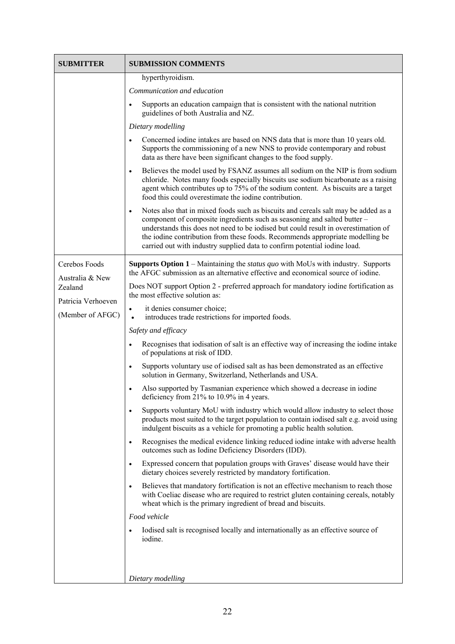| <b>SUBMITTER</b>                 | <b>SUBMISSION COMMENTS</b>                                                                                                                                                                                                                                                                                                                                                                                                      |
|----------------------------------|---------------------------------------------------------------------------------------------------------------------------------------------------------------------------------------------------------------------------------------------------------------------------------------------------------------------------------------------------------------------------------------------------------------------------------|
|                                  | hyperthyroidism.                                                                                                                                                                                                                                                                                                                                                                                                                |
|                                  | Communication and education                                                                                                                                                                                                                                                                                                                                                                                                     |
|                                  | Supports an education campaign that is consistent with the national nutrition<br>$\bullet$<br>guidelines of both Australia and NZ.                                                                                                                                                                                                                                                                                              |
|                                  | Dietary modelling                                                                                                                                                                                                                                                                                                                                                                                                               |
|                                  | Concerned iodine intakes are based on NNS data that is more than 10 years old.<br>$\bullet$<br>Supports the commissioning of a new NNS to provide contemporary and robust<br>data as there have been significant changes to the food supply.                                                                                                                                                                                    |
|                                  | Believes the model used by FSANZ assumes all sodium on the NIP is from sodium<br>$\bullet$<br>chloride. Notes many foods especially biscuits use sodium bicarbonate as a raising<br>agent which contributes up to 75% of the sodium content. As biscuits are a target<br>food this could overestimate the iodine contribution.                                                                                                  |
|                                  | Notes also that in mixed foods such as biscuits and cereals salt may be added as a<br>$\bullet$<br>component of composite ingredients such as seasoning and salted butter –<br>understands this does not need to be iodised but could result in overestimation of<br>the iodine contribution from these foods. Recommends appropriate modelling be<br>carried out with industry supplied data to confirm potential iodine load. |
| Cerebos Foods<br>Australia & New | <b>Supports Option 1</b> – Maintaining the <i>status quo</i> with MoUs with industry. Supports<br>the AFGC submission as an alternative effective and economical source of iodine.                                                                                                                                                                                                                                              |
| Zealand<br>Patricia Verhoeven    | Does NOT support Option 2 - preferred approach for mandatory iodine fortification as<br>the most effective solution as:                                                                                                                                                                                                                                                                                                         |
| (Member of AFGC)                 | it denies consumer choice;<br>$\bullet$<br>introduces trade restrictions for imported foods.<br>$\bullet$                                                                                                                                                                                                                                                                                                                       |
|                                  | Safety and efficacy                                                                                                                                                                                                                                                                                                                                                                                                             |
|                                  | Recognises that iodisation of salt is an effective way of increasing the iodine intake<br>of populations at risk of IDD.                                                                                                                                                                                                                                                                                                        |
|                                  | Supports voluntary use of iodised salt as has been demonstrated as an effective<br>$\bullet$<br>solution in Germany, Switzerland, Netherlands and USA.                                                                                                                                                                                                                                                                          |
|                                  | Also supported by Tasmanian experience which showed a decrease in iodine<br>$\bullet$<br>deficiency from 21% to 10.9% in 4 years.                                                                                                                                                                                                                                                                                               |
|                                  | Supports voluntary MoU with industry which would allow industry to select those<br>$\bullet$<br>products most suited to the target population to contain iodised salt e.g. avoid using<br>indulgent biscuits as a vehicle for promoting a public health solution.                                                                                                                                                               |
|                                  | Recognises the medical evidence linking reduced iodine intake with adverse health<br>$\bullet$<br>outcomes such as Iodine Deficiency Disorders (IDD).                                                                                                                                                                                                                                                                           |
|                                  | Expressed concern that population groups with Graves' disease would have their<br>$\bullet$<br>dietary choices severely restricted by mandatory fortification.                                                                                                                                                                                                                                                                  |
|                                  | Believes that mandatory fortification is not an effective mechanism to reach those<br>$\bullet$<br>with Coeliac disease who are required to restrict gluten containing cereals, notably<br>wheat which is the primary ingredient of bread and biscuits.                                                                                                                                                                         |
|                                  | Food vehicle                                                                                                                                                                                                                                                                                                                                                                                                                    |
|                                  | Iodised salt is recognised locally and internationally as an effective source of<br>iodine.                                                                                                                                                                                                                                                                                                                                     |
|                                  |                                                                                                                                                                                                                                                                                                                                                                                                                                 |
|                                  | Dietary modelling                                                                                                                                                                                                                                                                                                                                                                                                               |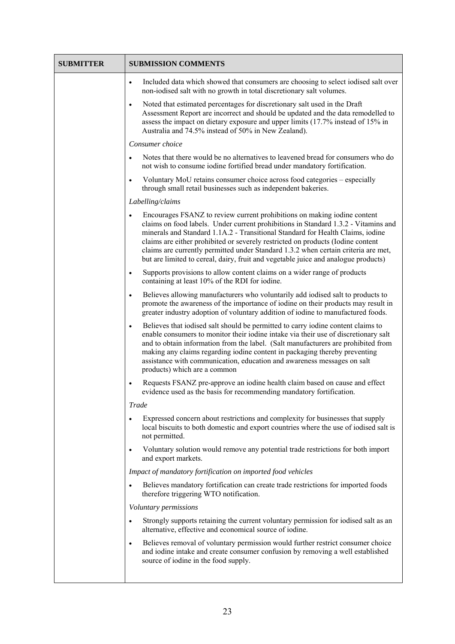| <b>SUBMITTER</b> | <b>SUBMISSION COMMENTS</b>                                                                                                                                                                                                                                                                                                                                                                                                                                                                                      |
|------------------|-----------------------------------------------------------------------------------------------------------------------------------------------------------------------------------------------------------------------------------------------------------------------------------------------------------------------------------------------------------------------------------------------------------------------------------------------------------------------------------------------------------------|
|                  | Included data which showed that consumers are choosing to select iodised salt over<br>$\bullet$<br>non-iodised salt with no growth in total discretionary salt volumes.                                                                                                                                                                                                                                                                                                                                         |
|                  | Noted that estimated percentages for discretionary salt used in the Draft<br>$\bullet$<br>Assessment Report are incorrect and should be updated and the data remodelled to<br>assess the impact on dietary exposure and upper limits (17.7% instead of 15% in<br>Australia and 74.5% instead of 50% in New Zealand).                                                                                                                                                                                            |
|                  | Consumer choice                                                                                                                                                                                                                                                                                                                                                                                                                                                                                                 |
|                  | Notes that there would be no alternatives to leavened bread for consumers who do<br>$\bullet$<br>not wish to consume iodine fortified bread under mandatory fortification.                                                                                                                                                                                                                                                                                                                                      |
|                  | Voluntary MoU retains consumer choice across food categories - especially<br>$\bullet$<br>through small retail businesses such as independent bakeries.                                                                                                                                                                                                                                                                                                                                                         |
|                  | Labelling/claims                                                                                                                                                                                                                                                                                                                                                                                                                                                                                                |
|                  | Encourages FSANZ to review current prohibitions on making iodine content<br>claims on food labels. Under current prohibitions in Standard 1.3.2 - Vitamins and<br>minerals and Standard 1.1A.2 - Transitional Standard for Health Claims, iodine<br>claims are either prohibited or severely restricted on products (Iodine content<br>claims are currently permitted under Standard 1.3.2 when certain criteria are met,<br>but are limited to cereal, dairy, fruit and vegetable juice and analogue products) |
|                  | Supports provisions to allow content claims on a wider range of products<br>$\bullet$<br>containing at least 10% of the RDI for iodine.                                                                                                                                                                                                                                                                                                                                                                         |
|                  | Believes allowing manufacturers who voluntarily add iodised salt to products to<br>$\bullet$<br>promote the awareness of the importance of iodine on their products may result in<br>greater industry adoption of voluntary addition of iodine to manufactured foods.                                                                                                                                                                                                                                           |
|                  | Believes that iodised salt should be permitted to carry iodine content claims to<br>$\bullet$<br>enable consumers to monitor their iodine intake via their use of discretionary salt<br>and to obtain information from the label. (Salt manufacturers are prohibited from<br>making any claims regarding iodine content in packaging thereby preventing<br>assistance with communication, education and awareness messages on salt<br>products) which are a common                                              |
|                  | Requests FSANZ pre-approve an iodine health claim based on cause and effect<br>$\bullet$<br>evidence used as the basis for recommending mandatory fortification.                                                                                                                                                                                                                                                                                                                                                |
|                  | <b>Trade</b>                                                                                                                                                                                                                                                                                                                                                                                                                                                                                                    |
|                  | Expressed concern about restrictions and complexity for businesses that supply<br>٠<br>local biscuits to both domestic and export countries where the use of iodised salt is<br>not permitted.                                                                                                                                                                                                                                                                                                                  |
|                  | Voluntary solution would remove any potential trade restrictions for both import<br>and export markets.                                                                                                                                                                                                                                                                                                                                                                                                         |
|                  | Impact of mandatory fortification on imported food vehicles                                                                                                                                                                                                                                                                                                                                                                                                                                                     |
|                  | Believes mandatory fortification can create trade restrictions for imported foods<br>$\bullet$<br>therefore triggering WTO notification.                                                                                                                                                                                                                                                                                                                                                                        |
|                  | Voluntary permissions                                                                                                                                                                                                                                                                                                                                                                                                                                                                                           |
|                  | Strongly supports retaining the current voluntary permission for iodised salt as an<br>$\bullet$<br>alternative, effective and economical source of iodine.                                                                                                                                                                                                                                                                                                                                                     |
|                  | Believes removal of voluntary permission would further restrict consumer choice<br>$\bullet$<br>and iodine intake and create consumer confusion by removing a well established<br>source of iodine in the food supply.                                                                                                                                                                                                                                                                                          |
|                  |                                                                                                                                                                                                                                                                                                                                                                                                                                                                                                                 |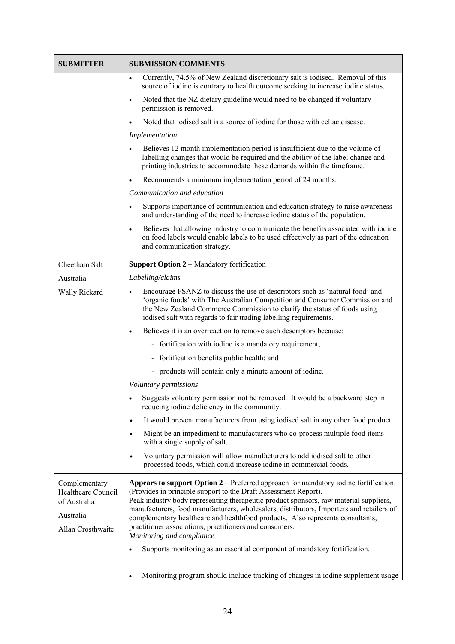| <b>SUBMITTER</b>                                                                      | <b>SUBMISSION COMMENTS</b>                                                                                                                                                                                                                                                                                                                                                                                                                                                                                                    |
|---------------------------------------------------------------------------------------|-------------------------------------------------------------------------------------------------------------------------------------------------------------------------------------------------------------------------------------------------------------------------------------------------------------------------------------------------------------------------------------------------------------------------------------------------------------------------------------------------------------------------------|
|                                                                                       | Currently, 74.5% of New Zealand discretionary salt is iodised. Removal of this<br>$\bullet$<br>source of iodine is contrary to health outcome seeking to increase iodine status.                                                                                                                                                                                                                                                                                                                                              |
|                                                                                       | Noted that the NZ dietary guideline would need to be changed if voluntary<br>$\bullet$<br>permission is removed.                                                                                                                                                                                                                                                                                                                                                                                                              |
|                                                                                       | Noted that iodised salt is a source of iodine for those with celiac disease.<br>$\bullet$                                                                                                                                                                                                                                                                                                                                                                                                                                     |
|                                                                                       | Implementation                                                                                                                                                                                                                                                                                                                                                                                                                                                                                                                |
|                                                                                       | Believes 12 month implementation period is insufficient due to the volume of<br>$\bullet$<br>labelling changes that would be required and the ability of the label change and<br>printing industries to accommodate these demands within the timeframe.                                                                                                                                                                                                                                                                       |
|                                                                                       | Recommends a minimum implementation period of 24 months.<br>$\bullet$                                                                                                                                                                                                                                                                                                                                                                                                                                                         |
|                                                                                       | Communication and education                                                                                                                                                                                                                                                                                                                                                                                                                                                                                                   |
|                                                                                       | Supports importance of communication and education strategy to raise awareness<br>$\bullet$<br>and understanding of the need to increase iodine status of the population.                                                                                                                                                                                                                                                                                                                                                     |
|                                                                                       | Believes that allowing industry to communicate the benefits associated with iodine<br>$\bullet$<br>on food labels would enable labels to be used effectively as part of the education<br>and communication strategy.                                                                                                                                                                                                                                                                                                          |
| Cheetham Salt                                                                         | Support Option 2 - Mandatory fortification                                                                                                                                                                                                                                                                                                                                                                                                                                                                                    |
| Australia                                                                             | Labelling/claims                                                                                                                                                                                                                                                                                                                                                                                                                                                                                                              |
| Wally Rickard                                                                         | Encourage FSANZ to discuss the use of descriptors such as 'natural food' and<br>$\bullet$<br>'organic foods' with The Australian Competition and Consumer Commission and<br>the New Zealand Commerce Commission to clarify the status of foods using<br>iodised salt with regards to fair trading labelling requirements.                                                                                                                                                                                                     |
|                                                                                       | Believes it is an overreaction to remove such descriptors because:<br>$\bullet$                                                                                                                                                                                                                                                                                                                                                                                                                                               |
|                                                                                       | - fortification with iodine is a mandatory requirement;                                                                                                                                                                                                                                                                                                                                                                                                                                                                       |
|                                                                                       | - fortification benefits public health; and                                                                                                                                                                                                                                                                                                                                                                                                                                                                                   |
|                                                                                       | products will contain only a minute amount of iodine.                                                                                                                                                                                                                                                                                                                                                                                                                                                                         |
|                                                                                       | Voluntary permissions                                                                                                                                                                                                                                                                                                                                                                                                                                                                                                         |
|                                                                                       | Suggests voluntary permission not be removed. It would be a backward step in<br>reducing iodine deficiency in the community.                                                                                                                                                                                                                                                                                                                                                                                                  |
|                                                                                       | It would prevent manufacturers from using iodised salt in any other food product.<br>$\bullet$                                                                                                                                                                                                                                                                                                                                                                                                                                |
|                                                                                       | Might be an impediment to manufacturers who co-process multiple food items<br>$\bullet$<br>with a single supply of salt.                                                                                                                                                                                                                                                                                                                                                                                                      |
|                                                                                       | Voluntary permission will allow manufacturers to add iodised salt to other<br>$\bullet$<br>processed foods, which could increase iodine in commercial foods.                                                                                                                                                                                                                                                                                                                                                                  |
| Complementary<br>Healthcare Council<br>of Australia<br>Australia<br>Allan Crosthwaite | <b>Appears to support Option 2</b> – Preferred approach for mandatory iodine fortification.<br>(Provides in principle support to the Draft Assessment Report).<br>Peak industry body representing therapeutic product sponsors, raw material suppliers,<br>manufacturers, food manufacturers, wholesalers, distributors, Importers and retailers of<br>complementary healthcare and healthfood products. Also represents consultants,<br>practitioner associations, practitioners and consumers.<br>Monitoring and compliance |
|                                                                                       | Supports monitoring as an essential component of mandatory fortification.<br>$\bullet$                                                                                                                                                                                                                                                                                                                                                                                                                                        |
|                                                                                       | Monitoring program should include tracking of changes in iodine supplement usage<br>$\bullet$                                                                                                                                                                                                                                                                                                                                                                                                                                 |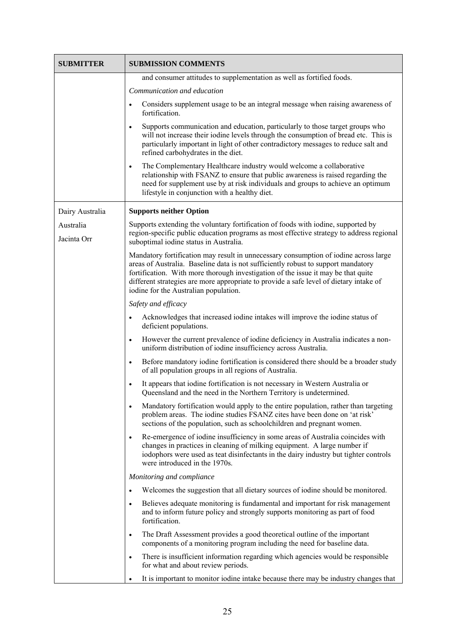| <b>SUBMITTER</b>         | <b>SUBMISSION COMMENTS</b>                                                                                                                                                                                                                                                                                                                                                                        |
|--------------------------|---------------------------------------------------------------------------------------------------------------------------------------------------------------------------------------------------------------------------------------------------------------------------------------------------------------------------------------------------------------------------------------------------|
|                          | and consumer attitudes to supplementation as well as fortified foods.                                                                                                                                                                                                                                                                                                                             |
|                          | Communication and education                                                                                                                                                                                                                                                                                                                                                                       |
|                          | Considers supplement usage to be an integral message when raising awareness of<br>$\bullet$<br>fortification.                                                                                                                                                                                                                                                                                     |
|                          | Supports communication and education, particularly to those target groups who<br>$\bullet$<br>will not increase their iodine levels through the consumption of bread etc. This is<br>particularly important in light of other contradictory messages to reduce salt and<br>refined carbohydrates in the diet.                                                                                     |
|                          | The Complementary Healthcare industry would welcome a collaborative<br>$\bullet$<br>relationship with FSANZ to ensure that public awareness is raised regarding the<br>need for supplement use by at risk individuals and groups to achieve an optimum<br>lifestyle in conjunction with a healthy diet.                                                                                           |
| Dairy Australia          | <b>Supports neither Option</b>                                                                                                                                                                                                                                                                                                                                                                    |
| Australia<br>Jacinta Orr | Supports extending the voluntary fortification of foods with iodine, supported by<br>region-specific public education programs as most effective strategy to address regional<br>suboptimal iodine status in Australia.                                                                                                                                                                           |
|                          | Mandatory fortification may result in unnecessary consumption of iodine across large<br>areas of Australia. Baseline data is not sufficiently robust to support mandatory<br>fortification. With more thorough investigation of the issue it may be that quite<br>different strategies are more appropriate to provide a safe level of dietary intake of<br>iodine for the Australian population. |
|                          | Safety and efficacy                                                                                                                                                                                                                                                                                                                                                                               |
|                          | Acknowledges that increased iodine intakes will improve the iodine status of<br>$\bullet$<br>deficient populations.                                                                                                                                                                                                                                                                               |
|                          | However the current prevalence of iodine deficiency in Australia indicates a non-<br>$\bullet$<br>uniform distribution of iodine insufficiency across Australia.                                                                                                                                                                                                                                  |
|                          | Before mandatory iodine fortification is considered there should be a broader study<br>$\bullet$<br>of all population groups in all regions of Australia.                                                                                                                                                                                                                                         |
|                          | It appears that iodine fortification is not necessary in Western Australia or<br>$\bullet$<br>Queensland and the need in the Northern Territory is undetermined.                                                                                                                                                                                                                                  |
|                          | Mandatory fortification would apply to the entire population, rather than targeting<br>$\bullet$<br>problem areas. The iodine studies FSANZ cites have been done on 'at risk'<br>sections of the population, such as schoolchildren and pregnant women.                                                                                                                                           |
|                          | Re-emergence of iodine insufficiency in some areas of Australia coincides with<br>$\bullet$<br>changes in practices in cleaning of milking equipment. A large number if<br>iodophors were used as teat disinfectants in the dairy industry but tighter controls<br>were introduced in the 1970s.                                                                                                  |
|                          | Monitoring and compliance                                                                                                                                                                                                                                                                                                                                                                         |
|                          | Welcomes the suggestion that all dietary sources of iodine should be monitored.<br>$\bullet$                                                                                                                                                                                                                                                                                                      |
|                          | Believes adequate monitoring is fundamental and important for risk management<br>$\bullet$<br>and to inform future policy and strongly supports monitoring as part of food<br>fortification.                                                                                                                                                                                                      |
|                          | The Draft Assessment provides a good theoretical outline of the important<br>$\bullet$<br>components of a monitoring program including the need for baseline data.                                                                                                                                                                                                                                |
|                          | There is insufficient information regarding which agencies would be responsible<br>$\bullet$<br>for what and about review periods.                                                                                                                                                                                                                                                                |
|                          | It is important to monitor iodine intake because there may be industry changes that                                                                                                                                                                                                                                                                                                               |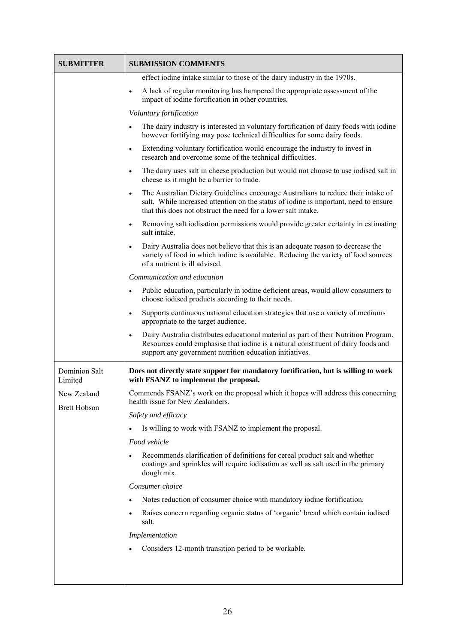| <b>SUBMITTER</b>                   | <b>SUBMISSION COMMENTS</b>                                                                                                                                                                                                                              |
|------------------------------------|---------------------------------------------------------------------------------------------------------------------------------------------------------------------------------------------------------------------------------------------------------|
|                                    | effect iodine intake similar to those of the dairy industry in the 1970s.                                                                                                                                                                               |
|                                    | A lack of regular monitoring has hampered the appropriate assessment of the<br>$\bullet$<br>impact of iodine fortification in other countries.                                                                                                          |
|                                    | Voluntary fortification                                                                                                                                                                                                                                 |
|                                    | The dairy industry is interested in voluntary fortification of dairy foods with iodine<br>$\bullet$<br>however fortifying may pose technical difficulties for some dairy foods.                                                                         |
|                                    | Extending voluntary fortification would encourage the industry to invest in<br>$\bullet$<br>research and overcome some of the technical difficulties                                                                                                    |
|                                    | The dairy uses salt in cheese production but would not choose to use iodised salt in<br>$\bullet$<br>cheese as it might be a barrier to trade.                                                                                                          |
|                                    | The Australian Dietary Guidelines encourage Australians to reduce their intake of<br>$\bullet$<br>salt. While increased attention on the status of iodine is important, need to ensure<br>that this does not obstruct the need for a lower salt intake. |
|                                    | Removing salt iodisation permissions would provide greater certainty in estimating<br>$\bullet$<br>salt intake.                                                                                                                                         |
|                                    | Dairy Australia does not believe that this is an adequate reason to decrease the<br>$\bullet$<br>variety of food in which iodine is available. Reducing the variety of food sources<br>of a nutrient is ill advised.                                    |
|                                    | Communication and education                                                                                                                                                                                                                             |
|                                    | Public education, particularly in iodine deficient areas, would allow consumers to<br>$\bullet$<br>choose iodised products according to their needs.                                                                                                    |
|                                    | Supports continuous national education strategies that use a variety of mediums<br>$\bullet$<br>appropriate to the target audience.                                                                                                                     |
|                                    | Dairy Australia distributes educational material as part of their Nutrition Program.<br>$\bullet$<br>Resources could emphasise that iodine is a natural constituent of dairy foods and<br>support any government nutrition education initiatives.       |
| Dominion Salt<br>Limited           | Does not directly state support for mandatory fortification, but is willing to work<br>with FSANZ to implement the proposal.                                                                                                                            |
| New Zealand<br><b>Brett Hobson</b> | Commends FSANZ's work on the proposal which it hopes will address this concerning<br>health issue for New Zealanders.                                                                                                                                   |
|                                    | Safety and efficacy                                                                                                                                                                                                                                     |
|                                    | Is willing to work with FSANZ to implement the proposal.                                                                                                                                                                                                |
|                                    | Food vehicle                                                                                                                                                                                                                                            |
|                                    | Recommends clarification of definitions for cereal product salt and whether<br>coatings and sprinkles will require iodisation as well as salt used in the primary<br>dough mix.                                                                         |
|                                    | Consumer choice                                                                                                                                                                                                                                         |
|                                    | Notes reduction of consumer choice with mandatory iodine fortification.<br>$\bullet$                                                                                                                                                                    |
|                                    | Raises concern regarding organic status of 'organic' bread which contain iodised<br>$\bullet$<br>salt.                                                                                                                                                  |
|                                    | Implementation                                                                                                                                                                                                                                          |
|                                    | Considers 12-month transition period to be workable.                                                                                                                                                                                                    |
|                                    |                                                                                                                                                                                                                                                         |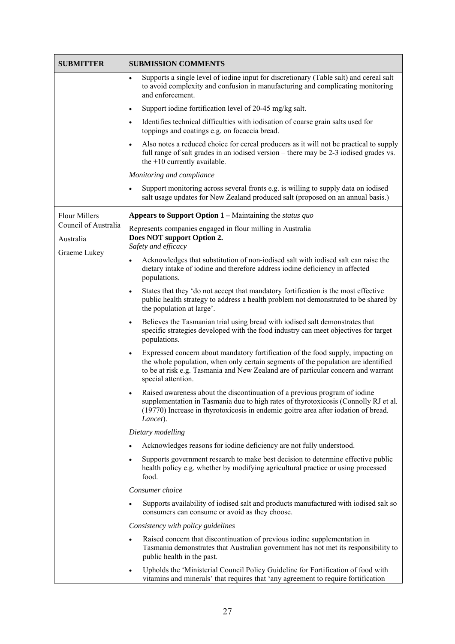| <b>SUBMITTER</b>                  | <b>SUBMISSION COMMENTS</b>                                                                                                                                                                                                                                                                    |
|-----------------------------------|-----------------------------------------------------------------------------------------------------------------------------------------------------------------------------------------------------------------------------------------------------------------------------------------------|
|                                   | Supports a single level of iodine input for discretionary (Table salt) and cereal salt<br>$\bullet$<br>to avoid complexity and confusion in manufacturing and complicating monitoring<br>and enforcement.                                                                                     |
|                                   | Support iodine fortification level of 20-45 mg/kg salt.<br>$\bullet$                                                                                                                                                                                                                          |
|                                   | Identifies technical difficulties with iodisation of coarse grain salts used for<br>$\bullet$<br>toppings and coatings e.g. on focaccia bread.                                                                                                                                                |
|                                   | Also notes a reduced choice for cereal producers as it will not be practical to supply<br>$\bullet$<br>full range of salt grades in an iodised version – there may be 2-3 iodised grades vs.<br>the +10 currently available.                                                                  |
|                                   | Monitoring and compliance                                                                                                                                                                                                                                                                     |
|                                   | Support monitoring across several fronts e.g. is willing to supply data on iodised<br>$\bullet$<br>salt usage updates for New Zealand produced salt (proposed on an annual basis.)                                                                                                            |
| <b>Flour Millers</b>              | <b>Appears to Support Option 1</b> – Maintaining the <i>status quo</i>                                                                                                                                                                                                                        |
| Council of Australia<br>Australia | Represents companies engaged in flour milling in Australia<br>Does NOT support Option 2.<br>Safety and efficacy                                                                                                                                                                               |
| Graeme Lukey                      | Acknowledges that substitution of non-iodised salt with iodised salt can raise the<br>$\bullet$<br>dietary intake of iodine and therefore address iodine deficiency in affected<br>populations.                                                                                               |
|                                   | States that they 'do not accept that mandatory fortification is the most effective<br>$\bullet$<br>public health strategy to address a health problem not demonstrated to be shared by<br>the population at large'.                                                                           |
|                                   | Believes the Tasmanian trial using bread with iodised salt demonstrates that<br>$\bullet$<br>specific strategies developed with the food industry can meet objectives for target<br>populations.                                                                                              |
|                                   | Expressed concern about mandatory fortification of the food supply, impacting on<br>$\bullet$<br>the whole population, when only certain segments of the population are identified<br>to be at risk e.g. Tasmania and New Zealand are of particular concern and warrant<br>special attention. |
|                                   | Raised awareness about the discontinuation of a previous program of iodine<br>$\bullet$<br>supplementation in Tasmania due to high rates of thyrotoxicosis (Connolly RJ et al.<br>(19770) Increase in thyrotoxicosis in endemic goitre area after iodation of bread.<br>Lancet).              |
|                                   | Dietary modelling                                                                                                                                                                                                                                                                             |
|                                   | Acknowledges reasons for iodine deficiency are not fully understood.<br>$\bullet$                                                                                                                                                                                                             |
|                                   | Supports government research to make best decision to determine effective public<br>$\bullet$<br>health policy e.g. whether by modifying agricultural practice or using processed<br>food.                                                                                                    |
|                                   | Consumer choice                                                                                                                                                                                                                                                                               |
|                                   | Supports availability of iodised salt and products manufactured with iodised salt so<br>$\bullet$<br>consumers can consume or avoid as they choose.                                                                                                                                           |
|                                   | Consistency with policy guidelines                                                                                                                                                                                                                                                            |
|                                   | Raised concern that discontinuation of previous iodine supplementation in<br>$\bullet$<br>Tasmania demonstrates that Australian government has not met its responsibility to<br>public health in the past.                                                                                    |
|                                   | Upholds the 'Ministerial Council Policy Guideline for Fortification of food with<br>$\bullet$<br>vitamins and minerals' that requires that 'any agreement to require fortification                                                                                                            |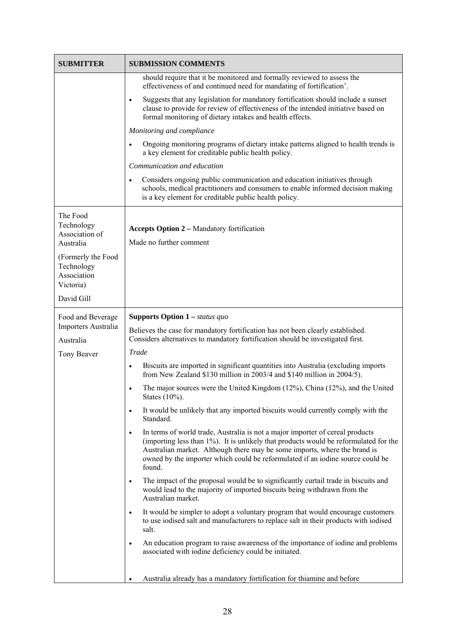| <b>SUBMITTER</b>                                                                                                      | <b>SUBMISSION COMMENTS</b>                                                                                                                                                                                                                                                                                                                                  |
|-----------------------------------------------------------------------------------------------------------------------|-------------------------------------------------------------------------------------------------------------------------------------------------------------------------------------------------------------------------------------------------------------------------------------------------------------------------------------------------------------|
|                                                                                                                       | should require that it be monitored and formally reviewed to assess the<br>effectiveness of and continued need for mandating of fortification'.                                                                                                                                                                                                             |
|                                                                                                                       | Suggests that any legislation for mandatory fortification should include a sunset<br>$\bullet$<br>clause to provide for review of effectiveness of the intended initiative based on<br>formal monitoring of dietary intakes and health effects.                                                                                                             |
|                                                                                                                       | Monitoring and compliance                                                                                                                                                                                                                                                                                                                                   |
|                                                                                                                       | Ongoing monitoring programs of dietary intake patterns aligned to health trends is<br>$\bullet$<br>a key element for creditable public health policy.                                                                                                                                                                                                       |
|                                                                                                                       | Communication and education                                                                                                                                                                                                                                                                                                                                 |
|                                                                                                                       | Considers ongoing public communication and education initiatives through<br>$\bullet$<br>schools, medical practitioners and consumers to enable informed decision making<br>is a key element for creditable public health policy.                                                                                                                           |
| The Food<br>Technology<br>Association of<br>Australia<br>(Formerly the Food<br>Technology<br>Association<br>Victoria) | <b>Accepts Option 2 – Mandatory fortification</b><br>Made no further comment                                                                                                                                                                                                                                                                                |
| David Gill                                                                                                            |                                                                                                                                                                                                                                                                                                                                                             |
| Food and Beverage<br>Importers Australia<br>Australia                                                                 | <b>Supports Option 1</b> – status quo<br>Believes the case for mandatory fortification has not been clearly established.<br>Considers alternatives to mandatory fortification should be investigated first.                                                                                                                                                 |
| Tony Beaver                                                                                                           | Trade<br>Biscuits are imported in significant quantities into Australia (excluding imports<br>$\bullet$                                                                                                                                                                                                                                                     |
|                                                                                                                       | from New Zealand \$130 million in 2003/4 and \$140 million in 2004/5).                                                                                                                                                                                                                                                                                      |
|                                                                                                                       | The major sources were the United Kingdom (12%), China (12%), and the United<br>$\bullet$<br>States (10%).                                                                                                                                                                                                                                                  |
|                                                                                                                       | It would be unlikely that any imported biscuits would currently comply with the<br>$\bullet$<br>Standard.                                                                                                                                                                                                                                                   |
|                                                                                                                       | In terms of world trade, Australia is not a major importer of cereal products<br>$\bullet$<br>(importing less than 1%). It is unlikely that products would be reformulated for the<br>Australian market. Although there may be some imports, where the brand is<br>owned by the importer which could be reformulated if an iodine source could be<br>found. |
|                                                                                                                       | The impact of the proposal would be to significantly curtail trade in biscuits and<br>$\bullet$<br>would lead to the majority of imported biscuits being withdrawn from the<br>Australian market.                                                                                                                                                           |
|                                                                                                                       | It would be simpler to adopt a voluntary program that would encourage customers<br>$\bullet$<br>to use iodised salt and manufacturers to replace salt in their products with iodised<br>salt.                                                                                                                                                               |
|                                                                                                                       | An education program to raise awareness of the importance of iodine and problems<br>$\bullet$<br>associated with iodine deficiency could be initiated.                                                                                                                                                                                                      |
|                                                                                                                       | Australia already has a mandatory fortification for thiamine and before                                                                                                                                                                                                                                                                                     |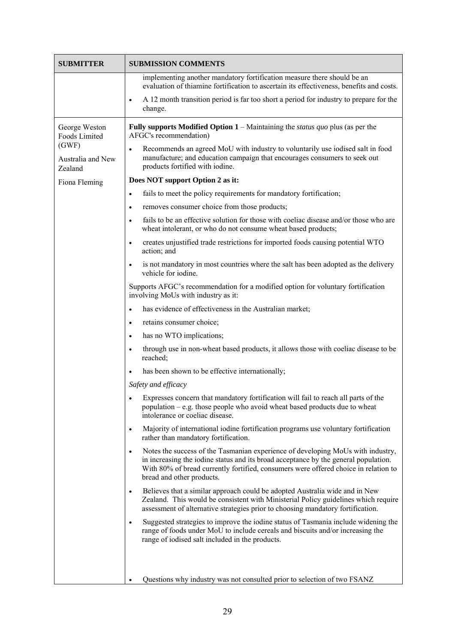| <b>SUBMITTER</b>                                                                         | <b>SUBMISSION COMMENTS</b>                                                                                                                                                                                                                                                                                                                                                                                                                                                                                                                                                                                                                                                                                                                                                                                                                                                                                                                                                                                                                                                                                                                                                                                                                                                                                                                                                                                                                                                                                                                                                                                                                                                                                                                                                                                                                                                                                                                                                                                                                                                                                                                                                                                                                                                                                                                                                                                                                                                                                                                                                                                   |
|------------------------------------------------------------------------------------------|--------------------------------------------------------------------------------------------------------------------------------------------------------------------------------------------------------------------------------------------------------------------------------------------------------------------------------------------------------------------------------------------------------------------------------------------------------------------------------------------------------------------------------------------------------------------------------------------------------------------------------------------------------------------------------------------------------------------------------------------------------------------------------------------------------------------------------------------------------------------------------------------------------------------------------------------------------------------------------------------------------------------------------------------------------------------------------------------------------------------------------------------------------------------------------------------------------------------------------------------------------------------------------------------------------------------------------------------------------------------------------------------------------------------------------------------------------------------------------------------------------------------------------------------------------------------------------------------------------------------------------------------------------------------------------------------------------------------------------------------------------------------------------------------------------------------------------------------------------------------------------------------------------------------------------------------------------------------------------------------------------------------------------------------------------------------------------------------------------------------------------------------------------------------------------------------------------------------------------------------------------------------------------------------------------------------------------------------------------------------------------------------------------------------------------------------------------------------------------------------------------------------------------------------------------------------------------------------------------------|
|                                                                                          | implementing another mandatory fortification measure there should be an<br>evaluation of thiamine fortification to ascertain its effectiveness, benefits and costs.                                                                                                                                                                                                                                                                                                                                                                                                                                                                                                                                                                                                                                                                                                                                                                                                                                                                                                                                                                                                                                                                                                                                                                                                                                                                                                                                                                                                                                                                                                                                                                                                                                                                                                                                                                                                                                                                                                                                                                                                                                                                                                                                                                                                                                                                                                                                                                                                                                          |
|                                                                                          | A 12 month transition period is far too short a period for industry to prepare for the<br>$\bullet$<br>change.                                                                                                                                                                                                                                                                                                                                                                                                                                                                                                                                                                                                                                                                                                                                                                                                                                                                                                                                                                                                                                                                                                                                                                                                                                                                                                                                                                                                                                                                                                                                                                                                                                                                                                                                                                                                                                                                                                                                                                                                                                                                                                                                                                                                                                                                                                                                                                                                                                                                                               |
| George Weston<br>Foods Limited<br>(GWF)<br>Australia and New<br>Zealand<br>Fiona Fleming | Fully supports Modified Option $1$ – Maintaining the <i>status quo</i> plus (as per the<br>AFGC's recommendation)<br>Recommends an agreed MoU with industry to voluntarily use iodised salt in food<br>$\bullet$<br>manufacture; and education campaign that encourages consumers to seek out<br>products fortified with iodine.<br>Does NOT support Option 2 as it:<br>fails to meet the policy requirements for mandatory fortification;<br>$\bullet$<br>removes consumer choice from those products;<br>$\bullet$<br>fails to be an effective solution for those with coeliac disease and/or those who are<br>$\bullet$<br>wheat intolerant, or who do not consume wheat based products;<br>creates unjustified trade restrictions for imported foods causing potential WTO<br>$\bullet$<br>action; and<br>is not mandatory in most countries where the salt has been adopted as the delivery<br>$\bullet$<br>vehicle for iodine.<br>Supports AFGC's recommendation for a modified option for voluntary fortification<br>involving MoUs with industry as it:<br>has evidence of effectiveness in the Australian market;<br>$\bullet$<br>retains consumer choice;<br>$\bullet$<br>has no WTO implications;<br>$\bullet$<br>through use in non-wheat based products, it allows those with coeliac disease to be<br>$\bullet$<br>reached;<br>has been shown to be effective internationally;<br>$\bullet$<br>Safety and efficacy<br>Expresses concern that mandatory fortification will fail to reach all parts of the<br>population $-e.g.$ those people who avoid wheat based products due to wheat<br>intolerance or coeliac disease.<br>Majority of international iodine fortification programs use voluntary fortification<br>$\bullet$<br>rather than mandatory fortification.<br>Notes the success of the Tasmanian experience of developing MoUs with industry,<br>$\bullet$<br>in increasing the iodine status and its broad acceptance by the general population.<br>With 80% of bread currently fortified, consumers were offered choice in relation to<br>bread and other products.<br>Believes that a similar approach could be adopted Australia wide and in New<br>$\bullet$<br>Zealand. This would be consistent with Ministerial Policy guidelines which require<br>assessment of alternative strategies prior to choosing mandatory fortification.<br>Suggested strategies to improve the iodine status of Tasmania include widening the<br>$\bullet$<br>range of foods under MoU to include cereals and biscuits and/or increasing the<br>range of iodised salt included in the products. |
|                                                                                          | Questions why industry was not consulted prior to selection of two FSANZ<br>٠                                                                                                                                                                                                                                                                                                                                                                                                                                                                                                                                                                                                                                                                                                                                                                                                                                                                                                                                                                                                                                                                                                                                                                                                                                                                                                                                                                                                                                                                                                                                                                                                                                                                                                                                                                                                                                                                                                                                                                                                                                                                                                                                                                                                                                                                                                                                                                                                                                                                                                                                |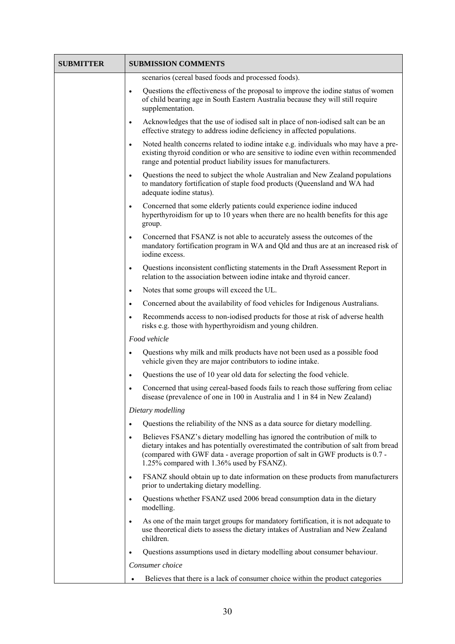| <b>SUBMITTER</b> | <b>SUBMISSION COMMENTS</b>                                                                                                                                                                                                                                                                                     |
|------------------|----------------------------------------------------------------------------------------------------------------------------------------------------------------------------------------------------------------------------------------------------------------------------------------------------------------|
|                  | scenarios (cereal based foods and processed foods).                                                                                                                                                                                                                                                            |
|                  | Questions the effectiveness of the proposal to improve the iodine status of women<br>$\bullet$<br>of child bearing age in South Eastern Australia because they will still require<br>supplementation.                                                                                                          |
|                  | Acknowledges that the use of iodised salt in place of non-iodised salt can be an<br>$\bullet$<br>effective strategy to address iodine deficiency in affected populations.                                                                                                                                      |
|                  | Noted health concerns related to iodine intake e.g. individuals who may have a pre-<br>$\bullet$<br>existing thyroid condition or who are sensitive to iodine even within recommended<br>range and potential product liability issues for manufacturers.                                                       |
|                  | Questions the need to subject the whole Australian and New Zealand populations<br>$\bullet$<br>to mandatory fortification of staple food products (Queensland and WA had<br>adequate iodine status).                                                                                                           |
|                  | Concerned that some elderly patients could experience iodine induced<br>$\bullet$<br>hyperthyroidism for up to 10 years when there are no health benefits for this age<br>group.                                                                                                                               |
|                  | Concerned that FSANZ is not able to accurately assess the outcomes of the<br>$\bullet$<br>mandatory fortification program in WA and Qld and thus are at an increased risk of<br>iodine excess.                                                                                                                 |
|                  | Questions inconsistent conflicting statements in the Draft Assessment Report in<br>$\bullet$<br>relation to the association between iodine intake and thyroid cancer.                                                                                                                                          |
|                  | Notes that some groups will exceed the UL.<br>$\bullet$                                                                                                                                                                                                                                                        |
|                  | Concerned about the availability of food vehicles for Indigenous Australians.<br>$\bullet$                                                                                                                                                                                                                     |
|                  | Recommends access to non-iodised products for those at risk of adverse health<br>$\bullet$<br>risks e.g. those with hyperthyroidism and young children.                                                                                                                                                        |
|                  | Food vehicle                                                                                                                                                                                                                                                                                                   |
|                  | Questions why milk and milk products have not been used as a possible food<br>$\bullet$<br>vehicle given they are major contributors to iodine intake.                                                                                                                                                         |
|                  | Questions the use of 10 year old data for selecting the food vehicle.<br>$\bullet$                                                                                                                                                                                                                             |
|                  | Concerned that using cereal-based foods fails to reach those suffering from celiac<br>$\bullet$<br>disease (prevalence of one in 100 in Australia and 1 in 84 in New Zealand)                                                                                                                                  |
|                  | Dietary modelling                                                                                                                                                                                                                                                                                              |
|                  | Questions the reliability of the NNS as a data source for dietary modelling.<br>$\bullet$                                                                                                                                                                                                                      |
|                  | Believes FSANZ's dietary modelling has ignored the contribution of milk to<br>$\bullet$<br>dietary intakes and has potentially overestimated the contribution of salt from bread<br>(compared with GWF data - average proportion of salt in GWF products is 0.7 -<br>1.25% compared with 1.36% used by FSANZ). |
|                  | FSANZ should obtain up to date information on these products from manufacturers<br>$\bullet$<br>prior to undertaking dietary modelling.                                                                                                                                                                        |
|                  | Questions whether FSANZ used 2006 bread consumption data in the dietary<br>$\bullet$<br>modelling.                                                                                                                                                                                                             |
|                  | As one of the main target groups for mandatory fortification, it is not adequate to<br>$\bullet$<br>use theoretical diets to assess the dietary intakes of Australian and New Zealand<br>children.                                                                                                             |
|                  | Questions assumptions used in dietary modelling about consumer behaviour.<br>$\bullet$                                                                                                                                                                                                                         |
|                  | Consumer choice                                                                                                                                                                                                                                                                                                |
|                  | Believes that there is a lack of consumer choice within the product categories                                                                                                                                                                                                                                 |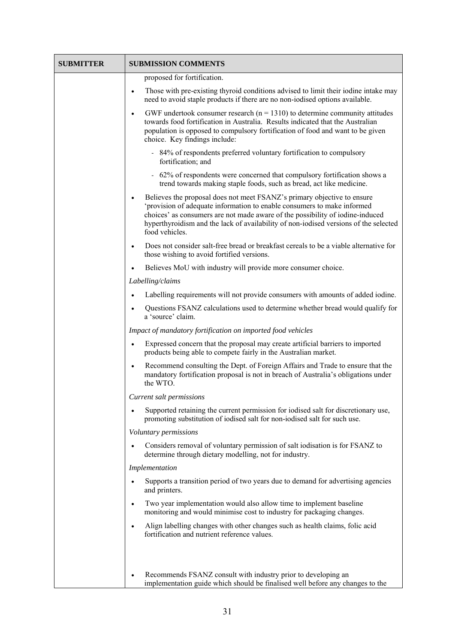| <b>SUBMITTER</b> | <b>SUBMISSION COMMENTS</b>                                                                                                                                                                                                                                                                                                                                 |
|------------------|------------------------------------------------------------------------------------------------------------------------------------------------------------------------------------------------------------------------------------------------------------------------------------------------------------------------------------------------------------|
|                  | proposed for fortification.                                                                                                                                                                                                                                                                                                                                |
|                  | Those with pre-existing thyroid conditions advised to limit their iodine intake may<br>$\bullet$<br>need to avoid staple products if there are no non-iodised options available.                                                                                                                                                                           |
|                  | GWF undertook consumer research ( $n = 1310$ ) to determine community attitudes<br>$\bullet$<br>towards food fortification in Australia. Results indicated that the Australian<br>population is opposed to compulsory fortification of food and want to be given<br>choice. Key findings include:                                                          |
|                  | - 84% of respondents preferred voluntary fortification to compulsory<br>fortification; and                                                                                                                                                                                                                                                                 |
|                  | - 62% of respondents were concerned that compulsory fortification shows a<br>trend towards making staple foods, such as bread, act like medicine.                                                                                                                                                                                                          |
|                  | Believes the proposal does not meet FSANZ's primary objective to ensure<br>$\bullet$<br>'provision of adequate information to enable consumers to make informed<br>choices' as consumers are not made aware of the possibility of iodine-induced<br>hyperthyroidism and the lack of availability of non-iodised versions of the selected<br>food vehicles. |
|                  | Does not consider salt-free bread or breakfast cereals to be a viable alternative for<br>those wishing to avoid fortified versions.                                                                                                                                                                                                                        |
|                  | Believes MoU with industry will provide more consumer choice.                                                                                                                                                                                                                                                                                              |
|                  | Labelling/claims                                                                                                                                                                                                                                                                                                                                           |
|                  | Labelling requirements will not provide consumers with amounts of added iodine.                                                                                                                                                                                                                                                                            |
|                  | Questions FSANZ calculations used to determine whether bread would qualify for<br>a 'source' claim.                                                                                                                                                                                                                                                        |
|                  | Impact of mandatory fortification on imported food vehicles                                                                                                                                                                                                                                                                                                |
|                  | Expressed concern that the proposal may create artificial barriers to imported<br>$\bullet$<br>products being able to compete fairly in the Australian market.                                                                                                                                                                                             |
|                  | Recommend consulting the Dept. of Foreign Affairs and Trade to ensure that the<br>$\bullet$<br>mandatory fortification proposal is not in breach of Australia's obligations under<br>the WTO.                                                                                                                                                              |
|                  | Current salt permissions                                                                                                                                                                                                                                                                                                                                   |
|                  | Supported retaining the current permission for iodised salt for discretionary use,<br>$\bullet$<br>promoting substitution of iodised salt for non-iodised salt for such use.                                                                                                                                                                               |
|                  | Voluntary permissions                                                                                                                                                                                                                                                                                                                                      |
|                  | Considers removal of voluntary permission of salt iodisation is for FSANZ to<br>determine through dietary modelling, not for industry.                                                                                                                                                                                                                     |
|                  | Implementation                                                                                                                                                                                                                                                                                                                                             |
|                  | Supports a transition period of two years due to demand for advertising agencies<br>and printers.                                                                                                                                                                                                                                                          |
|                  | Two year implementation would also allow time to implement baseline<br>$\bullet$<br>monitoring and would minimise cost to industry for packaging changes.                                                                                                                                                                                                  |
|                  | Align labelling changes with other changes such as health claims, folic acid<br>$\bullet$<br>fortification and nutrient reference values.                                                                                                                                                                                                                  |
|                  |                                                                                                                                                                                                                                                                                                                                                            |
|                  | Recommends FSANZ consult with industry prior to developing an<br>implementation guide which should be finalised well before any changes to the                                                                                                                                                                                                             |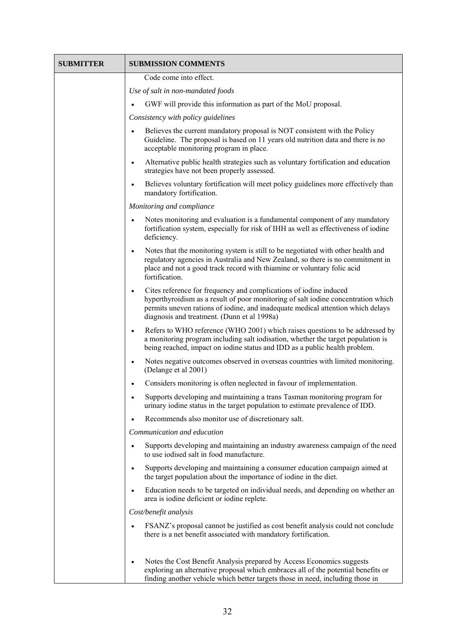| <b>SUBMITTER</b> | <b>SUBMISSION COMMENTS</b>                                                                                                                                                                                                                                                                            |
|------------------|-------------------------------------------------------------------------------------------------------------------------------------------------------------------------------------------------------------------------------------------------------------------------------------------------------|
|                  | Code come into effect.                                                                                                                                                                                                                                                                                |
|                  | Use of salt in non-mandated foods                                                                                                                                                                                                                                                                     |
|                  | GWF will provide this information as part of the MoU proposal.                                                                                                                                                                                                                                        |
|                  | Consistency with policy guidelines                                                                                                                                                                                                                                                                    |
|                  | Believes the current mandatory proposal is NOT consistent with the Policy<br>Guideline. The proposal is based on 11 years old nutrition data and there is no<br>acceptable monitoring program in place.                                                                                               |
|                  | Alternative public health strategies such as voluntary fortification and education<br>$\bullet$<br>strategies have not been properly assessed.                                                                                                                                                        |
|                  | Believes voluntary fortification will meet policy guidelines more effectively than<br>$\bullet$<br>mandatory fortification.                                                                                                                                                                           |
|                  | Monitoring and compliance                                                                                                                                                                                                                                                                             |
|                  | Notes monitoring and evaluation is a fundamental component of any mandatory<br>fortification system, especially for risk of IHH as well as effectiveness of iodine<br>deficiency.                                                                                                                     |
|                  | Notes that the monitoring system is still to be negotiated with other health and<br>regulatory agencies in Australia and New Zealand, so there is no commitment in<br>place and not a good track record with thiamine or voluntary folic acid<br>fortification.                                       |
|                  | Cites reference for frequency and complications of iodine induced<br>$\bullet$<br>hyperthyroidism as a result of poor monitoring of salt iodine concentration which<br>permits uneven rations of iodine, and inadequate medical attention which delays<br>diagnosis and treatment. (Dunn et al 1998a) |
|                  | Refers to WHO reference (WHO 2001) which raises questions to be addressed by<br>$\bullet$<br>a monitoring program including salt iodisation, whether the target population is<br>being reached, impact on iodine status and IDD as a public health problem.                                           |
|                  | Notes negative outcomes observed in overseas countries with limited monitoring.<br>$\bullet$<br>(Delange et al 2001)                                                                                                                                                                                  |
|                  | Considers monitoring is often neglected in favour of implementation.                                                                                                                                                                                                                                  |
|                  | Supports developing and maintaining a trans Tasman monitoring program for<br>urinary iodine status in the target population to estimate prevalence of IDD.                                                                                                                                            |
|                  | Recommends also monitor use of discretionary salt.<br>$\bullet$                                                                                                                                                                                                                                       |
|                  | Communication and education                                                                                                                                                                                                                                                                           |
|                  | Supports developing and maintaining an industry awareness campaign of the need<br>$\bullet$<br>to use iodised salt in food manufacture.                                                                                                                                                               |
|                  | Supports developing and maintaining a consumer education campaign aimed at<br>the target population about the importance of iodine in the diet.                                                                                                                                                       |
|                  | Education needs to be targeted on individual needs, and depending on whether an<br>$\bullet$<br>area is iodine deficient or iodine replete.                                                                                                                                                           |
|                  | Cost/benefit analysis                                                                                                                                                                                                                                                                                 |
|                  | FSANZ's proposal cannot be justified as cost benefit analysis could not conclude<br>there is a net benefit associated with mandatory fortification.                                                                                                                                                   |
|                  | Notes the Cost Benefit Analysis prepared by Access Economics suggests<br>$\bullet$<br>exploring an alternative proposal which embraces all of the potential benefits or<br>finding another vehicle which better targets those in need, including those in                                             |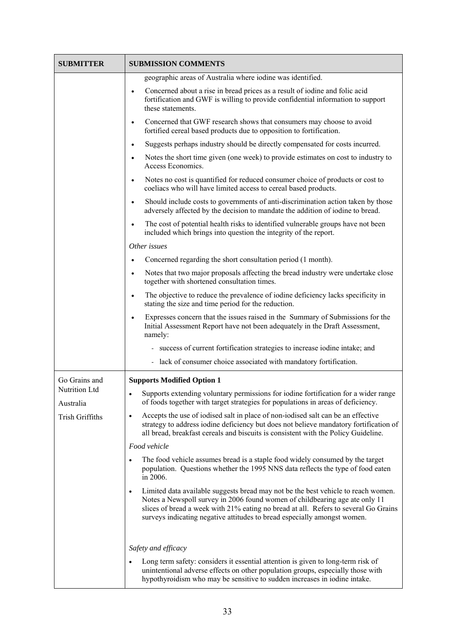| <b>SUBMITTER</b>                              | <b>SUBMISSION COMMENTS</b>                                                                                                                                                                                                                                                                                                               |
|-----------------------------------------------|------------------------------------------------------------------------------------------------------------------------------------------------------------------------------------------------------------------------------------------------------------------------------------------------------------------------------------------|
|                                               | geographic areas of Australia where iodine was identified.                                                                                                                                                                                                                                                                               |
|                                               | Concerned about a rise in bread prices as a result of iodine and folic acid<br>fortification and GWF is willing to provide confidential information to support<br>these statements.                                                                                                                                                      |
|                                               | Concerned that GWF research shows that consumers may choose to avoid<br>$\bullet$<br>fortified cereal based products due to opposition to fortification.                                                                                                                                                                                 |
|                                               | Suggests perhaps industry should be directly compensated for costs incurred.<br>$\bullet$                                                                                                                                                                                                                                                |
|                                               | Notes the short time given (one week) to provide estimates on cost to industry to<br>$\bullet$<br>Access Economics.                                                                                                                                                                                                                      |
|                                               | Notes no cost is quantified for reduced consumer choice of products or cost to<br>$\bullet$<br>coeliacs who will have limited access to cereal based products.                                                                                                                                                                           |
|                                               | Should include costs to governments of anti-discrimination action taken by those<br>$\bullet$<br>adversely affected by the decision to mandate the addition of iodine to bread.                                                                                                                                                          |
|                                               | The cost of potential health risks to identified vulnerable groups have not been<br>$\bullet$<br>included which brings into question the integrity of the report.                                                                                                                                                                        |
|                                               | Other issues                                                                                                                                                                                                                                                                                                                             |
|                                               | Concerned regarding the short consultation period (1 month).<br>$\bullet$                                                                                                                                                                                                                                                                |
|                                               | Notes that two major proposals affecting the bread industry were undertake close<br>$\bullet$<br>together with shortened consultation times.                                                                                                                                                                                             |
|                                               | The objective to reduce the prevalence of iodine deficiency lacks specificity in<br>$\bullet$<br>stating the size and time period for the reduction.                                                                                                                                                                                     |
|                                               | Expresses concern that the issues raised in the Summary of Submissions for the<br>Initial Assessment Report have not been adequately in the Draft Assessment,<br>namely:                                                                                                                                                                 |
|                                               | - success of current fortification strategies to increase iodine intake; and                                                                                                                                                                                                                                                             |
|                                               | lack of consumer choice associated with mandatory fortification.                                                                                                                                                                                                                                                                         |
| Go Grains and                                 | <b>Supports Modified Option 1</b>                                                                                                                                                                                                                                                                                                        |
| Nutrition Ltd<br>Australia<br>Trish Griffiths | Supports extending voluntary permissions for iodine fortification for a wider range<br>$\bullet$<br>of foods together with target strategies for populations in areas of deficiency.                                                                                                                                                     |
|                                               | Accepts the use of iodised salt in place of non-iodised salt can be an effective<br>$\bullet$<br>strategy to address iodine deficiency but does not believe mandatory fortification of<br>all bread, breakfast cereals and biscuits is consistent with the Policy Guideline.                                                             |
|                                               | Food vehicle                                                                                                                                                                                                                                                                                                                             |
|                                               | The food vehicle assumes bread is a staple food widely consumed by the target<br>$\bullet$<br>population. Questions whether the 1995 NNS data reflects the type of food eaten<br>in 2006.                                                                                                                                                |
|                                               | Limited data available suggests bread may not be the best vehicle to reach women.<br>٠<br>Notes a Newspoll survey in 2006 found women of childbearing age ate only 11<br>slices of bread a week with 21% eating no bread at all. Refers to several Go Grains<br>surveys indicating negative attitudes to bread especially amongst women. |
|                                               | Safety and efficacy                                                                                                                                                                                                                                                                                                                      |
|                                               | Long term safety: considers it essential attention is given to long-term risk of<br>$\bullet$<br>unintentional adverse effects on other population groups, especially those with<br>hypothyroidism who may be sensitive to sudden increases in iodine intake.                                                                            |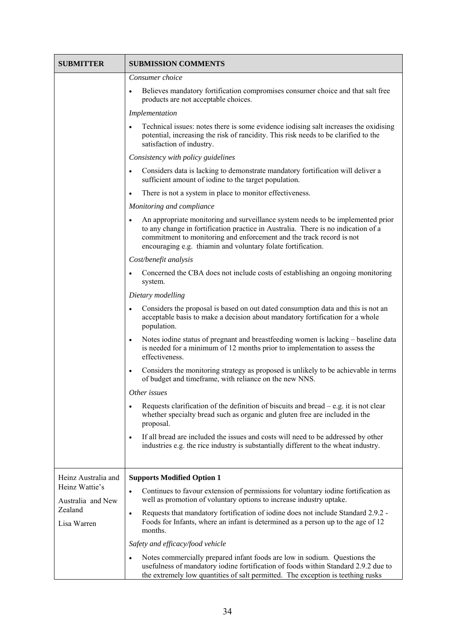| <b>SUBMITTER</b>                                                                     | <b>SUBMISSION COMMENTS</b>                                                                                                                                                                                                                                                                                                |
|--------------------------------------------------------------------------------------|---------------------------------------------------------------------------------------------------------------------------------------------------------------------------------------------------------------------------------------------------------------------------------------------------------------------------|
|                                                                                      | Consumer choice                                                                                                                                                                                                                                                                                                           |
|                                                                                      | Believes mandatory fortification compromises consumer choice and that salt free<br>$\bullet$<br>products are not acceptable choices.                                                                                                                                                                                      |
|                                                                                      | Implementation                                                                                                                                                                                                                                                                                                            |
|                                                                                      | Technical issues: notes there is some evidence iodising salt increases the oxidising<br>$\bullet$<br>potential, increasing the risk of rancidity. This risk needs to be clarified to the<br>satisfaction of industry.                                                                                                     |
|                                                                                      | Consistency with policy guidelines                                                                                                                                                                                                                                                                                        |
|                                                                                      | Considers data is lacking to demonstrate mandatory fortification will deliver a<br>$\bullet$<br>sufficient amount of iodine to the target population.                                                                                                                                                                     |
|                                                                                      | There is not a system in place to monitor effectiveness.<br>$\bullet$                                                                                                                                                                                                                                                     |
|                                                                                      | Monitoring and compliance                                                                                                                                                                                                                                                                                                 |
|                                                                                      | An appropriate monitoring and surveillance system needs to be implemented prior<br>$\bullet$<br>to any change in fortification practice in Australia. There is no indication of a<br>commitment to monitoring and enforcement and the track record is not<br>encouraging e.g. thiamin and voluntary folate fortification. |
|                                                                                      | Cost/benefit analysis                                                                                                                                                                                                                                                                                                     |
|                                                                                      | Concerned the CBA does not include costs of establishing an ongoing monitoring<br>$\bullet$<br>system.                                                                                                                                                                                                                    |
|                                                                                      | Dietary modelling                                                                                                                                                                                                                                                                                                         |
|                                                                                      | Considers the proposal is based on out dated consumption data and this is not an<br>$\bullet$<br>acceptable basis to make a decision about mandatory fortification for a whole<br>population.                                                                                                                             |
|                                                                                      | Notes iodine status of pregnant and breastfeeding women is lacking - baseline data<br>$\bullet$<br>is needed for a minimum of 12 months prior to implementation to assess the<br>effectiveness.                                                                                                                           |
|                                                                                      | Considers the monitoring strategy as proposed is unlikely to be achievable in terms<br>$\bullet$<br>of budget and timeframe, with reliance on the new NNS.                                                                                                                                                                |
|                                                                                      | Other issues                                                                                                                                                                                                                                                                                                              |
|                                                                                      | Requests clarification of the definition of biscuits and bread $-$ e.g. it is not clear<br>$\bullet$<br>whether specialty bread such as organic and gluten free are included in the<br>proposal.                                                                                                                          |
|                                                                                      | If all bread are included the issues and costs will need to be addressed by other<br>$\bullet$<br>industries e.g. the rice industry is substantially different to the wheat industry.                                                                                                                                     |
| Heinz Australia and<br>Heinz Wattie's<br>Australia and New<br>Zealand<br>Lisa Warren | <b>Supports Modified Option 1</b>                                                                                                                                                                                                                                                                                         |
|                                                                                      | Continues to favour extension of permissions for voluntary iodine fortification as<br>$\bullet$<br>well as promotion of voluntary options to increase industry uptake.                                                                                                                                                    |
|                                                                                      | Requests that mandatory fortification of iodine does not include Standard 2.9.2 -<br>$\bullet$<br>Foods for Infants, where an infant is determined as a person up to the age of 12<br>months.                                                                                                                             |
|                                                                                      | Safety and efficacy/food vehicle                                                                                                                                                                                                                                                                                          |
|                                                                                      | Notes commercially prepared infant foods are low in sodium. Questions the<br>$\bullet$<br>usefulness of mandatory iodine fortification of foods within Standard 2.9.2 due to<br>the extremely low quantities of salt permitted. The exception is teething rusks                                                           |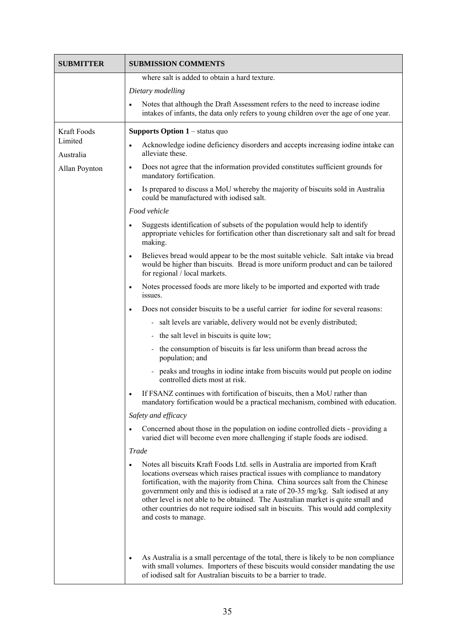| <b>SUBMITTER</b>                      | <b>SUBMISSION COMMENTS</b>                                                                                                                                                                                                                                                                                                                                                                                                                                                                                                                              |
|---------------------------------------|---------------------------------------------------------------------------------------------------------------------------------------------------------------------------------------------------------------------------------------------------------------------------------------------------------------------------------------------------------------------------------------------------------------------------------------------------------------------------------------------------------------------------------------------------------|
|                                       | where salt is added to obtain a hard texture.                                                                                                                                                                                                                                                                                                                                                                                                                                                                                                           |
|                                       | Dietary modelling                                                                                                                                                                                                                                                                                                                                                                                                                                                                                                                                       |
|                                       | Notes that although the Draft Assessment refers to the need to increase iodine<br>$\bullet$<br>intakes of infants, the data only refers to young children over the age of one year.                                                                                                                                                                                                                                                                                                                                                                     |
| Kraft Foods                           | <b>Supports Option <math>1</math></b> – status quo                                                                                                                                                                                                                                                                                                                                                                                                                                                                                                      |
| Limited<br>Australia<br>Allan Poynton | Acknowledge iodine deficiency disorders and accepts increasing iodine intake can<br>$\bullet$<br>alleviate these.                                                                                                                                                                                                                                                                                                                                                                                                                                       |
|                                       | Does not agree that the information provided constitutes sufficient grounds for<br>$\bullet$<br>mandatory fortification.                                                                                                                                                                                                                                                                                                                                                                                                                                |
|                                       | Is prepared to discuss a MoU whereby the majority of biscuits sold in Australia<br>$\bullet$<br>could be manufactured with iodised salt.                                                                                                                                                                                                                                                                                                                                                                                                                |
|                                       | Food vehicle                                                                                                                                                                                                                                                                                                                                                                                                                                                                                                                                            |
|                                       | Suggests identification of subsets of the population would help to identify<br>$\bullet$<br>appropriate vehicles for fortification other than discretionary salt and salt for bread<br>making.                                                                                                                                                                                                                                                                                                                                                          |
|                                       | Believes bread would appear to be the most suitable vehicle. Salt intake via bread<br>$\bullet$<br>would be higher than biscuits. Bread is more uniform product and can be tailored<br>for regional / local markets.                                                                                                                                                                                                                                                                                                                                    |
|                                       | Notes processed foods are more likely to be imported and exported with trade<br>$\bullet$<br>issues.                                                                                                                                                                                                                                                                                                                                                                                                                                                    |
|                                       | Does not consider biscuits to be a useful carrier for iodine for several reasons:<br>$\bullet$                                                                                                                                                                                                                                                                                                                                                                                                                                                          |
|                                       | salt levels are variable, delivery would not be evenly distributed;                                                                                                                                                                                                                                                                                                                                                                                                                                                                                     |
|                                       | - the salt level in biscuits is quite low;                                                                                                                                                                                                                                                                                                                                                                                                                                                                                                              |
|                                       | the consumption of biscuits is far less uniform than bread across the<br>population; and                                                                                                                                                                                                                                                                                                                                                                                                                                                                |
|                                       | peaks and troughs in iodine intake from biscuits would put people on iodine<br>controlled diets most at risk.                                                                                                                                                                                                                                                                                                                                                                                                                                           |
|                                       | If FSANZ continues with fortification of biscuits, then a MoU rather than<br>mandatory fortification would be a practical mechanism, combined with education.                                                                                                                                                                                                                                                                                                                                                                                           |
|                                       | Safety and efficacy                                                                                                                                                                                                                                                                                                                                                                                                                                                                                                                                     |
|                                       | Concerned about those in the population on iodine controlled diets - providing a<br>$\bullet$<br>varied diet will become even more challenging if staple foods are iodised.                                                                                                                                                                                                                                                                                                                                                                             |
|                                       | Trade                                                                                                                                                                                                                                                                                                                                                                                                                                                                                                                                                   |
|                                       | Notes all biscuits Kraft Foods Ltd. sells in Australia are imported from Kraft<br>$\bullet$<br>locations overseas which raises practical issues with compliance to mandatory<br>fortification, with the majority from China. China sources salt from the Chinese<br>government only and this is iodised at a rate of 20-35 mg/kg. Salt iodised at any<br>other level is not able to be obtained. The Australian market is quite small and<br>other countries do not require iodised salt in biscuits. This would add complexity<br>and costs to manage. |
|                                       | As Australia is a small percentage of the total, there is likely to be non compliance<br>$\bullet$<br>with small volumes. Importers of these biscuits would consider mandating the use<br>of iodised salt for Australian biscuits to be a barrier to trade.                                                                                                                                                                                                                                                                                             |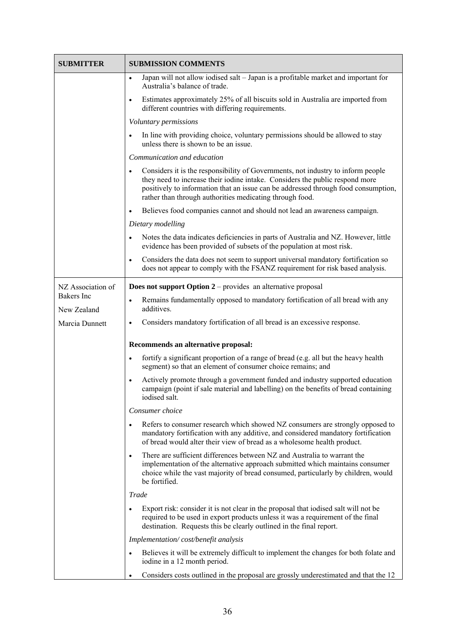| <b>SUBMITTER</b>  | <b>SUBMISSION COMMENTS</b>                                                                                                                                                                                                                                                                                                      |
|-------------------|---------------------------------------------------------------------------------------------------------------------------------------------------------------------------------------------------------------------------------------------------------------------------------------------------------------------------------|
|                   | Japan will not allow iodised salt - Japan is a profitable market and important for<br>$\bullet$<br>Australia's balance of trade.                                                                                                                                                                                                |
|                   | Estimates approximately 25% of all biscuits sold in Australia are imported from<br>$\bullet$<br>different countries with differing requirements.                                                                                                                                                                                |
|                   | Voluntary permissions                                                                                                                                                                                                                                                                                                           |
|                   | In line with providing choice, voluntary permissions should be allowed to stay<br>$\bullet$<br>unless there is shown to be an issue.                                                                                                                                                                                            |
|                   | Communication and education                                                                                                                                                                                                                                                                                                     |
|                   | Considers it is the responsibility of Governments, not industry to inform people<br>$\bullet$<br>they need to increase their iodine intake. Considers the public respond more<br>positively to information that an issue can be addressed through food consumption,<br>rather than through authorities medicating through food. |
|                   | Believes food companies cannot and should not lead an awareness campaign.<br>$\bullet$                                                                                                                                                                                                                                          |
|                   | Dietary modelling                                                                                                                                                                                                                                                                                                               |
|                   | Notes the data indicates deficiencies in parts of Australia and NZ. However, little<br>$\bullet$<br>evidence has been provided of subsets of the population at most risk.                                                                                                                                                       |
|                   | Considers the data does not seem to support universal mandatory fortification so<br>$\bullet$<br>does not appear to comply with the FSANZ requirement for risk based analysis.                                                                                                                                                  |
| NZ Association of | <b>Does not support Option 2</b> – provides an alternative proposal                                                                                                                                                                                                                                                             |
| Bakers Inc        | Remains fundamentally opposed to mandatory fortification of all bread with any<br>$\bullet$                                                                                                                                                                                                                                     |
| New Zealand       | additives.                                                                                                                                                                                                                                                                                                                      |
| Marcia Dunnett    | Considers mandatory fortification of all bread is an excessive response.<br>$\bullet$                                                                                                                                                                                                                                           |
|                   | Recommends an alternative proposal:                                                                                                                                                                                                                                                                                             |
|                   | fortify a significant proportion of a range of bread (e.g. all but the heavy health<br>$\bullet$<br>segment) so that an element of consumer choice remains; and                                                                                                                                                                 |
|                   | Actively promote through a government funded and industry supported education<br>$\bullet$<br>campaign (point if sale material and labelling) on the benefits of bread containing<br>iodised salt.                                                                                                                              |
|                   | Consumer choice                                                                                                                                                                                                                                                                                                                 |
|                   | Refers to consumer research which showed NZ consumers are strongly opposed to<br>$\bullet$<br>mandatory fortification with any additive, and considered mandatory fortification<br>of bread would alter their view of bread as a wholesome health product.                                                                      |
|                   | There are sufficient differences between NZ and Australia to warrant the<br>$\bullet$<br>implementation of the alternative approach submitted which maintains consumer<br>choice while the vast majority of bread consumed, particularly by children, would<br>be fortified.                                                    |
|                   | Trade                                                                                                                                                                                                                                                                                                                           |
|                   | Export risk: consider it is not clear in the proposal that iodised salt will not be<br>$\bullet$<br>required to be used in export products unless it was a requirement of the final<br>destination. Requests this be clearly outlined in the final report.                                                                      |
|                   | Implementation/cost/benefit analysis                                                                                                                                                                                                                                                                                            |
|                   | Believes it will be extremely difficult to implement the changes for both folate and<br>$\bullet$<br>iodine in a 12 month period.                                                                                                                                                                                               |
|                   | Considers costs outlined in the proposal are grossly underestimated and that the 12<br>٠                                                                                                                                                                                                                                        |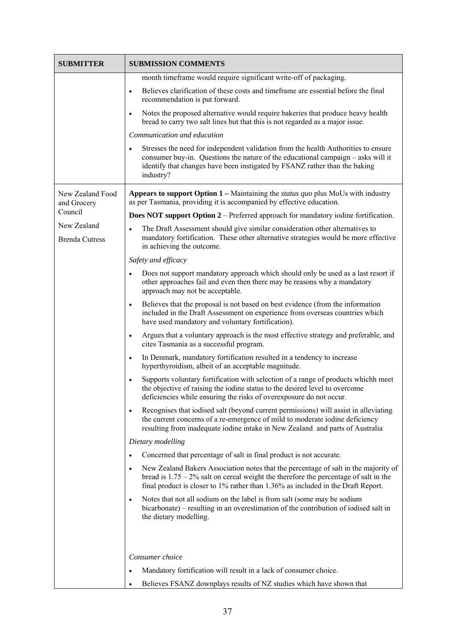| <b>SUBMITTER</b>                     | <b>SUBMISSION COMMENTS</b>                                                                                                                                                                                                                                                      |
|--------------------------------------|---------------------------------------------------------------------------------------------------------------------------------------------------------------------------------------------------------------------------------------------------------------------------------|
|                                      | month timeframe would require significant write-off of packaging.                                                                                                                                                                                                               |
|                                      | Believes clarification of these costs and timeframe are essential before the final<br>$\bullet$<br>recommendation is put forward.                                                                                                                                               |
|                                      | Notes the proposed alternative would require bakeries that produce heavy health<br>$\bullet$<br>bread to carry two salt lines but that this is not regarded as a major issue.                                                                                                   |
|                                      | Communication and education                                                                                                                                                                                                                                                     |
|                                      | Stresses the need for independent validation from the health Authorities to ensure<br>$\bullet$<br>consumer buy-in. Questions the nature of the educational campaign – asks will it<br>identify that changes have been instigated by FSANZ rather than the baking<br>industry?  |
| New Zealand Food<br>and Grocery      | <b>Appears to support Option 1</b> – Maintaining the <i>status quo</i> plus MoUs with industry<br>as per Tasmania, providing it is accompanied by effective education.                                                                                                          |
| Council                              | <b>Does NOT support Option 2</b> – Preferred approach for mandatory iodine fortification.                                                                                                                                                                                       |
| New Zealand<br><b>Brenda Cutress</b> | The Draft Assessment should give similar consideration other alternatives to<br>$\bullet$<br>mandatory fortification. These other alternative strategies would be more effective<br>in achieving the outcome.                                                                   |
|                                      | Safety and efficacy                                                                                                                                                                                                                                                             |
|                                      | Does not support mandatory approach which should only be used as a last resort if<br>$\bullet$<br>other approaches fail and even then there may be reasons why a mandatory<br>approach may not be acceptable.                                                                   |
|                                      | Believes that the proposal is not based on best evidence (from the information<br>$\bullet$<br>included in the Draft Assessment on experience from overseas countries which<br>have used mandatory and voluntary fortification).                                                |
|                                      | Argues that a voluntary approach is the most effective strategy and preferable, and<br>$\bullet$<br>cites Tasmania as a successful program.                                                                                                                                     |
|                                      | In Denmark, mandatory fortification resulted in a tendency to increase<br>$\bullet$<br>hyperthyroidism, albeit of an acceptable magnitude.                                                                                                                                      |
|                                      | Supports voluntary fortification with selection of a range of products whichh meet<br>$\bullet$<br>the objective of raising the iodine status to the desired level to overcome<br>deficiencies while ensuring the risks of overexposure do not occur.                           |
|                                      | Recognises that iodised salt (beyond current permissions) will assist in alleviating<br>$\bullet$<br>the current concerns of a re-emergence of mild to moderate iodine deficiency<br>resulting from inadequate iodine intake in New Zealand and parts of Australia              |
|                                      | Dietary modelling                                                                                                                                                                                                                                                               |
|                                      | Concerned that percentage of salt in final product is not accurate.<br>$\bullet$                                                                                                                                                                                                |
|                                      | New Zealand Bakers Association notes that the percentage of salt in the majority of<br>$\bullet$<br>bread is $1.75 - 2\%$ salt on cereal weight the therefore the percentage of salt in the<br>final product is closer to 1% rather than 1.36% as included in the Draft Report. |
|                                      | Notes that not all sodium on the label is from salt (some may be sodium<br>$\bullet$<br>bicarbonate) – resulting in an overestimation of the contribution of iodised salt in<br>the dietary modelling.                                                                          |
|                                      |                                                                                                                                                                                                                                                                                 |
|                                      | Consumer choice                                                                                                                                                                                                                                                                 |
|                                      | Mandatory fortification will result in a lack of consumer choice.<br>$\bullet$<br>Believes FSANZ downplays results of NZ studies which have shown that                                                                                                                          |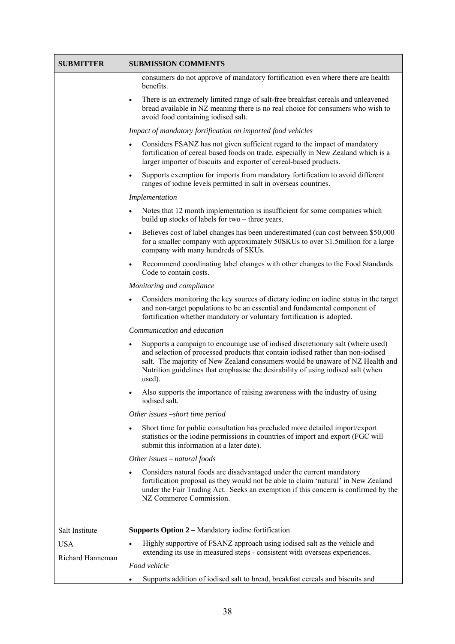| <b>SUBMITTER</b> | <b>SUBMISSION COMMENTS</b>                                                                                                                                                                                                                                                                                                                                      |
|------------------|-----------------------------------------------------------------------------------------------------------------------------------------------------------------------------------------------------------------------------------------------------------------------------------------------------------------------------------------------------------------|
|                  | consumers do not approve of mandatory fortification even where there are health<br>benefits.                                                                                                                                                                                                                                                                    |
|                  | There is an extremely limited range of salt-free breakfast cereals and unleavened<br>$\bullet$<br>bread available in NZ meaning there is no real choice for consumers who wish to<br>avoid food containing iodised salt.                                                                                                                                        |
|                  | Impact of mandatory fortification on imported food vehicles                                                                                                                                                                                                                                                                                                     |
|                  | Considers FSANZ has not given sufficient regard to the impact of mandatory<br>$\bullet$<br>fortification of cereal based foods on trade, especially in New Zealand which is a<br>larger importer of biscuits and exporter of cereal-based products.                                                                                                             |
|                  | Supports exemption for imports from mandatory fortification to avoid different<br>$\bullet$<br>ranges of iodine levels permitted in salt in overseas countries.                                                                                                                                                                                                 |
|                  | Implementation                                                                                                                                                                                                                                                                                                                                                  |
|                  | Notes that 12 month implementation is insufficient for some companies which<br>$\bullet$<br>build up stocks of labels for two – three years.                                                                                                                                                                                                                    |
|                  | Believes cost of label changes has been underestimated (can cost between \$50,000)<br>$\bullet$<br>for a smaller company with approximately 50SKUs to over \$1.5million for a large<br>company with many hundreds of SKUs.                                                                                                                                      |
|                  | Recommend coordinating label changes with other changes to the Food Standards<br>$\bullet$<br>Code to contain costs.                                                                                                                                                                                                                                            |
|                  | Monitoring and compliance                                                                                                                                                                                                                                                                                                                                       |
|                  | Considers monitoring the key sources of dietary iodine on iodine status in the target<br>$\bullet$<br>and non-target populations to be an essential and fundamental component of<br>fortification whether mandatory or voluntary fortification is adopted.                                                                                                      |
|                  | Communication and education                                                                                                                                                                                                                                                                                                                                     |
|                  | Supports a campaign to encourage use of iodised discretionary salt (where used)<br>$\bullet$<br>and selection of processed products that contain iodised rather than non-iodised<br>salt. The majority of New Zealand consumers would be unaware of NZ Health and<br>Nutrition guidelines that emphasise the desirability of using iodised salt (when<br>used). |
|                  | Also supports the importance of raising awareness with the industry of using<br>$\bullet$<br>iodised salt.                                                                                                                                                                                                                                                      |
|                  | Other issues -short time period                                                                                                                                                                                                                                                                                                                                 |
|                  | Short time for public consultation has precluded more detailed import/export<br>$\bullet$<br>statistics or the iodine permissions in countries of import and export (FGC will<br>submit this information at a later date).                                                                                                                                      |
|                  | Other issues $-$ natural foods                                                                                                                                                                                                                                                                                                                                  |
|                  | Considers natural foods are disadvantaged under the current mandatory<br>fortification proposal as they would not be able to claim 'natural' in New Zealand<br>under the Fair Trading Act. Seeks an exemption if this concern is confirmed by the<br>NZ Commerce Commission.                                                                                    |
| Salt Institute   | <b>Supports Option 2 – Mandatory iodine fortification</b>                                                                                                                                                                                                                                                                                                       |
| <b>USA</b>       | Highly supportive of FSANZ approach using iodised salt as the vehicle and<br>$\bullet$                                                                                                                                                                                                                                                                          |
| Richard Hanneman | extending its use in measured steps - consistent with overseas experiences.<br>Food vehicle                                                                                                                                                                                                                                                                     |
|                  | Supports addition of iodised salt to bread, breakfast cereals and biscuits and<br>٠                                                                                                                                                                                                                                                                             |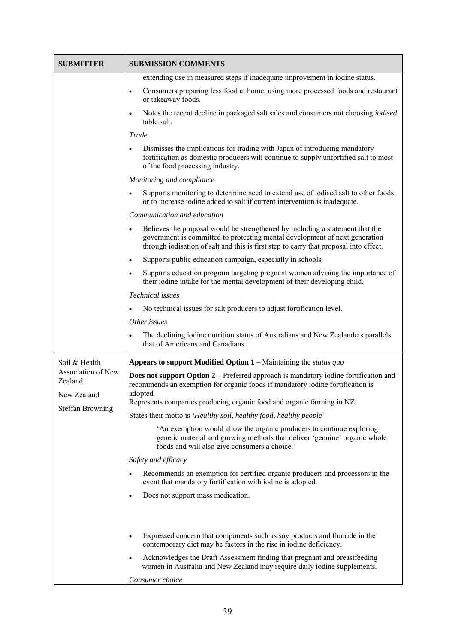| <b>SUBMITTER</b>              | <b>SUBMISSION COMMENTS</b>                                                                                                                                                                                                                                         |
|-------------------------------|--------------------------------------------------------------------------------------------------------------------------------------------------------------------------------------------------------------------------------------------------------------------|
|                               | extending use in measured steps if inadequate improvement in iodine status.                                                                                                                                                                                        |
|                               | Consumers preparing less food at home, using more processed foods and restaurant<br>$\bullet$<br>or takeaway foods.                                                                                                                                                |
|                               | Notes the recent decline in packaged salt sales and consumers not choosing <i>iodised</i><br>$\bullet$<br>table salt.                                                                                                                                              |
|                               | Trade                                                                                                                                                                                                                                                              |
|                               | Dismisses the implications for trading with Japan of introducing mandatory<br>$\bullet$<br>fortification as domestic producers will continue to supply unfortified salt to most<br>of the food processing industry.                                                |
|                               | Monitoring and compliance                                                                                                                                                                                                                                          |
|                               | Supports monitoring to determine need to extend use of iodised salt to other foods<br>or to increase iodine added to salt if current intervention is inadequate.                                                                                                   |
|                               | Communication and education                                                                                                                                                                                                                                        |
|                               | Believes the proposal would be strengthened by including a statement that the<br>$\bullet$<br>government is committed to protecting mental development of next generation<br>through iodisation of salt and this is first step to carry that proposal into effect. |
|                               | Supports public education campaign, especially in schools.<br>$\bullet$                                                                                                                                                                                            |
|                               | Supports education program targeting pregnant women advising the importance of<br>$\bullet$<br>their iodine intake for the mental development of their developing child.                                                                                           |
|                               | Technical issues                                                                                                                                                                                                                                                   |
|                               | No technical issues for salt producers to adjust fortification level.                                                                                                                                                                                              |
|                               | Other issues                                                                                                                                                                                                                                                       |
|                               | The declining iodine nutrition status of Australians and New Zealanders parallels<br>that of Americans and Canadians.                                                                                                                                              |
| Soil & Health                 | <b>Appears to support Modified Option 1</b> – Maintaining the <i>status quo</i>                                                                                                                                                                                    |
| Association of New<br>Zealand | <b>Does not support Option 2</b> – Preferred approach is mandatory iodine fortification and<br>recommends an exemption for organic foods if mandatory iodine fortification is                                                                                      |
| New Zealand                   | adopted.<br>Represents companies producing organic food and organic farming in NZ.                                                                                                                                                                                 |
| <b>Steffan Browning</b>       | States their motto is 'Healthy soil, healthy food, healthy people'                                                                                                                                                                                                 |
|                               | An exemption would allow the organic producers to continue exploring<br>genetic material and growing methods that deliver 'genuine' organic whole<br>foods and will also give consumers a choice.'                                                                 |
|                               | Safety and efficacy                                                                                                                                                                                                                                                |
|                               | Recommends an exemption for certified organic producers and processors in the<br>$\bullet$<br>event that mandatory fortification with iodine is adopted.                                                                                                           |
|                               | Does not support mass medication.<br>$\bullet$                                                                                                                                                                                                                     |
|                               |                                                                                                                                                                                                                                                                    |
|                               |                                                                                                                                                                                                                                                                    |
|                               | Expressed concern that components such as soy products and fluoride in the<br>$\bullet$<br>contemporary diet may be factors in the rise in iodine deficiency.                                                                                                      |
|                               | Acknowledges the Draft Assessment finding that pregnant and breastfeeding<br>$\bullet$<br>women in Australia and New Zealand may require daily iodine supplements.                                                                                                 |
|                               | Consumer choice                                                                                                                                                                                                                                                    |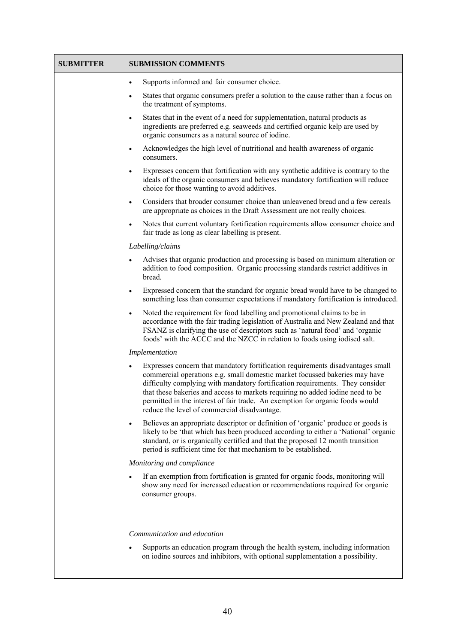| <b>SUBMITTER</b> | <b>SUBMISSION COMMENTS</b>                                                                                                                                                                                                                                                                                                                                                                                                                                                      |
|------------------|---------------------------------------------------------------------------------------------------------------------------------------------------------------------------------------------------------------------------------------------------------------------------------------------------------------------------------------------------------------------------------------------------------------------------------------------------------------------------------|
|                  | Supports informed and fair consumer choice.<br>$\bullet$                                                                                                                                                                                                                                                                                                                                                                                                                        |
|                  | States that organic consumers prefer a solution to the cause rather than a focus on<br>$\bullet$<br>the treatment of symptoms.                                                                                                                                                                                                                                                                                                                                                  |
|                  | States that in the event of a need for supplementation, natural products as<br>$\bullet$<br>ingredients are preferred e.g. seaweeds and certified organic kelp are used by<br>organic consumers as a natural source of iodine.                                                                                                                                                                                                                                                  |
|                  | Acknowledges the high level of nutritional and health awareness of organic<br>$\bullet$<br>consumers.                                                                                                                                                                                                                                                                                                                                                                           |
|                  | Expresses concern that fortification with any synthetic additive is contrary to the<br>$\bullet$<br>ideals of the organic consumers and believes mandatory fortification will reduce<br>choice for those wanting to avoid additives.                                                                                                                                                                                                                                            |
|                  | Considers that broader consumer choice than unleavened bread and a few cereals<br>$\bullet$<br>are appropriate as choices in the Draft Assessment are not really choices.                                                                                                                                                                                                                                                                                                       |
|                  | Notes that current voluntary fortification requirements allow consumer choice and<br>$\bullet$<br>fair trade as long as clear labelling is present.                                                                                                                                                                                                                                                                                                                             |
|                  | Labelling/claims                                                                                                                                                                                                                                                                                                                                                                                                                                                                |
|                  | Advises that organic production and processing is based on minimum alteration or<br>$\bullet$<br>addition to food composition. Organic processing standards restrict additives in<br>bread.                                                                                                                                                                                                                                                                                     |
|                  | Expressed concern that the standard for organic bread would have to be changed to<br>$\bullet$<br>something less than consumer expectations if mandatory fortification is introduced.                                                                                                                                                                                                                                                                                           |
|                  | Noted the requirement for food labelling and promotional claims to be in<br>$\bullet$<br>accordance with the fair trading legislation of Australia and New Zealand and that<br>FSANZ is clarifying the use of descriptors such as 'natural food' and 'organic<br>foods' with the ACCC and the NZCC in relation to foods using iodised salt.                                                                                                                                     |
|                  | Implementation                                                                                                                                                                                                                                                                                                                                                                                                                                                                  |
|                  | Expresses concern that mandatory fortification requirements disadvantages small<br>$\bullet$<br>commercial operations e.g. small domestic market focussed bakeries may have<br>difficulty complying with mandatory fortification requirements. They consider<br>that these bakeries and access to markets requiring no added iodine need to be<br>permitted in the interest of fair trade. An exemption for organic foods would<br>reduce the level of commercial disadvantage. |
|                  | Believes an appropriate descriptor or definition of 'organic' produce or goods is<br>$\bullet$<br>likely to be 'that which has been produced according to either a 'National' organic<br>standard, or is organically certified and that the proposed 12 month transition<br>period is sufficient time for that mechanism to be established.                                                                                                                                     |
|                  | Monitoring and compliance                                                                                                                                                                                                                                                                                                                                                                                                                                                       |
|                  | If an exemption from fortification is granted for organic foods, monitoring will<br>show any need for increased education or recommendations required for organic<br>consumer groups.                                                                                                                                                                                                                                                                                           |
|                  | Communication and education                                                                                                                                                                                                                                                                                                                                                                                                                                                     |
|                  | Supports an education program through the health system, including information<br>$\bullet$<br>on iodine sources and inhibitors, with optional supplementation a possibility.                                                                                                                                                                                                                                                                                                   |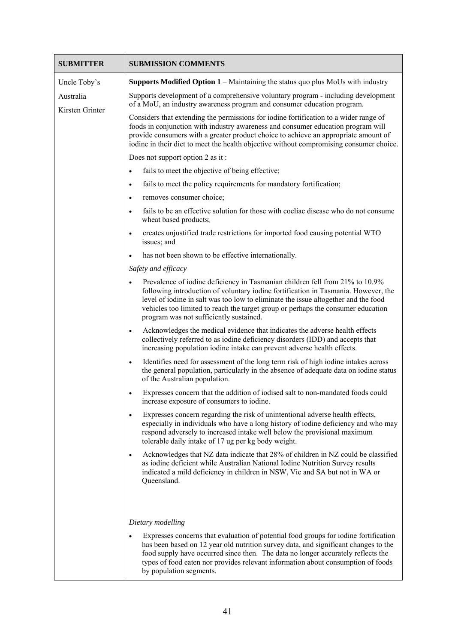| <b>SUBMITTER</b> | <b>SUBMISSION COMMENTS</b>                                                                                                                                                                                                                                                                                                                                                                           |
|------------------|------------------------------------------------------------------------------------------------------------------------------------------------------------------------------------------------------------------------------------------------------------------------------------------------------------------------------------------------------------------------------------------------------|
| Uncle Toby's     | <b>Supports Modified Option <math>1 -</math></b> Maintaining the status quo plus MoUs with industry                                                                                                                                                                                                                                                                                                  |
| Australia        | Supports development of a comprehensive voluntary program - including development<br>of a MoU, an industry awareness program and consumer education program.                                                                                                                                                                                                                                         |
| Kirsten Grinter  | Considers that extending the permissions for iodine fortification to a wider range of<br>foods in conjunction with industry awareness and consumer education program will<br>provide consumers with a greater product choice to achieve an appropriate amount of<br>iodine in their diet to meet the health objective without compromising consumer choice.                                          |
|                  | Does not support option 2 as it:                                                                                                                                                                                                                                                                                                                                                                     |
|                  | fails to meet the objective of being effective;<br>$\bullet$                                                                                                                                                                                                                                                                                                                                         |
|                  | fails to meet the policy requirements for mandatory fortification;<br>$\bullet$                                                                                                                                                                                                                                                                                                                      |
|                  | removes consumer choice;<br>$\bullet$                                                                                                                                                                                                                                                                                                                                                                |
|                  | fails to be an effective solution for those with coeliac disease who do not consume<br>$\bullet$<br>wheat based products;                                                                                                                                                                                                                                                                            |
|                  | creates unjustified trade restrictions for imported food causing potential WTO<br>$\bullet$<br>issues; and                                                                                                                                                                                                                                                                                           |
|                  | has not been shown to be effective internationally.<br>$\bullet$                                                                                                                                                                                                                                                                                                                                     |
|                  | Safety and efficacy                                                                                                                                                                                                                                                                                                                                                                                  |
|                  | Prevalence of iodine deficiency in Tasmanian children fell from 21% to 10.9%<br>$\bullet$<br>following introduction of voluntary iodine fortification in Tasmania. However, the<br>level of iodine in salt was too low to eliminate the issue altogether and the food<br>vehicles too limited to reach the target group or perhaps the consumer education<br>program was not sufficiently sustained. |
|                  | Acknowledges the medical evidence that indicates the adverse health effects<br>$\bullet$<br>collectively referred to as iodine deficiency disorders (IDD) and accepts that<br>increasing population iodine intake can prevent adverse health effects.                                                                                                                                                |
|                  | Identifies need for assessment of the long term risk of high iodine intakes across<br>$\bullet$<br>the general population, particularly in the absence of adequate data on iodine status<br>of the Australian population.                                                                                                                                                                            |
|                  | Expresses concern that the addition of iodised salt to non-mandated foods could<br>$\bullet$<br>increase exposure of consumers to iodine.                                                                                                                                                                                                                                                            |
|                  | Expresses concern regarding the risk of unintentional adverse health effects,<br>$\bullet$<br>especially in individuals who have a long history of iodine deficiency and who may<br>respond adversely to increased intake well below the provisional maximum<br>tolerable daily intake of 17 ug per kg body weight.                                                                                  |
|                  | Acknowledges that NZ data indicate that 28% of children in NZ could be classified<br>$\bullet$<br>as iodine deficient while Australian National Iodine Nutrition Survey results<br>indicated a mild deficiency in children in NSW, Vic and SA but not in WA or<br>Queensland.                                                                                                                        |
|                  |                                                                                                                                                                                                                                                                                                                                                                                                      |
|                  | Dietary modelling                                                                                                                                                                                                                                                                                                                                                                                    |
|                  | Expresses concerns that evaluation of potential food groups for iodine fortification<br>$\bullet$<br>has been based on 12 year old nutrition survey data, and significant changes to the<br>food supply have occurred since then. The data no longer accurately reflects the<br>types of food eaten nor provides relevant information about consumption of foods<br>by population segments.          |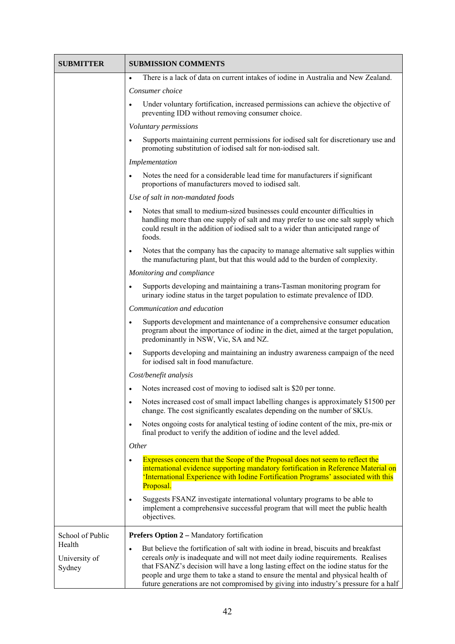| SUBMITTER                         | <b>SUBMISSION COMMENTS</b>                                                                                                                                                                                                                                                                                                                                                                                                                                   |
|-----------------------------------|--------------------------------------------------------------------------------------------------------------------------------------------------------------------------------------------------------------------------------------------------------------------------------------------------------------------------------------------------------------------------------------------------------------------------------------------------------------|
|                                   | There is a lack of data on current intakes of iodine in Australia and New Zealand.<br>$\bullet$                                                                                                                                                                                                                                                                                                                                                              |
|                                   | Consumer choice                                                                                                                                                                                                                                                                                                                                                                                                                                              |
|                                   | Under voluntary fortification, increased permissions can achieve the objective of<br>$\bullet$<br>preventing IDD without removing consumer choice.                                                                                                                                                                                                                                                                                                           |
|                                   | Voluntary permissions                                                                                                                                                                                                                                                                                                                                                                                                                                        |
|                                   | Supports maintaining current permissions for iodised salt for discretionary use and<br>$\bullet$<br>promoting substitution of iodised salt for non-iodised salt.                                                                                                                                                                                                                                                                                             |
|                                   | Implementation                                                                                                                                                                                                                                                                                                                                                                                                                                               |
|                                   | Notes the need for a considerable lead time for manufacturers if significant<br>$\bullet$<br>proportions of manufacturers moved to iodised salt.                                                                                                                                                                                                                                                                                                             |
|                                   | Use of salt in non-mandated foods                                                                                                                                                                                                                                                                                                                                                                                                                            |
|                                   | Notes that small to medium-sized businesses could encounter difficulties in<br>handling more than one supply of salt and may prefer to use one salt supply which<br>could result in the addition of iodised salt to a wider than anticipated range of<br>foods.                                                                                                                                                                                              |
|                                   | Notes that the company has the capacity to manage alternative salt supplies within<br>$\bullet$<br>the manufacturing plant, but that this would add to the burden of complexity.                                                                                                                                                                                                                                                                             |
|                                   | Monitoring and compliance                                                                                                                                                                                                                                                                                                                                                                                                                                    |
|                                   | Supports developing and maintaining a trans-Tasman monitoring program for<br>$\bullet$<br>urinary iodine status in the target population to estimate prevalence of IDD.                                                                                                                                                                                                                                                                                      |
|                                   | Communication and education                                                                                                                                                                                                                                                                                                                                                                                                                                  |
|                                   | Supports development and maintenance of a comprehensive consumer education<br>$\bullet$<br>program about the importance of iodine in the diet, aimed at the target population,<br>predominantly in NSW, Vic, SA and NZ.                                                                                                                                                                                                                                      |
|                                   | Supports developing and maintaining an industry awareness campaign of the need<br>$\bullet$<br>for iodised salt in food manufacture.                                                                                                                                                                                                                                                                                                                         |
|                                   | Cost/benefit analysis                                                                                                                                                                                                                                                                                                                                                                                                                                        |
|                                   | Notes increased cost of moving to iodised salt is \$20 per tonne.                                                                                                                                                                                                                                                                                                                                                                                            |
|                                   | Notes increased cost of small impact labelling changes is approximately \$1500 per<br>$\bullet$<br>change. The cost significantly escalates depending on the number of SKUs.                                                                                                                                                                                                                                                                                 |
|                                   | Notes ongoing costs for analytical testing of iodine content of the mix, pre-mix or<br>$\bullet$<br>final product to verify the addition of iodine and the level added.                                                                                                                                                                                                                                                                                      |
|                                   | Other                                                                                                                                                                                                                                                                                                                                                                                                                                                        |
|                                   | Expresses concern that the Scope of the Proposal does not seem to reflect the<br>$\bullet$<br>international evidence supporting mandatory fortification in Reference Material on<br>'International Experience with Iodine Fortification Programs' associated with this<br>Proposal.                                                                                                                                                                          |
|                                   | Suggests FSANZ investigate international voluntary programs to be able to<br>$\bullet$<br>implement a comprehensive successful program that will meet the public health<br>objectives.                                                                                                                                                                                                                                                                       |
| School of Public                  | <b>Prefers Option 2 - Mandatory fortification</b>                                                                                                                                                                                                                                                                                                                                                                                                            |
| Health<br>University of<br>Sydney | But believe the fortification of salt with iodine in bread, biscuits and breakfast<br>$\bullet$<br>cereals <i>only</i> is inadequate and will not meet daily iodine requirements. Realises<br>that FSANZ's decision will have a long lasting effect on the iodine status for the<br>people and urge them to take a stand to ensure the mental and physical health of<br>future generations are not compromised by giving into industry's pressure for a half |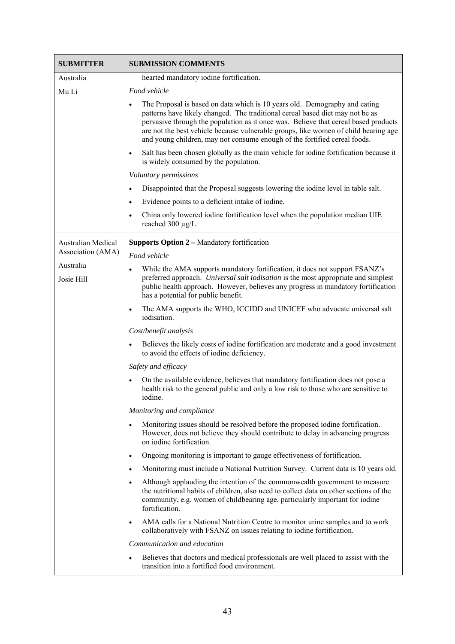| <b>SUBMITTER</b>   | <b>SUBMISSION COMMENTS</b>                                                                                                                                                                                                                                                                                                                                                                                                          |
|--------------------|-------------------------------------------------------------------------------------------------------------------------------------------------------------------------------------------------------------------------------------------------------------------------------------------------------------------------------------------------------------------------------------------------------------------------------------|
| Australia          | hearted mandatory iodine fortification.                                                                                                                                                                                                                                                                                                                                                                                             |
| Mu Li              | Food vehicle                                                                                                                                                                                                                                                                                                                                                                                                                        |
|                    | The Proposal is based on data which is 10 years old. Demography and eating<br>$\bullet$<br>patterns have likely changed. The traditional cereal based diet may not be as<br>pervasive through the population as it once was. Believe that cereal based products<br>are not the best vehicle because vulnerable groups, like women of child bearing age<br>and young children, may not consume enough of the fortified cereal foods. |
|                    | Salt has been chosen globally as the main vehicle for iodine fortification because it<br>$\bullet$<br>is widely consumed by the population.                                                                                                                                                                                                                                                                                         |
|                    | Voluntary permissions                                                                                                                                                                                                                                                                                                                                                                                                               |
|                    | Disappointed that the Proposal suggests lowering the iodine level in table salt.<br>$\bullet$                                                                                                                                                                                                                                                                                                                                       |
|                    | Evidence points to a deficient intake of iodine.<br>$\bullet$                                                                                                                                                                                                                                                                                                                                                                       |
|                    | China only lowered iodine fortification level when the population median UIE<br>$\bullet$<br>reached 300 µg/L.                                                                                                                                                                                                                                                                                                                      |
| Australian Medical | <b>Supports Option 2 – Mandatory fortification</b>                                                                                                                                                                                                                                                                                                                                                                                  |
| Association (AMA)  | Food vehicle                                                                                                                                                                                                                                                                                                                                                                                                                        |
| Australia          | While the AMA supports mandatory fortification, it does not support FSANZ's<br>$\bullet$                                                                                                                                                                                                                                                                                                                                            |
| Josie Hill         | preferred approach. Universal salt iodisation is the most appropriate and simplest<br>public health approach. However, believes any progress in mandatory fortification<br>has a potential for public benefit.                                                                                                                                                                                                                      |
|                    | The AMA supports the WHO, ICCIDD and UNICEF who advocate universal salt<br>$\bullet$<br>iodisation.                                                                                                                                                                                                                                                                                                                                 |
|                    | Cost/benefit analysis                                                                                                                                                                                                                                                                                                                                                                                                               |
|                    | Believes the likely costs of iodine fortification are moderate and a good investment<br>$\bullet$<br>to avoid the effects of iodine deficiency.                                                                                                                                                                                                                                                                                     |
|                    | Safety and efficacy                                                                                                                                                                                                                                                                                                                                                                                                                 |
|                    | On the available evidence, believes that mandatory fortification does not pose a<br>health risk to the general public and only a low risk to those who are sensitive to<br>iodine.                                                                                                                                                                                                                                                  |
|                    | Monitoring and compliance                                                                                                                                                                                                                                                                                                                                                                                                           |
|                    | Monitoring issues should be resolved before the proposed iodine fortification.<br>$\bullet$<br>However, does not believe they should contribute to delay in advancing progress<br>on iodine fortification.                                                                                                                                                                                                                          |
|                    | Ongoing monitoring is important to gauge effectiveness of fortification.<br>$\bullet$                                                                                                                                                                                                                                                                                                                                               |
|                    | Monitoring must include a National Nutrition Survey. Current data is 10 years old.<br>$\bullet$                                                                                                                                                                                                                                                                                                                                     |
|                    | Although applauding the intention of the commonwealth government to measure<br>$\bullet$<br>the nutritional habits of children, also need to collect data on other sections of the<br>community, e.g. women of childbearing age, particularly important for iodine<br>fortification.                                                                                                                                                |
|                    | AMA calls for a National Nutrition Centre to monitor urine samples and to work<br>$\bullet$<br>collaboratively with FSANZ on issues relating to iodine fortification.                                                                                                                                                                                                                                                               |
|                    | Communication and education                                                                                                                                                                                                                                                                                                                                                                                                         |
|                    | Believes that doctors and medical professionals are well placed to assist with the<br>$\bullet$<br>transition into a fortified food environment.                                                                                                                                                                                                                                                                                    |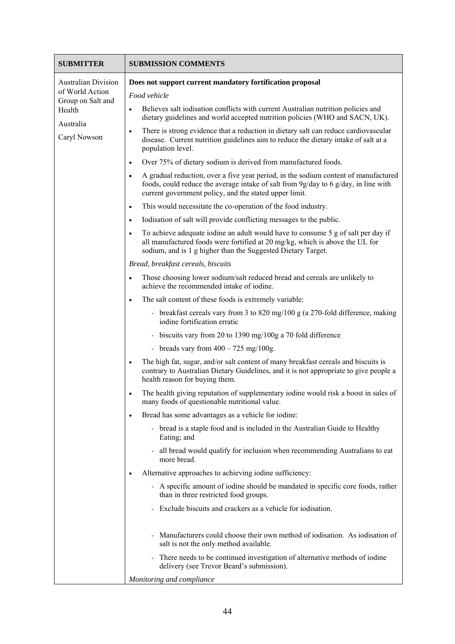| <b>SUBMITTER</b>                     | <b>SUBMISSION COMMENTS</b>                                                                                                                                                                                                                        |
|--------------------------------------|---------------------------------------------------------------------------------------------------------------------------------------------------------------------------------------------------------------------------------------------------|
| <b>Australian Division</b>           | Does not support current mandatory fortification proposal                                                                                                                                                                                         |
| of World Action<br>Group on Salt and | Food vehicle                                                                                                                                                                                                                                      |
| Health                               | Believes salt iodisation conflicts with current Australian nutrition policies and<br>$\bullet$<br>dietary guidelines and world accepted nutrition policies (WHO and SACN, UK).                                                                    |
| Australia<br>Caryl Nowson            | There is strong evidence that a reduction in dietary salt can reduce cardiovascular<br>$\bullet$<br>disease. Current nutrition guidelines aim to reduce the dietary intake of salt at a<br>population level.                                      |
|                                      | Over 75% of dietary sodium is derived from manufactured foods.<br>$\bullet$                                                                                                                                                                       |
|                                      | A gradual reduction, over a five year period, in the sodium content of manufactured<br>$\bullet$<br>foods, could reduce the average intake of salt from 9g/day to 6 g/day, in line with<br>current government policy, and the stated upper limit. |
|                                      | This would necessitate the co-operation of the food industry.<br>$\bullet$                                                                                                                                                                        |
|                                      | Iodisation of salt will provide conflicting messages to the public.<br>$\bullet$                                                                                                                                                                  |
|                                      | To achieve adequate iodine an adult would have to consume 5 g of salt per day if<br>$\bullet$<br>all manufactured foods were fortified at 20 mg/kg, which is above the UL for<br>sodium, and is 1 g higher than the Suggested Dietary Target.     |
|                                      | Bread, breakfast cereals, biscuits                                                                                                                                                                                                                |
|                                      | Those choosing lower sodium/salt reduced bread and cereals are unlikely to<br>$\bullet$<br>achieve the recommended intake of iodine.                                                                                                              |
|                                      | The salt content of these foods is extremely variable:<br>$\bullet$                                                                                                                                                                               |
|                                      | - breakfast cereals vary from 3 to 820 mg/100 g (a 270-fold difference, making<br>iodine fortification erratic                                                                                                                                    |
|                                      | - biscuits vary from 20 to 1390 mg/100g a 70 fold difference                                                                                                                                                                                      |
|                                      | - breads vary from $400 - 725$ mg/100g.                                                                                                                                                                                                           |
|                                      | The high fat, sugar, and/or salt content of many breakfast cereals and biscuits is<br>contrary to Australian Dietary Guidelines, and it is not appropriate to give people a<br>health reason for buying them.                                     |
|                                      | The health giving reputation of supplementary iodine would risk a boost in sales of<br>$\bullet$<br>many foods of questionable nutritional value.                                                                                                 |
|                                      | Bread has some advantages as a vehicle for iodine:<br>$\bullet$                                                                                                                                                                                   |
|                                      | - bread is a staple food and is included in the Australian Guide to Healthy<br>Eating; and                                                                                                                                                        |
|                                      | all bread would qualify for inclusion when recommending Australians to eat<br>more bread.                                                                                                                                                         |
|                                      | Alternative approaches to achieving iodine sufficiency:<br>٠                                                                                                                                                                                      |
|                                      | - A specific amount of iodine should be mandated in specific core foods, rather<br>than in three restricted food groups.                                                                                                                          |
|                                      | Exclude biscuits and crackers as a vehicle for iodisation.                                                                                                                                                                                        |
|                                      | Manufacturers could choose their own method of iodisation. As iodisation of<br>salt is not the only method available.                                                                                                                             |
|                                      | There needs to be continued investigation of alternative methods of iodine<br>delivery (see Trevor Beard's submission).                                                                                                                           |
|                                      | Monitoring and compliance                                                                                                                                                                                                                         |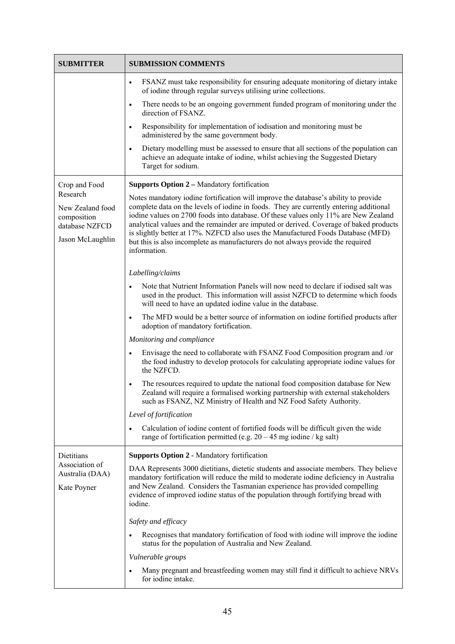| <b>SUBMITTER</b>                                                                  | <b>SUBMISSION COMMENTS</b>                                                                                                                                                                                                                                                                                                                                                                                                                                                                                                                            |
|-----------------------------------------------------------------------------------|-------------------------------------------------------------------------------------------------------------------------------------------------------------------------------------------------------------------------------------------------------------------------------------------------------------------------------------------------------------------------------------------------------------------------------------------------------------------------------------------------------------------------------------------------------|
|                                                                                   | FSANZ must take responsibility for ensuring adequate monitoring of dietary intake<br>$\bullet$<br>of iodine through regular surveys utilising urine collections.                                                                                                                                                                                                                                                                                                                                                                                      |
|                                                                                   | There needs to be an ongoing government funded program of monitoring under the<br>$\bullet$<br>direction of FSANZ.                                                                                                                                                                                                                                                                                                                                                                                                                                    |
|                                                                                   | Responsibility for implementation of iodisation and monitoring must be<br>$\bullet$<br>administered by the same government body.                                                                                                                                                                                                                                                                                                                                                                                                                      |
|                                                                                   | Dietary modelling must be assessed to ensure that all sections of the population can<br>$\bullet$<br>achieve an adequate intake of iodine, whilst achieving the Suggested Dietary<br>Target for sodium.                                                                                                                                                                                                                                                                                                                                               |
| Crop and Food                                                                     | <b>Supports Option 2 – Mandatory fortification</b>                                                                                                                                                                                                                                                                                                                                                                                                                                                                                                    |
| Research<br>New Zealand food<br>composition<br>database NZFCD<br>Jason McLaughlin | Notes mandatory iodine fortification will improve the database's ability to provide<br>complete data on the levels of iodine in foods. They are currently entering additional<br>iodine values on 2700 foods into database. Of these values only 11% are New Zealand<br>analytical values and the remainder are imputed or derived. Coverage of baked products<br>is slightly better at 17%. NZFCD also uses the Manufactured Foods Database (MFD)<br>but this is also incomplete as manufacturers do not always provide the required<br>information. |
|                                                                                   | Labelling/claims                                                                                                                                                                                                                                                                                                                                                                                                                                                                                                                                      |
|                                                                                   | Note that Nutrient Information Panels will now need to declare if iodised salt was<br>$\bullet$<br>used in the product. This information will assist NZFCD to determine which foods<br>will need to have an updated iodine value in the database.                                                                                                                                                                                                                                                                                                     |
|                                                                                   | The MFD would be a better source of information on iodine fortified products after<br>$\bullet$<br>adoption of mandatory fortification.                                                                                                                                                                                                                                                                                                                                                                                                               |
|                                                                                   | Monitoring and compliance                                                                                                                                                                                                                                                                                                                                                                                                                                                                                                                             |
|                                                                                   | Envisage the need to collaborate with FSANZ Food Composition program and /or<br>$\bullet$<br>the food industry to develop protocols for calculating appropriate iodine values for<br>the NZFCD.                                                                                                                                                                                                                                                                                                                                                       |
|                                                                                   | The resources required to update the national food composition database for New<br>$\bullet$<br>Zealand will require a formalised working partnership with external stakeholders<br>such as FSANZ, NZ Ministry of Health and NZ Food Safety Authority.                                                                                                                                                                                                                                                                                                |
|                                                                                   | Level of fortification                                                                                                                                                                                                                                                                                                                                                                                                                                                                                                                                |
|                                                                                   | Calculation of iodine content of fortified foods will be difficult given the wide<br>$\bullet$<br>range of fortification permitted (e.g. $20 - 45$ mg iodine / kg salt)                                                                                                                                                                                                                                                                                                                                                                               |
| Dietitians                                                                        | <b>Supports Option 2 - Mandatory fortification</b>                                                                                                                                                                                                                                                                                                                                                                                                                                                                                                    |
| Association of<br>Australia (DAA)<br>Kate Poyner                                  | DAA Represents 3000 dietitians, dietetic students and associate members. They believe<br>mandatory fortification will reduce the mild to moderate iodine deficiency in Australia<br>and New Zealand. Considers the Tasmanian experience has provided compelling<br>evidence of improved iodine status of the population through fortifying bread with<br>iodine.                                                                                                                                                                                      |
|                                                                                   | Safety and efficacy                                                                                                                                                                                                                                                                                                                                                                                                                                                                                                                                   |
|                                                                                   | Recognises that mandatory fortification of food with iodine will improve the iodine<br>$\bullet$<br>status for the population of Australia and New Zealand.                                                                                                                                                                                                                                                                                                                                                                                           |
|                                                                                   | Vulnerable groups                                                                                                                                                                                                                                                                                                                                                                                                                                                                                                                                     |
|                                                                                   | Many pregnant and breastfeeding women may still find it difficult to achieve NRVs<br>for iodine intake.                                                                                                                                                                                                                                                                                                                                                                                                                                               |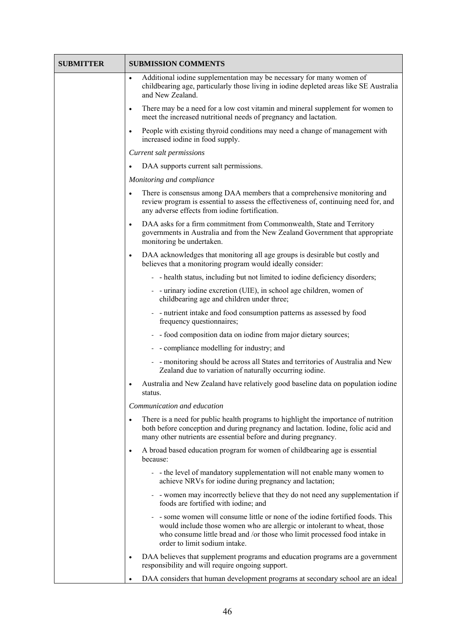| <b>SUBMITTER</b> | <b>SUBMISSION COMMENTS</b>                                                                                                                                                                                                                                             |
|------------------|------------------------------------------------------------------------------------------------------------------------------------------------------------------------------------------------------------------------------------------------------------------------|
|                  | Additional iodine supplementation may be necessary for many women of<br>$\bullet$<br>childbearing age, particularly those living in iodine depleted areas like SE Australia<br>and New Zealand.                                                                        |
|                  | There may be a need for a low cost vitamin and mineral supplement for women to<br>$\bullet$<br>meet the increased nutritional needs of pregnancy and lactation.                                                                                                        |
|                  | People with existing thyroid conditions may need a change of management with<br>$\bullet$<br>increased iodine in food supply.                                                                                                                                          |
|                  | Current salt permissions                                                                                                                                                                                                                                               |
|                  | DAA supports current salt permissions.                                                                                                                                                                                                                                 |
|                  | Monitoring and compliance                                                                                                                                                                                                                                              |
|                  | There is consensus among DAA members that a comprehensive monitoring and<br>$\bullet$<br>review program is essential to assess the effectiveness of, continuing need for, and<br>any adverse effects from iodine fortification.                                        |
|                  | DAA asks for a firm commitment from Commonwealth, State and Territory<br>$\bullet$<br>governments in Australia and from the New Zealand Government that appropriate<br>monitoring be undertaken.                                                                       |
|                  | DAA acknowledges that monitoring all age groups is desirable but costly and<br>$\bullet$<br>believes that a monitoring program would ideally consider:                                                                                                                 |
|                  | - health status, including but not limited to iodine deficiency disorders;                                                                                                                                                                                             |
|                  | - - urinary iodine excretion (UIE), in school age children, women of<br>childbearing age and children under three;                                                                                                                                                     |
|                  | - - nutrient intake and food consumption patterns as assessed by food<br>frequency questionnaires;                                                                                                                                                                     |
|                  | - food composition data on iodine from major dietary sources;                                                                                                                                                                                                          |
|                  | - compliance modelling for industry; and                                                                                                                                                                                                                               |
|                  | - - monitoring should be across all States and territories of Australia and New<br>Zealand due to variation of naturally occurring iodine.                                                                                                                             |
|                  | Australia and New Zealand have relatively good baseline data on population iodine<br>$\bullet$<br>status.                                                                                                                                                              |
|                  | Communication and education                                                                                                                                                                                                                                            |
|                  | There is a need for public health programs to highlight the importance of nutrition<br>$\bullet$<br>both before conception and during pregnancy and lactation. Iodine, folic acid and<br>many other nutrients are essential before and during pregnancy.               |
|                  | A broad based education program for women of childbearing age is essential<br>$\bullet$<br>because:                                                                                                                                                                    |
|                  | - - the level of mandatory supplementation will not enable many women to<br>achieve NRVs for iodine during pregnancy and lactation;                                                                                                                                    |
|                  | - vomen may incorrectly believe that they do not need any supplementation if<br>foods are fortified with iodine; and                                                                                                                                                   |
|                  | - some women will consume little or none of the iodine fortified foods. This<br>would include those women who are allergic or intolerant to wheat, those<br>who consume little bread and /or those who limit processed food intake in<br>order to limit sodium intake. |
|                  | DAA believes that supplement programs and education programs are a government<br>$\bullet$<br>responsibility and will require ongoing support.                                                                                                                         |
|                  | DAA considers that human development programs at secondary school are an ideal                                                                                                                                                                                         |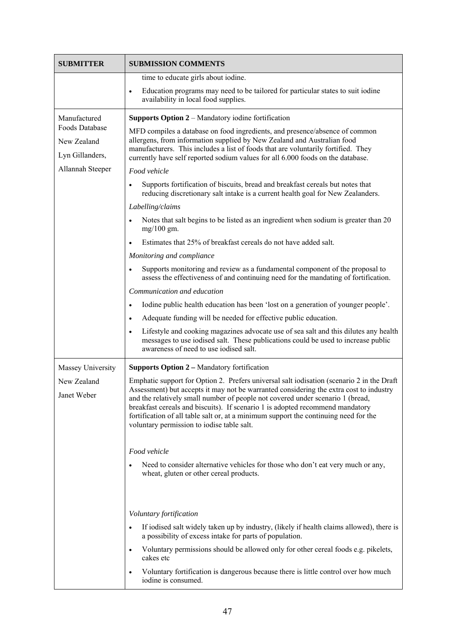| <b>SUBMITTER</b>                                                                     | <b>SUBMISSION COMMENTS</b>                                                                                                                                                                                                                                                                                                                                                                                                                                                                                                                                                                                                                                                                                                                                                                                                                                                                                                                                                                                                                                                                                                                                                                                                                                                                                                               |
|--------------------------------------------------------------------------------------|------------------------------------------------------------------------------------------------------------------------------------------------------------------------------------------------------------------------------------------------------------------------------------------------------------------------------------------------------------------------------------------------------------------------------------------------------------------------------------------------------------------------------------------------------------------------------------------------------------------------------------------------------------------------------------------------------------------------------------------------------------------------------------------------------------------------------------------------------------------------------------------------------------------------------------------------------------------------------------------------------------------------------------------------------------------------------------------------------------------------------------------------------------------------------------------------------------------------------------------------------------------------------------------------------------------------------------------|
|                                                                                      | time to educate girls about iodine.                                                                                                                                                                                                                                                                                                                                                                                                                                                                                                                                                                                                                                                                                                                                                                                                                                                                                                                                                                                                                                                                                                                                                                                                                                                                                                      |
|                                                                                      | Education programs may need to be tailored for particular states to suit iodine<br>$\bullet$<br>availability in local food supplies.                                                                                                                                                                                                                                                                                                                                                                                                                                                                                                                                                                                                                                                                                                                                                                                                                                                                                                                                                                                                                                                                                                                                                                                                     |
| Manufactured<br>Foods Database<br>New Zealand<br>Lyn Gillanders,<br>Allannah Steeper | Supports Option 2 – Mandatory iodine fortification<br>MFD compiles a database on food ingredients, and presence/absence of common<br>allergens, from information supplied by New Zealand and Australian food<br>manufacturers. This includes a list of foods that are voluntarily fortified. They<br>currently have self reported sodium values for all 6.000 foods on the database.<br>Food vehicle<br>Supports fortification of biscuits, bread and breakfast cereals but notes that<br>$\bullet$<br>reducing discretionary salt intake is a current health goal for New Zealanders.<br>Labelling/claims<br>Notes that salt begins to be listed as an ingredient when sodium is greater than 20<br>$\bullet$<br>$mg/100$ gm.<br>Estimates that 25% of breakfast cereals do not have added salt.<br>Monitoring and compliance<br>Supports monitoring and review as a fundamental component of the proposal to<br>$\bullet$<br>assess the effectiveness of and continuing need for the mandating of fortification.<br>Communication and education<br>Iodine public health education has been 'lost on a generation of younger people'.<br>$\bullet$<br>Adequate funding will be needed for effective public education.<br>$\bullet$<br>Lifestyle and cooking magazines advocate use of sea salt and this dilutes any health<br>$\bullet$ |
|                                                                                      | messages to use iodised salt. These publications could be used to increase public<br>awareness of need to use iodised salt.                                                                                                                                                                                                                                                                                                                                                                                                                                                                                                                                                                                                                                                                                                                                                                                                                                                                                                                                                                                                                                                                                                                                                                                                              |
| Massey University                                                                    | <b>Supports Option 2 – Mandatory fortification</b>                                                                                                                                                                                                                                                                                                                                                                                                                                                                                                                                                                                                                                                                                                                                                                                                                                                                                                                                                                                                                                                                                                                                                                                                                                                                                       |
| New Zealand<br>Janet Weber                                                           | Emphatic support for Option 2. Prefers universal salt iodisation (scenario 2 in the Draft<br>Assessment) but accepts it may not be warranted considering the extra cost to industry<br>and the relatively small number of people not covered under scenario 1 (bread,<br>breakfast cereals and biscuits). If scenario 1 is adopted recommend mandatory<br>fortification of all table salt or, at a minimum support the continuing need for the<br>voluntary permission to iodise table salt.                                                                                                                                                                                                                                                                                                                                                                                                                                                                                                                                                                                                                                                                                                                                                                                                                                             |
|                                                                                      | Food vehicle                                                                                                                                                                                                                                                                                                                                                                                                                                                                                                                                                                                                                                                                                                                                                                                                                                                                                                                                                                                                                                                                                                                                                                                                                                                                                                                             |
|                                                                                      | Need to consider alternative vehicles for those who don't eat very much or any,<br>$\bullet$<br>wheat, gluten or other cereal products.                                                                                                                                                                                                                                                                                                                                                                                                                                                                                                                                                                                                                                                                                                                                                                                                                                                                                                                                                                                                                                                                                                                                                                                                  |
|                                                                                      |                                                                                                                                                                                                                                                                                                                                                                                                                                                                                                                                                                                                                                                                                                                                                                                                                                                                                                                                                                                                                                                                                                                                                                                                                                                                                                                                          |
|                                                                                      | Voluntary fortification<br>If iodised salt widely taken up by industry, (likely if health claims allowed), there is<br>$\bullet$<br>a possibility of excess intake for parts of population.                                                                                                                                                                                                                                                                                                                                                                                                                                                                                                                                                                                                                                                                                                                                                                                                                                                                                                                                                                                                                                                                                                                                              |
|                                                                                      | Voluntary permissions should be allowed only for other cereal foods e.g. pikelets,<br>$\bullet$<br>cakes etc                                                                                                                                                                                                                                                                                                                                                                                                                                                                                                                                                                                                                                                                                                                                                                                                                                                                                                                                                                                                                                                                                                                                                                                                                             |
|                                                                                      | Voluntary fortification is dangerous because there is little control over how much<br>$\bullet$<br>iodine is consumed.                                                                                                                                                                                                                                                                                                                                                                                                                                                                                                                                                                                                                                                                                                                                                                                                                                                                                                                                                                                                                                                                                                                                                                                                                   |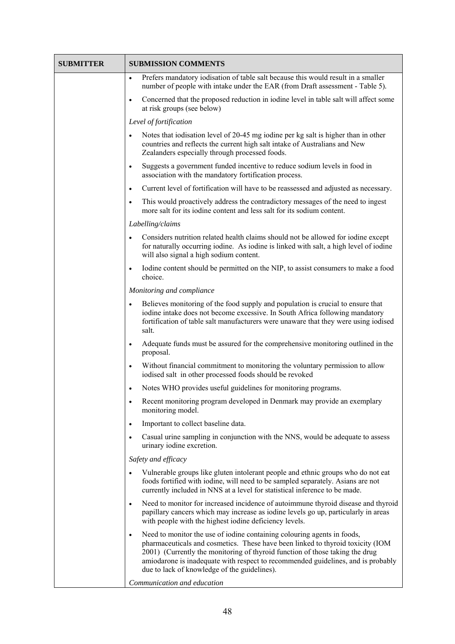| <b>SUBMITTER</b> | <b>SUBMISSION COMMENTS</b>                                                                                                                                                                                                                                                                                                                                                                 |
|------------------|--------------------------------------------------------------------------------------------------------------------------------------------------------------------------------------------------------------------------------------------------------------------------------------------------------------------------------------------------------------------------------------------|
|                  | Prefers mandatory iodisation of table salt because this would result in a smaller<br>$\bullet$<br>number of people with intake under the EAR (from Draft assessment - Table 5).                                                                                                                                                                                                            |
|                  | Concerned that the proposed reduction in iodine level in table salt will affect some<br>$\bullet$<br>at risk groups (see below)                                                                                                                                                                                                                                                            |
|                  | Level of fortification                                                                                                                                                                                                                                                                                                                                                                     |
|                  | Notes that iodisation level of 20-45 mg iodine per kg salt is higher than in other<br>$\bullet$<br>countries and reflects the current high salt intake of Australians and New<br>Zealanders especially through processed foods.                                                                                                                                                            |
|                  | Suggests a government funded incentive to reduce sodium levels in food in<br>$\bullet$<br>association with the mandatory fortification process.                                                                                                                                                                                                                                            |
|                  | Current level of fortification will have to be reassessed and adjusted as necessary.<br>$\bullet$                                                                                                                                                                                                                                                                                          |
|                  | This would proactively address the contradictory messages of the need to ingest<br>$\bullet$<br>more salt for its iodine content and less salt for its sodium content.                                                                                                                                                                                                                     |
|                  | Labelling/claims                                                                                                                                                                                                                                                                                                                                                                           |
|                  | Considers nutrition related health claims should not be allowed for iodine except<br>$\bullet$<br>for naturally occurring iodine. As iodine is linked with salt, a high level of iodine<br>will also signal a high sodium content.                                                                                                                                                         |
|                  | Iodine content should be permitted on the NIP, to assist consumers to make a food<br>$\bullet$<br>choice.                                                                                                                                                                                                                                                                                  |
|                  | Monitoring and compliance                                                                                                                                                                                                                                                                                                                                                                  |
|                  | Believes monitoring of the food supply and population is crucial to ensure that<br>$\bullet$<br>iodine intake does not become excessive. In South Africa following mandatory<br>fortification of table salt manufacturers were unaware that they were using iodised<br>salt.                                                                                                               |
|                  | Adequate funds must be assured for the comprehensive monitoring outlined in the<br>$\bullet$<br>proposal.                                                                                                                                                                                                                                                                                  |
|                  | Without financial commitment to monitoring the voluntary permission to allow<br>$\bullet$<br>iodised salt in other processed foods should be revoked                                                                                                                                                                                                                                       |
|                  | Notes WHO provides useful guidelines for monitoring programs.<br>$\bullet$                                                                                                                                                                                                                                                                                                                 |
|                  | Recent monitoring program developed in Denmark may provide an exemplary<br>٠<br>monitoring model.                                                                                                                                                                                                                                                                                          |
|                  | Important to collect baseline data.<br>$\bullet$                                                                                                                                                                                                                                                                                                                                           |
|                  | Casual urine sampling in conjunction with the NNS, would be adequate to assess<br>٠<br>urinary iodine excretion.                                                                                                                                                                                                                                                                           |
|                  | Safety and efficacy                                                                                                                                                                                                                                                                                                                                                                        |
|                  | Vulnerable groups like gluten intolerant people and ethnic groups who do not eat<br>foods fortified with iodine, will need to be sampled separately. Asians are not<br>currently included in NNS at a level for statistical inference to be made.                                                                                                                                          |
|                  | Need to monitor for increased incidence of autoimmune thyroid disease and thyroid<br>$\bullet$<br>papillary cancers which may increase as iodine levels go up, particularly in areas<br>with people with the highest iodine deficiency levels.                                                                                                                                             |
|                  | Need to monitor the use of iodine containing colouring agents in foods,<br>$\bullet$<br>pharmaceuticals and cosmetics. These have been linked to thyroid toxicity (IOM<br>2001) (Currently the monitoring of thyroid function of those taking the drug<br>amiodarone is inadequate with respect to recommended guidelines, and is probably<br>due to lack of knowledge of the guidelines). |
|                  | Communication and education                                                                                                                                                                                                                                                                                                                                                                |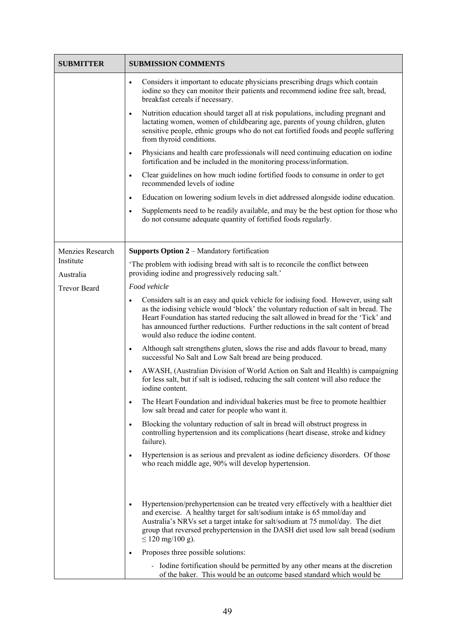| <b>SUBMITTER</b>       | <b>SUBMISSION COMMENTS</b>                                                                                                                                                                                                                                                                                                                                                                                 |
|------------------------|------------------------------------------------------------------------------------------------------------------------------------------------------------------------------------------------------------------------------------------------------------------------------------------------------------------------------------------------------------------------------------------------------------|
|                        | Considers it important to educate physicians prescribing drugs which contain<br>$\bullet$<br>iodine so they can monitor their patients and recommend iodine free salt, bread,<br>breakfast cereals if necessary.                                                                                                                                                                                           |
|                        | Nutrition education should target all at risk populations, including pregnant and<br>$\bullet$<br>lactating women, women of childbearing age, parents of young children, gluten<br>sensitive people, ethnic groups who do not eat fortified foods and people suffering<br>from thyroid conditions.                                                                                                         |
|                        | Physicians and health care professionals will need continuing education on iodine<br>$\bullet$<br>fortification and be included in the monitoring process/information.                                                                                                                                                                                                                                     |
|                        | Clear guidelines on how much iodine fortified foods to consume in order to get<br>$\bullet$<br>recommended levels of iodine                                                                                                                                                                                                                                                                                |
|                        | Education on lowering sodium levels in diet addressed alongside iodine education.<br>$\bullet$                                                                                                                                                                                                                                                                                                             |
|                        | Supplements need to be readily available, and may be the best option for those who<br>$\bullet$<br>do not consume adequate quantity of fortified foods regularly.                                                                                                                                                                                                                                          |
| Menzies Research       | <b>Supports Option 2 – Mandatory fortification</b>                                                                                                                                                                                                                                                                                                                                                         |
| Institute<br>Australia | The problem with iodising bread with salt is to reconcile the conflict between<br>providing iodine and progressively reducing salt.'                                                                                                                                                                                                                                                                       |
| <b>Trevor Beard</b>    | Food vehicle                                                                                                                                                                                                                                                                                                                                                                                               |
|                        | Considers salt is an easy and quick vehicle for iodising food. However, using salt<br>$\bullet$<br>as the iodising vehicle would 'block' the voluntary reduction of salt in bread. The<br>Heart Foundation has started reducing the salt allowed in bread for the 'Tick' and<br>has announced further reductions. Further reductions in the salt content of bread<br>would also reduce the iodine content. |
|                        | Although salt strengthens gluten, slows the rise and adds flavour to bread, many<br>$\bullet$<br>successful No Salt and Low Salt bread are being produced.                                                                                                                                                                                                                                                 |
|                        | AWASH, (Australian Division of World Action on Salt and Health) is campaigning<br>$\bullet$<br>for less salt, but if salt is iodised, reducing the salt content will also reduce the<br>iodine content.                                                                                                                                                                                                    |
|                        | The Heart Foundation and individual bakeries must be free to promote healthier<br>$\bullet$<br>low salt bread and cater for people who want it.                                                                                                                                                                                                                                                            |
|                        | Blocking the voluntary reduction of salt in bread will obstruct progress in<br>$\bullet$<br>controlling hypertension and its complications (heart disease, stroke and kidney<br>failure).                                                                                                                                                                                                                  |
|                        | Hypertension is as serious and prevalent as iodine deficiency disorders. Of those<br>$\bullet$<br>who reach middle age, 90% will develop hypertension.                                                                                                                                                                                                                                                     |
|                        | Hypertension/prehypertension can be treated very effectively with a healthier diet<br>and exercise. A healthy target for salt/sodium intake is 65 mmol/day and<br>Australia's NRVs set a target intake for salt/sodium at 75 mmol/day. The diet<br>group that reversed prehypertension in the DASH diet used low salt bread (sodium<br>$\leq$ 120 mg/100 g).<br>Proposes three possible solutions:         |
|                        | - Iodine fortification should be permitted by any other means at the discretion<br>of the baker. This would be an outcome based standard which would be                                                                                                                                                                                                                                                    |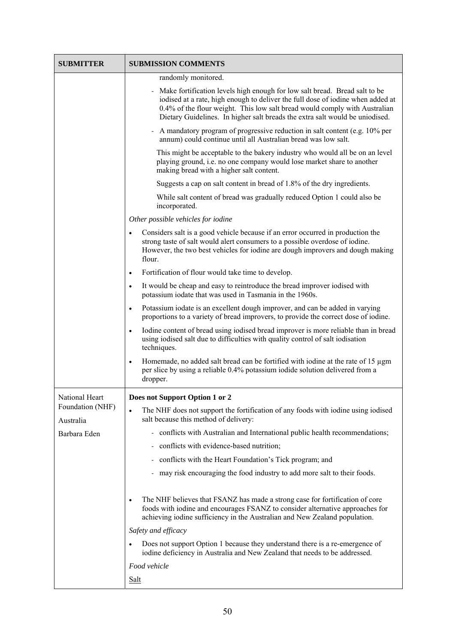| <b>SUBMITTER</b>              | <b>SUBMISSION COMMENTS</b>                                                                                                                                                                                                                                                                                                  |
|-------------------------------|-----------------------------------------------------------------------------------------------------------------------------------------------------------------------------------------------------------------------------------------------------------------------------------------------------------------------------|
|                               | randomly monitored.                                                                                                                                                                                                                                                                                                         |
|                               | Make fortification levels high enough for low salt bread. Bread salt to be<br>iodised at a rate, high enough to deliver the full dose of iodine when added at<br>0.4% of the flour weight. This low salt bread would comply with Australian<br>Dietary Guidelines. In higher salt breads the extra salt would be uniodised. |
|                               | - A mandatory program of progressive reduction in salt content (e.g. 10% per<br>annum) could continue until all Australian bread was low salt.                                                                                                                                                                              |
|                               | This might be acceptable to the bakery industry who would all be on an level<br>playing ground, i.e. no one company would lose market share to another<br>making bread with a higher salt content.                                                                                                                          |
|                               | Suggests a cap on salt content in bread of 1.8% of the dry ingredients.                                                                                                                                                                                                                                                     |
|                               | While salt content of bread was gradually reduced Option 1 could also be<br>incorporated.                                                                                                                                                                                                                                   |
|                               | Other possible vehicles for iodine                                                                                                                                                                                                                                                                                          |
|                               | Considers salt is a good vehicle because if an error occurred in production the<br>$\bullet$<br>strong taste of salt would alert consumers to a possible overdose of iodine.<br>However, the two best vehicles for iodine are dough improvers and dough making<br>flour.                                                    |
|                               | Fortification of flour would take time to develop.<br>$\bullet$                                                                                                                                                                                                                                                             |
|                               | It would be cheap and easy to reintroduce the bread improver iodised with<br>$\bullet$<br>potassium iodate that was used in Tasmania in the 1960s.                                                                                                                                                                          |
|                               | Potassium iodate is an excellent dough improver, and can be added in varying<br>$\bullet$<br>proportions to a variety of bread improvers, to provide the correct dose of iodine.                                                                                                                                            |
|                               | Iodine content of bread using iodised bread improver is more reliable than in bread<br>$\bullet$<br>using iodised salt due to difficulties with quality control of salt iodisation<br>techniques.                                                                                                                           |
|                               | Homemade, no added salt bread can be fortified with iodine at the rate of 15 µgm<br>$\bullet$<br>per slice by using a reliable 0.4% potassium iodide solution delivered from a<br>dropper.                                                                                                                                  |
| National Heart                | Does not Support Option 1 or 2                                                                                                                                                                                                                                                                                              |
| Foundation (NHF)<br>Australia | The NHF does not support the fortification of any foods with iodine using iodised<br>$\bullet$<br>salt because this method of delivery:                                                                                                                                                                                     |
| Barbara Eden                  | - conflicts with Australian and International public health recommendations;                                                                                                                                                                                                                                                |
|                               | conflicts with evidence-based nutrition;                                                                                                                                                                                                                                                                                    |
|                               | conflicts with the Heart Foundation's Tick program; and                                                                                                                                                                                                                                                                     |
|                               | may risk encouraging the food industry to add more salt to their foods.                                                                                                                                                                                                                                                     |
|                               | The NHF believes that FSANZ has made a strong case for fortification of core<br>foods with iodine and encourages FSANZ to consider alternative approaches for<br>achieving iodine sufficiency in the Australian and New Zealand population.                                                                                 |
|                               | Safety and efficacy                                                                                                                                                                                                                                                                                                         |
|                               | Does not support Option 1 because they understand there is a re-emergence of<br>iodine deficiency in Australia and New Zealand that needs to be addressed.                                                                                                                                                                  |
|                               | Food vehicle                                                                                                                                                                                                                                                                                                                |
|                               | <b>Salt</b>                                                                                                                                                                                                                                                                                                                 |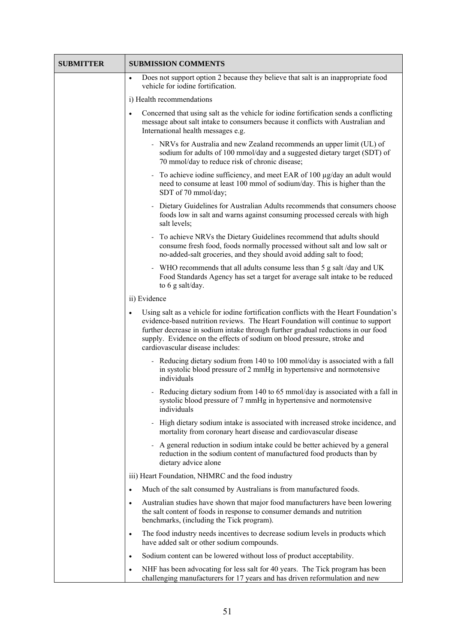| <b>SUBMITTER</b> | <b>SUBMISSION COMMENTS</b>                                                                                                                                                                                                                                                                                                                                                                |
|------------------|-------------------------------------------------------------------------------------------------------------------------------------------------------------------------------------------------------------------------------------------------------------------------------------------------------------------------------------------------------------------------------------------|
|                  | Does not support option 2 because they believe that salt is an inappropriate food<br>$\bullet$<br>vehicle for iodine fortification.                                                                                                                                                                                                                                                       |
|                  | i) Health recommendations                                                                                                                                                                                                                                                                                                                                                                 |
|                  | Concerned that using salt as the vehicle for iodine fortification sends a conflicting<br>$\bullet$<br>message about salt intake to consumers because it conflicts with Australian and<br>International health messages e.g.                                                                                                                                                               |
|                  | - NRVs for Australia and new Zealand recommends an upper limit (UL) of<br>sodium for adults of 100 mmol/day and a suggested dietary target (SDT) of<br>70 mmol/day to reduce risk of chronic disease;                                                                                                                                                                                     |
|                  | To achieve iodine sufficiency, and meet EAR of 100 μg/day an adult would<br>need to consume at least 100 mmol of sodium/day. This is higher than the<br>SDT of 70 mmol/day;                                                                                                                                                                                                               |
|                  | Dietary Guidelines for Australian Adults recommends that consumers choose<br>foods low in salt and warns against consuming processed cereals with high<br>salt levels;                                                                                                                                                                                                                    |
|                  | To achieve NRVs the Dietary Guidelines recommend that adults should<br>consume fresh food, foods normally processed without salt and low salt or<br>no-added-salt groceries, and they should avoid adding salt to food;                                                                                                                                                                   |
|                  | WHO recommends that all adults consume less than 5 g salt/day and UK<br>Food Standards Agency has set a target for average salt intake to be reduced<br>to $6$ g salt/day.                                                                                                                                                                                                                |
|                  | ii) Evidence                                                                                                                                                                                                                                                                                                                                                                              |
|                  | Using salt as a vehicle for iodine fortification conflicts with the Heart Foundation's<br>$\bullet$<br>evidence-based nutrition reviews. The Heart Foundation will continue to support<br>further decrease in sodium intake through further gradual reductions in our food<br>supply. Evidence on the effects of sodium on blood pressure, stroke and<br>cardiovascular disease includes: |
|                  | - Reducing dietary sodium from 140 to 100 mmol/day is associated with a fall<br>in systolic blood pressure of 2 mmHg in hypertensive and normotensive<br>individuals                                                                                                                                                                                                                      |
|                  | - Reducing dietary sodium from 140 to 65 mmol/day is associated with a fall in<br>systolic blood pressure of 7 mmHg in hypertensive and normotensive<br>individuals                                                                                                                                                                                                                       |
|                  | High dietary sodium intake is associated with increased stroke incidence, and<br>mortality from coronary heart disease and cardiovascular disease                                                                                                                                                                                                                                         |
|                  | A general reduction in sodium intake could be better achieved by a general<br>reduction in the sodium content of manufactured food products than by<br>dietary advice alone                                                                                                                                                                                                               |
|                  | iii) Heart Foundation, NHMRC and the food industry                                                                                                                                                                                                                                                                                                                                        |
|                  | Much of the salt consumed by Australians is from manufactured foods.<br>$\bullet$                                                                                                                                                                                                                                                                                                         |
|                  | Australian studies have shown that major food manufacturers have been lowering<br>$\bullet$<br>the salt content of foods in response to consumer demands and nutrition<br>benchmarks, (including the Tick program).                                                                                                                                                                       |
|                  | The food industry needs incentives to decrease sodium levels in products which<br>$\bullet$<br>have added salt or other sodium compounds.                                                                                                                                                                                                                                                 |
|                  | Sodium content can be lowered without loss of product acceptability.<br>$\bullet$                                                                                                                                                                                                                                                                                                         |
|                  | NHF has been advocating for less salt for 40 years. The Tick program has been<br>$\bullet$<br>challenging manufacturers for 17 years and has driven reformulation and new                                                                                                                                                                                                                 |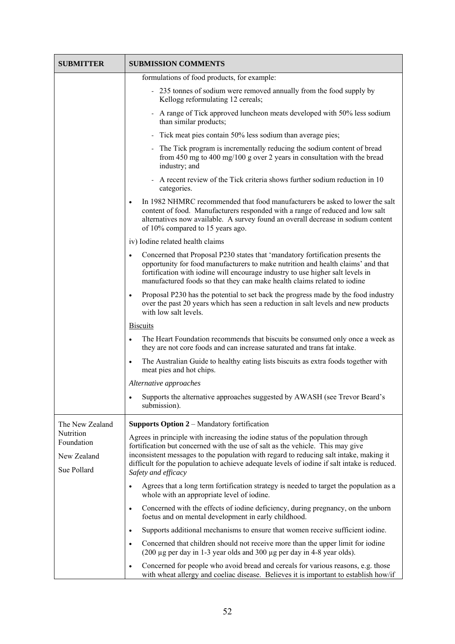| SUBMITTER                                             | <b>SUBMISSION COMMENTS</b>                                                                                                                                                                                                                                                                                                                                                         |
|-------------------------------------------------------|------------------------------------------------------------------------------------------------------------------------------------------------------------------------------------------------------------------------------------------------------------------------------------------------------------------------------------------------------------------------------------|
|                                                       | formulations of food products, for example:                                                                                                                                                                                                                                                                                                                                        |
|                                                       | - 235 tonnes of sodium were removed annually from the food supply by<br>Kellogg reformulating 12 cereals;                                                                                                                                                                                                                                                                          |
|                                                       | - A range of Tick approved luncheon meats developed with 50% less sodium<br>than similar products;                                                                                                                                                                                                                                                                                 |
|                                                       | - Tick meat pies contain 50% less sodium than average pies;                                                                                                                                                                                                                                                                                                                        |
|                                                       | - The Tick program is incrementally reducing the sodium content of bread<br>from 450 mg to 400 mg/100 g over 2 years in consultation with the bread<br>industry; and                                                                                                                                                                                                               |
|                                                       | A recent review of the Tick criteria shows further sodium reduction in 10<br>categories.                                                                                                                                                                                                                                                                                           |
|                                                       | In 1982 NHMRC recommended that food manufacturers be asked to lower the salt<br>content of food. Manufacturers responded with a range of reduced and low salt<br>alternatives now available. A survey found an overall decrease in sodium content<br>of 10% compared to 15 years ago.                                                                                              |
|                                                       | iv) Iodine related health claims                                                                                                                                                                                                                                                                                                                                                   |
|                                                       | Concerned that Proposal P230 states that 'mandatory fortification presents the<br>$\bullet$<br>opportunity for food manufacturers to make nutrition and health claims' and that<br>fortification with iodine will encourage industry to use higher salt levels in<br>manufactured foods so that they can make health claims related to iodine                                      |
|                                                       | Proposal P230 has the potential to set back the progress made by the food industry<br>$\bullet$<br>over the past 20 years which has seen a reduction in salt levels and new products<br>with low salt levels.                                                                                                                                                                      |
|                                                       | <b>Biscuits</b>                                                                                                                                                                                                                                                                                                                                                                    |
|                                                       | The Heart Foundation recommends that biscuits be consumed only once a week as<br>$\bullet$<br>they are not core foods and can increase saturated and trans fat intake.                                                                                                                                                                                                             |
|                                                       | The Australian Guide to healthy eating lists biscuits as extra foods together with<br>$\bullet$<br>meat pies and hot chips.                                                                                                                                                                                                                                                        |
|                                                       | Alternative approaches                                                                                                                                                                                                                                                                                                                                                             |
|                                                       | Supports the alternative approaches suggested by AWASH (see Trevor Beard's<br>submission).                                                                                                                                                                                                                                                                                         |
| The New Zealand                                       | Supports Option 2 - Mandatory fortification                                                                                                                                                                                                                                                                                                                                        |
| Nutrition<br>Foundation<br>New Zealand<br>Sue Pollard | Agrees in principle with increasing the iodine status of the population through<br>fortification but concerned with the use of salt as the vehicle. This may give<br>inconsistent messages to the population with regard to reducing salt intake, making it<br>difficult for the population to achieve adequate levels of iodine if salt intake is reduced.<br>Safety and efficacy |
|                                                       | Agrees that a long term fortification strategy is needed to target the population as a<br>$\bullet$<br>whole with an appropriate level of iodine.                                                                                                                                                                                                                                  |
|                                                       | Concerned with the effects of iodine deficiency, during pregnancy, on the unborn<br>$\bullet$<br>foetus and on mental development in early childhood.                                                                                                                                                                                                                              |
|                                                       | Supports additional mechanisms to ensure that women receive sufficient iodine.<br>$\bullet$                                                                                                                                                                                                                                                                                        |
|                                                       | Concerned that children should not receive more than the upper limit for iodine<br>$\bullet$<br>$(200 \mu g$ per day in 1-3 year olds and 300 $\mu g$ per day in 4-8 year olds).                                                                                                                                                                                                   |
|                                                       | Concerned for people who avoid bread and cereals for various reasons, e.g. those<br>$\bullet$<br>with wheat allergy and coeliac disease. Believes it is important to establish how/if                                                                                                                                                                                              |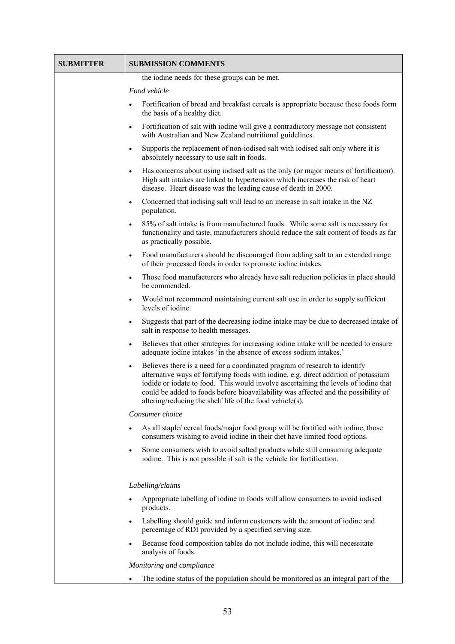| <b>SUBMITTER</b> | <b>SUBMISSION COMMENTS</b>                                                                                                                                                                                                                                                                                                                                                                                              |
|------------------|-------------------------------------------------------------------------------------------------------------------------------------------------------------------------------------------------------------------------------------------------------------------------------------------------------------------------------------------------------------------------------------------------------------------------|
|                  | the iodine needs for these groups can be met.                                                                                                                                                                                                                                                                                                                                                                           |
|                  | Food vehicle                                                                                                                                                                                                                                                                                                                                                                                                            |
|                  | Fortification of bread and breakfast cereals is appropriate because these foods form<br>$\bullet$<br>the basis of a healthy diet.                                                                                                                                                                                                                                                                                       |
|                  | Fortification of salt with iodine will give a contradictory message not consistent<br>$\bullet$<br>with Australian and New Zealand nutritional guidelines.                                                                                                                                                                                                                                                              |
|                  | Supports the replacement of non-iodised salt with iodised salt only where it is<br>$\bullet$<br>absolutely necessary to use salt in foods.                                                                                                                                                                                                                                                                              |
|                  | Has concerns about using iodised salt as the only (or major means of fortification).<br>$\bullet$<br>High salt intakes are linked to hypertension which increases the risk of heart<br>disease. Heart disease was the leading cause of death in 2000.                                                                                                                                                                   |
|                  | Concerned that iodising salt will lead to an increase in salt intake in the NZ<br>$\bullet$<br>population.                                                                                                                                                                                                                                                                                                              |
|                  | 85% of salt intake is from manufactured foods. While some salt is necessary for<br>$\bullet$<br>functionality and taste, manufacturers should reduce the salt content of foods as far<br>as practically possible.                                                                                                                                                                                                       |
|                  | Food manufacturers should be discouraged from adding salt to an extended range<br>$\bullet$<br>of their processed foods in order to promote iodine intakes.                                                                                                                                                                                                                                                             |
|                  | Those food manufacturers who already have salt reduction policies in place should<br>$\bullet$<br>be commended.                                                                                                                                                                                                                                                                                                         |
|                  | Would not recommend maintaining current salt use in order to supply sufficient<br>levels of iodine.                                                                                                                                                                                                                                                                                                                     |
|                  | Suggests that part of the decreasing iodine intake may be due to decreased intake of<br>$\bullet$<br>salt in response to health messages.                                                                                                                                                                                                                                                                               |
|                  | Believes that other strategies for increasing iodine intake will be needed to ensure<br>$\bullet$<br>adequate iodine intakes 'in the absence of excess sodium intakes.'                                                                                                                                                                                                                                                 |
|                  | Believes there is a need for a coordinated program of research to identify<br>$\bullet$<br>alternative ways of fortifying foods with iodine, e.g. direct addition of potassium<br>iodide or iodate to food. This would involve ascertaining the levels of iodine that<br>could be added to foods before bioavailability was affected and the possibility of<br>altering/reducing the shelf life of the food vehicle(s). |
|                  | Consumer choice                                                                                                                                                                                                                                                                                                                                                                                                         |
|                  | As all staple/ cereal foods/major food group will be fortified with iodine, those<br>$\bullet$<br>consumers wishing to avoid iodine in their diet have limited food options.                                                                                                                                                                                                                                            |
|                  | Some consumers wish to avoid salted products while still consuming adequate<br>$\bullet$<br>iodine. This is not possible if salt is the vehicle for fortification.                                                                                                                                                                                                                                                      |
|                  | Labelling/claims                                                                                                                                                                                                                                                                                                                                                                                                        |
|                  | Appropriate labelling of iodine in foods will allow consumers to avoid iodised<br>$\bullet$<br>products.                                                                                                                                                                                                                                                                                                                |
|                  | Labelling should guide and inform customers with the amount of iodine and<br>$\bullet$<br>percentage of RDI provided by a specified serving size.                                                                                                                                                                                                                                                                       |
|                  | Because food composition tables do not include iodine, this will necessitate<br>$\bullet$<br>analysis of foods.                                                                                                                                                                                                                                                                                                         |
|                  | Monitoring and compliance                                                                                                                                                                                                                                                                                                                                                                                               |
|                  | The iodine status of the population should be monitored as an integral part of the                                                                                                                                                                                                                                                                                                                                      |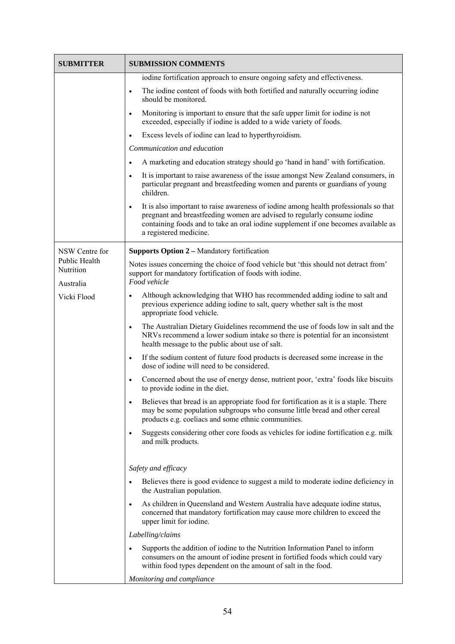| <b>SUBMITTER</b>                               | <b>SUBMISSION COMMENTS</b>                                                                                                                                                                                                                                                                    |
|------------------------------------------------|-----------------------------------------------------------------------------------------------------------------------------------------------------------------------------------------------------------------------------------------------------------------------------------------------|
|                                                | iodine fortification approach to ensure ongoing safety and effectiveness.                                                                                                                                                                                                                     |
|                                                | The iodine content of foods with both fortified and naturally occurring iodine<br>$\bullet$<br>should be monitored.                                                                                                                                                                           |
|                                                | Monitoring is important to ensure that the safe upper limit for iodine is not<br>$\bullet$<br>exceeded, especially if iodine is added to a wide variety of foods.                                                                                                                             |
|                                                | Excess levels of iodine can lead to hyperthyroidism.<br>$\bullet$                                                                                                                                                                                                                             |
|                                                | Communication and education                                                                                                                                                                                                                                                                   |
|                                                | A marketing and education strategy should go 'hand in hand' with fortification.<br>$\bullet$                                                                                                                                                                                                  |
|                                                | It is important to raise awareness of the issue amongst New Zealand consumers, in<br>$\bullet$<br>particular pregnant and breastfeeding women and parents or guardians of young<br>children.                                                                                                  |
|                                                | It is also important to raise awareness of iodine among health professionals so that<br>$\bullet$<br>pregnant and breastfeeding women are advised to regularly consume iodine<br>containing foods and to take an oral iodine supplement if one becomes available as<br>a registered medicine. |
| NSW Centre for                                 | <b>Supports Option 2 – Mandatory fortification</b>                                                                                                                                                                                                                                            |
| <b>Public Health</b><br>Nutrition<br>Australia | Notes issues concerning the choice of food vehicle but 'this should not detract from'<br>support for mandatory fortification of foods with iodine.<br>Food vehicle                                                                                                                            |
| Vicki Flood                                    | Although acknowledging that WHO has recommended adding iodine to salt and<br>$\bullet$<br>previous experience adding iodine to salt, query whether salt is the most<br>appropriate food vehicle.                                                                                              |
|                                                | The Australian Dietary Guidelines recommend the use of foods low in salt and the<br>$\bullet$<br>NRVs recommend a lower sodium intake so there is potential for an inconsistent<br>health message to the public about use of salt.                                                            |
|                                                | If the sodium content of future food products is decreased some increase in the<br>$\bullet$<br>dose of iodine will need to be considered.                                                                                                                                                    |
|                                                | Concerned about the use of energy dense, nutrient poor, 'extra' foods like biscuits<br>$\bullet$<br>to provide iodine in the diet.                                                                                                                                                            |
|                                                | Believes that bread is an appropriate food for fortification as it is a staple. There<br>$\bullet$<br>may be some population subgroups who consume little bread and other cereal<br>products e.g. coeliacs and some ethnic communities.                                                       |
|                                                | Suggests considering other core foods as vehicles for iodine fortification e.g. milk<br>$\bullet$<br>and milk products.                                                                                                                                                                       |
|                                                | Safety and efficacy                                                                                                                                                                                                                                                                           |
|                                                | Believes there is good evidence to suggest a mild to moderate iodine deficiency in<br>the Australian population.                                                                                                                                                                              |
|                                                | As children in Queensland and Western Australia have adequate iodine status,<br>$\bullet$<br>concerned that mandatory fortification may cause more children to exceed the<br>upper limit for iodine.                                                                                          |
|                                                | Labelling/claims                                                                                                                                                                                                                                                                              |
|                                                | Supports the addition of iodine to the Nutrition Information Panel to inform<br>$\bullet$<br>consumers on the amount of iodine present in fortified foods which could vary<br>within food types dependent on the amount of salt in the food.                                                  |
|                                                | Monitoring and compliance                                                                                                                                                                                                                                                                     |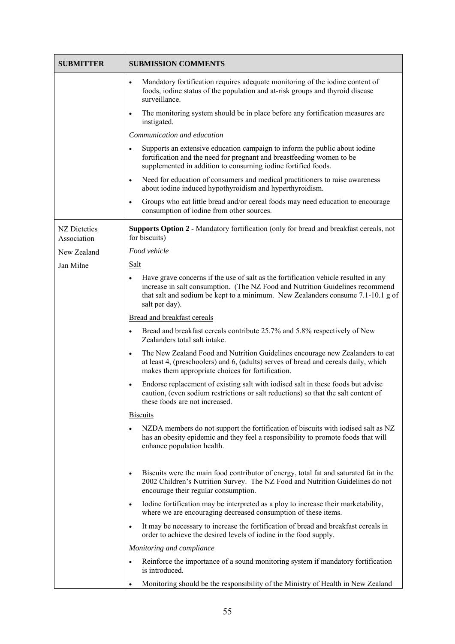| <b>SUBMITTER</b>            | <b>SUBMISSION COMMENTS</b>                                                                                                                                                                                                                                                             |
|-----------------------------|----------------------------------------------------------------------------------------------------------------------------------------------------------------------------------------------------------------------------------------------------------------------------------------|
|                             | Mandatory fortification requires adequate monitoring of the iodine content of<br>$\bullet$<br>foods, iodine status of the population and at-risk groups and thyroid disease<br>surveillance.                                                                                           |
|                             | The monitoring system should be in place before any fortification measures are<br>$\bullet$<br>instigated.                                                                                                                                                                             |
|                             | Communication and education                                                                                                                                                                                                                                                            |
|                             | Supports an extensive education campaign to inform the public about iodine<br>$\bullet$<br>fortification and the need for pregnant and breastfeeding women to be<br>supplemented in addition to consuming iodine fortified foods.                                                      |
|                             | Need for education of consumers and medical practitioners to raise awareness<br>$\bullet$<br>about iodine induced hypothyroidism and hyperthyroidism.                                                                                                                                  |
|                             | Groups who eat little bread and/or cereal foods may need education to encourage<br>$\bullet$<br>consumption of iodine from other sources.                                                                                                                                              |
| NZ Dietetics<br>Association | <b>Supports Option 2 - Mandatory fortification (only for bread and breakfast cereals, not</b><br>for biscuits)                                                                                                                                                                         |
| New Zealand                 | Food vehicle                                                                                                                                                                                                                                                                           |
| Jan Milne                   | <b>Salt</b>                                                                                                                                                                                                                                                                            |
|                             | Have grave concerns if the use of salt as the fortification vehicle resulted in any<br>$\bullet$<br>increase in salt consumption. (The NZ Food and Nutrition Guidelines recommend<br>that salt and sodium be kept to a minimum. New Zealanders consume 7.1-10.1 g of<br>salt per day). |
|                             | Bread and breakfast cereals                                                                                                                                                                                                                                                            |
|                             | Bread and breakfast cereals contribute 25.7% and 5.8% respectively of New<br>$\bullet$<br>Zealanders total salt intake.                                                                                                                                                                |
|                             | The New Zealand Food and Nutrition Guidelines encourage new Zealanders to eat<br>$\bullet$<br>at least 4, (preschoolers) and 6, (adults) serves of bread and cereals daily, which<br>makes them appropriate choices for fortification.                                                 |
|                             | Endorse replacement of existing salt with iodised salt in these foods but advise<br>$\bullet$<br>caution, (even sodium restrictions or salt reductions) so that the salt content of<br>these foods are not increased.                                                                  |
|                             | <b>Biscuits</b>                                                                                                                                                                                                                                                                        |
|                             | NZDA members do not support the fortification of biscuits with iodised salt as NZ<br>$\bullet$<br>has an obesity epidemic and they feel a responsibility to promote foods that will<br>enhance population health.                                                                      |
|                             | Biscuits were the main food contributor of energy, total fat and saturated fat in the<br>$\bullet$<br>2002 Children's Nutrition Survey. The NZ Food and Nutrition Guidelines do not<br>encourage their regular consumption.                                                            |
|                             | Iodine fortification may be interpreted as a ploy to increase their marketability,<br>$\bullet$<br>where we are encouraging decreased consumption of these items.                                                                                                                      |
|                             | It may be necessary to increase the fortification of bread and breakfast cereals in<br>$\bullet$<br>order to achieve the desired levels of iodine in the food supply.                                                                                                                  |
|                             | Monitoring and compliance                                                                                                                                                                                                                                                              |
|                             | Reinforce the importance of a sound monitoring system if mandatory fortification<br>$\bullet$<br>is introduced.                                                                                                                                                                        |
|                             | Monitoring should be the responsibility of the Ministry of Health in New Zealand<br>$\bullet$                                                                                                                                                                                          |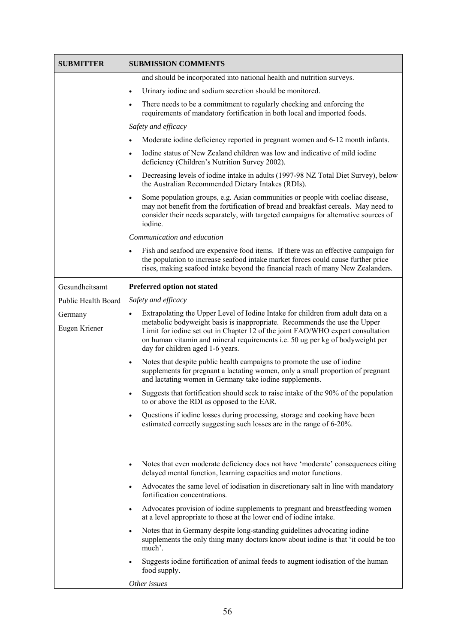| <b>SUBMITTER</b>         | <b>SUBMISSION COMMENTS</b>                                                                                                                                                                                                                                                                                                                                                         |
|--------------------------|------------------------------------------------------------------------------------------------------------------------------------------------------------------------------------------------------------------------------------------------------------------------------------------------------------------------------------------------------------------------------------|
|                          | and should be incorporated into national health and nutrition surveys.                                                                                                                                                                                                                                                                                                             |
|                          | Urinary iodine and sodium secretion should be monitored.<br>$\bullet$                                                                                                                                                                                                                                                                                                              |
|                          | There needs to be a commitment to regularly checking and enforcing the<br>$\bullet$<br>requirements of mandatory fortification in both local and imported foods.                                                                                                                                                                                                                   |
|                          | Safety and efficacy                                                                                                                                                                                                                                                                                                                                                                |
|                          | Moderate iodine deficiency reported in pregnant women and 6-12 month infants.<br>$\bullet$                                                                                                                                                                                                                                                                                         |
|                          | Iodine status of New Zealand children was low and indicative of mild iodine<br>$\bullet$<br>deficiency (Children's Nutrition Survey 2002).                                                                                                                                                                                                                                         |
|                          | Decreasing levels of iodine intake in adults (1997-98 NZ Total Diet Survey), below<br>$\bullet$<br>the Australian Recommended Dietary Intakes (RDIs).                                                                                                                                                                                                                              |
|                          | Some population groups, e.g. Asian communities or people with coeliac disease,<br>$\bullet$<br>may not benefit from the fortification of bread and breakfast cereals. May need to<br>consider their needs separately, with targeted campaigns for alternative sources of<br>iodine.                                                                                                |
|                          | Communication and education                                                                                                                                                                                                                                                                                                                                                        |
|                          | Fish and seafood are expensive food items. If there was an effective campaign for<br>$\bullet$<br>the population to increase seafood intake market forces could cause further price<br>rises, making seafood intake beyond the financial reach of many New Zealanders.                                                                                                             |
| Gesundheitsamt           | Preferred option not stated                                                                                                                                                                                                                                                                                                                                                        |
| Public Health Board      | Safety and efficacy                                                                                                                                                                                                                                                                                                                                                                |
| Germany<br>Eugen Kriener | Extrapolating the Upper Level of Iodine Intake for children from adult data on a<br>$\bullet$<br>metabolic bodyweight basis is inappropriate. Recommends the use the Upper<br>Limit for iodine set out in Chapter 12 of the joint FAO/WHO expert consultation<br>on human vitamin and mineral requirements i.e. 50 ug per kg of bodyweight per<br>day for children aged 1-6 years. |
|                          | Notes that despite public health campaigns to promote the use of iodine<br>$\bullet$<br>supplements for pregnant a lactating women, only a small proportion of pregnant<br>and lactating women in Germany take iodine supplements.                                                                                                                                                 |
|                          | Suggests that fortification should seek to raise intake of the 90% of the population<br>$\bullet$<br>to or above the RDI as opposed to the EAR.                                                                                                                                                                                                                                    |
|                          | Questions if iodine losses during processing, storage and cooking have been<br>$\bullet$<br>estimated correctly suggesting such losses are in the range of 6-20%.                                                                                                                                                                                                                  |
|                          | Notes that even moderate deficiency does not have 'moderate' consequences citing<br>$\bullet$<br>delayed mental function, learning capacities and motor functions.                                                                                                                                                                                                                 |
|                          | Advocates the same level of iodisation in discretionary salt in line with mandatory<br>$\bullet$<br>fortification concentrations.                                                                                                                                                                                                                                                  |
|                          | Advocates provision of iodine supplements to pregnant and breastfeeding women<br>$\bullet$<br>at a level appropriate to those at the lower end of iodine intake.                                                                                                                                                                                                                   |
|                          | Notes that in Germany despite long-standing guidelines advocating iodine<br>$\bullet$<br>supplements the only thing many doctors know about iodine is that 'it could be too<br>much'.                                                                                                                                                                                              |
|                          | Suggests iodine fortification of animal feeds to augment iodisation of the human<br>$\bullet$<br>food supply.                                                                                                                                                                                                                                                                      |
|                          | Other issues                                                                                                                                                                                                                                                                                                                                                                       |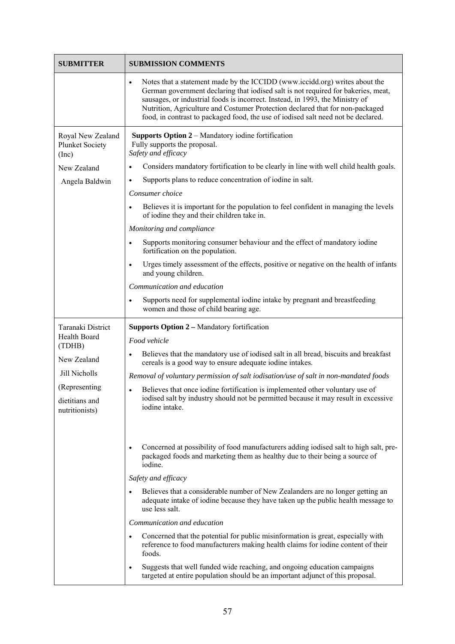| <b>SUBMITTER</b>                                                                                                                 | <b>SUBMISSION COMMENTS</b>                                                                                                                                                                                                                                                                                                                                                                                                                                                                                                                                                                                                                                                                                                                                                                                                                                                |
|----------------------------------------------------------------------------------------------------------------------------------|---------------------------------------------------------------------------------------------------------------------------------------------------------------------------------------------------------------------------------------------------------------------------------------------------------------------------------------------------------------------------------------------------------------------------------------------------------------------------------------------------------------------------------------------------------------------------------------------------------------------------------------------------------------------------------------------------------------------------------------------------------------------------------------------------------------------------------------------------------------------------|
|                                                                                                                                  | Notes that a statement made by the ICCIDD (www.iccidd.org) writes about the<br>$\bullet$<br>German government declaring that iodised salt is not required for bakeries, meat,<br>sausages, or industrial foods is incorrect. Instead, in 1993, the Ministry of<br>Nutrition, Agriculture and Costumer Protection declared that for non-packaged<br>food, in contrast to packaged food, the use of iodised salt need not be declared.                                                                                                                                                                                                                                                                                                                                                                                                                                      |
| Royal New Zealand<br><b>Plunket Society</b><br>(Inc)<br>New Zealand<br>Angela Baldwin                                            | Supports Option 2 - Mandatory iodine fortification<br>Fully supports the proposal.<br>Safety and efficacy<br>Considers mandatory fortification to be clearly in line with well child health goals.<br>٠<br>Supports plans to reduce concentration of iodine in salt.<br>$\bullet$<br>Consumer choice<br>Believes it is important for the population to feel confident in managing the levels<br>$\bullet$<br>of iodine they and their children take in.<br>Monitoring and compliance<br>Supports monitoring consumer behaviour and the effect of mandatory iodine<br>$\bullet$<br>fortification on the population.<br>Urges timely assessment of the effects, positive or negative on the health of infants<br>$\bullet$<br>and young children.<br>Communication and education<br>Supports need for supplemental iodine intake by pregnant and breastfeeding<br>$\bullet$ |
|                                                                                                                                  | women and those of child bearing age.                                                                                                                                                                                                                                                                                                                                                                                                                                                                                                                                                                                                                                                                                                                                                                                                                                     |
| Taranaki District<br>Health Board<br>(TDHB)<br>New Zealand<br>Jill Nicholls<br>(Representing<br>dietitians and<br>nutritionists) | Supports Option 2 - Mandatory fortification<br>Food vehicle<br>Believes that the mandatory use of iodised salt in all bread, biscuits and breakfast<br>$\bullet$<br>cereals is a good way to ensure adequate iodine intakes.<br>Removal of voluntary permission of salt iodisation/use of salt in non-mandated foods<br>Believes that once iodine fortification is implemented other voluntary use of<br>iodised salt by industry should not be permitted because it may result in excessive<br>iodine intake.                                                                                                                                                                                                                                                                                                                                                            |
|                                                                                                                                  | Concerned at possibility of food manufacturers adding iodised salt to high salt, pre-<br>$\bullet$<br>packaged foods and marketing them as healthy due to their being a source of<br>iodine.<br>Safety and efficacy<br>Believes that a considerable number of New Zealanders are no longer getting an<br>adequate intake of iodine because they have taken up the public health message to<br>use less salt.<br>Communication and education<br>Concerned that the potential for public misinformation is great, especially with<br>$\bullet$<br>reference to food manufacturers making health claims for iodine content of their<br>foods.<br>Suggests that well funded wide reaching, and ongoing education campaigns<br>targeted at entire population should be an important adjunct of this proposal.                                                                  |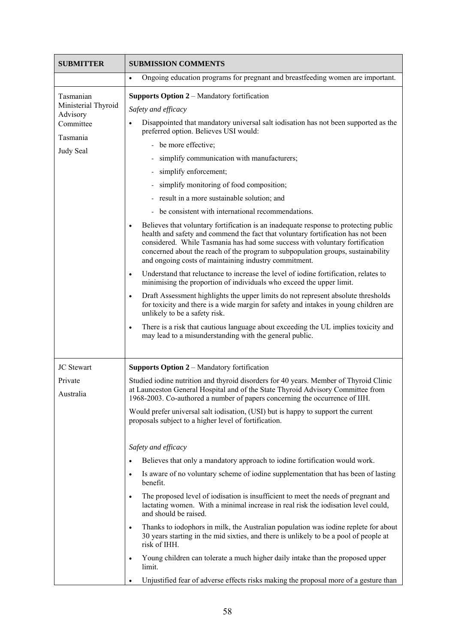| <b>SUBMITTER</b>                | <b>SUBMISSION COMMENTS</b>                                                                                                                                                                                                                                                                                                                                                                                         |
|---------------------------------|--------------------------------------------------------------------------------------------------------------------------------------------------------------------------------------------------------------------------------------------------------------------------------------------------------------------------------------------------------------------------------------------------------------------|
|                                 | Ongoing education programs for pregnant and breastfeeding women are important.<br>$\bullet$                                                                                                                                                                                                                                                                                                                        |
| Tasmanian                       | <b>Supports Option 2 – Mandatory fortification</b>                                                                                                                                                                                                                                                                                                                                                                 |
| Ministerial Thyroid<br>Advisory | Safety and efficacy                                                                                                                                                                                                                                                                                                                                                                                                |
| Committee                       | Disappointed that mandatory universal salt iodisation has not been supported as the<br>$\bullet$<br>preferred option. Believes USI would:                                                                                                                                                                                                                                                                          |
| Tasmania                        | - be more effective;                                                                                                                                                                                                                                                                                                                                                                                               |
| Judy Seal                       | simplify communication with manufacturers;                                                                                                                                                                                                                                                                                                                                                                         |
|                                 | simplify enforcement;                                                                                                                                                                                                                                                                                                                                                                                              |
|                                 | simplify monitoring of food composition;                                                                                                                                                                                                                                                                                                                                                                           |
|                                 | result in a more sustainable solution; and                                                                                                                                                                                                                                                                                                                                                                         |
|                                 | be consistent with international recommendations.                                                                                                                                                                                                                                                                                                                                                                  |
|                                 | Believes that voluntary fortification is an inadequate response to protecting public<br>$\bullet$<br>health and safety and commend the fact that voluntary fortification has not been<br>considered. While Tasmania has had some success with voluntary fortification<br>concerned about the reach of the program to subpopulation groups, sustainability<br>and ongoing costs of maintaining industry commitment. |
|                                 | Understand that reluctance to increase the level of iodine fortification, relates to<br>$\bullet$<br>minimising the proportion of individuals who exceed the upper limit.                                                                                                                                                                                                                                          |
|                                 | Draft Assessment highlights the upper limits do not represent absolute thresholds<br>$\bullet$<br>for toxicity and there is a wide margin for safety and intakes in young children are<br>unlikely to be a safety risk.                                                                                                                                                                                            |
|                                 | There is a risk that cautious language about exceeding the UL implies toxicity and<br>$\bullet$<br>may lead to a misunderstanding with the general public.                                                                                                                                                                                                                                                         |
| JC Stewart                      | Supports Option 2 – Mandatory fortification                                                                                                                                                                                                                                                                                                                                                                        |
| Private<br>Australia            | Studied iodine nutrition and thyroid disorders for 40 years. Member of Thyroid Clinic<br>at Launceston General Hospital and of the State Thyroid Advisory Committee from<br>1968-2003. Co-authored a number of papers concerning the occurrence of IIH.                                                                                                                                                            |
|                                 | Would prefer universal salt iodisation, (USI) but is happy to support the current<br>proposals subject to a higher level of fortification.                                                                                                                                                                                                                                                                         |
|                                 | Safety and efficacy                                                                                                                                                                                                                                                                                                                                                                                                |
|                                 | Believes that only a mandatory approach to iodine fortification would work.<br>$\bullet$                                                                                                                                                                                                                                                                                                                           |
|                                 | Is aware of no voluntary scheme of iodine supplementation that has been of lasting<br>$\bullet$<br>benefit.                                                                                                                                                                                                                                                                                                        |
|                                 | The proposed level of iodisation is insufficient to meet the needs of pregnant and<br>$\bullet$<br>lactating women. With a minimal increase in real risk the iodisation level could,<br>and should be raised.                                                                                                                                                                                                      |
|                                 | Thanks to iodophors in milk, the Australian population was iodine replete for about<br>٠<br>30 years starting in the mid sixties, and there is unlikely to be a pool of people at<br>risk of IHH.                                                                                                                                                                                                                  |
|                                 | Young children can tolerate a much higher daily intake than the proposed upper<br>$\bullet$<br>limit.                                                                                                                                                                                                                                                                                                              |
|                                 | Unjustified fear of adverse effects risks making the proposal more of a gesture than<br>٠                                                                                                                                                                                                                                                                                                                          |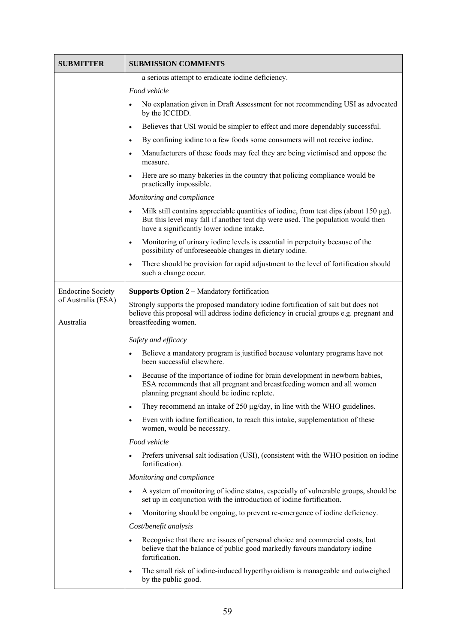| <b>SUBMITTER</b>                | <b>SUBMISSION COMMENTS</b>                                                                                                                                                                                                               |
|---------------------------------|------------------------------------------------------------------------------------------------------------------------------------------------------------------------------------------------------------------------------------------|
|                                 | a serious attempt to eradicate iodine deficiency.                                                                                                                                                                                        |
|                                 | Food vehicle                                                                                                                                                                                                                             |
|                                 | No explanation given in Draft Assessment for not recommending USI as advocated<br>$\bullet$<br>by the ICCIDD.                                                                                                                            |
|                                 | Believes that USI would be simpler to effect and more dependably successful.<br>$\bullet$                                                                                                                                                |
|                                 | By confining iodine to a few foods some consumers will not receive iodine.<br>$\bullet$                                                                                                                                                  |
|                                 | Manufacturers of these foods may feel they are being victimised and oppose the<br>$\bullet$<br>measure.                                                                                                                                  |
|                                 | Here are so many bakeries in the country that policing compliance would be<br>$\bullet$<br>practically impossible.                                                                                                                       |
|                                 | Monitoring and compliance                                                                                                                                                                                                                |
|                                 | Milk still contains appreciable quantities of iodine, from teat dips (about $150 \mu g$ ).<br>$\bullet$<br>But this level may fall if another teat dip were used. The population would then<br>have a significantly lower iodine intake. |
|                                 | Monitoring of urinary iodine levels is essential in perpetuity because of the<br>$\bullet$<br>possibility of unforeseeable changes in dietary iodine.                                                                                    |
|                                 | There should be provision for rapid adjustment to the level of fortification should<br>$\bullet$<br>such a change occur.                                                                                                                 |
| <b>Endocrine Society</b>        | <b>Supports Option 2 – Mandatory fortification</b>                                                                                                                                                                                       |
| of Australia (ESA)<br>Australia | Strongly supports the proposed mandatory iodine fortification of salt but does not<br>believe this proposal will address iodine deficiency in crucial groups e.g. pregnant and<br>breastfeeding women.                                   |
|                                 | Safety and efficacy                                                                                                                                                                                                                      |
|                                 | Believe a mandatory program is justified because voluntary programs have not<br>$\bullet$<br>been successful elsewhere.                                                                                                                  |
|                                 | Because of the importance of iodine for brain development in newborn babies,<br>$\bullet$<br>ESA recommends that all pregnant and breastfeeding women and all women<br>planning pregnant should be iodine replete.                       |
|                                 | They recommend an intake of $250 \mu g/day$ , in line with the WHO guidelines.<br>$\bullet$                                                                                                                                              |
|                                 | Even with iodine fortification, to reach this intake, supplementation of these<br>$\bullet$<br>women, would be necessary.                                                                                                                |
|                                 | Food vehicle                                                                                                                                                                                                                             |
|                                 | Prefers universal salt iodisation (USI), (consistent with the WHO position on iodine<br>$\bullet$<br>fortification).                                                                                                                     |
|                                 | Monitoring and compliance                                                                                                                                                                                                                |
|                                 | A system of monitoring of iodine status, especially of vulnerable groups, should be<br>$\bullet$<br>set up in conjunction with the introduction of iodine fortification.                                                                 |
|                                 | Monitoring should be ongoing, to prevent re-emergence of iodine deficiency.<br>$\bullet$                                                                                                                                                 |
|                                 | Cost/benefit analysis                                                                                                                                                                                                                    |
|                                 | Recognise that there are issues of personal choice and commercial costs, but<br>$\bullet$<br>believe that the balance of public good markedly favours mandatory iodine<br>fortification.                                                 |
|                                 | The small risk of iodine-induced hyperthyroidism is manageable and outweighed<br>٠<br>by the public good.                                                                                                                                |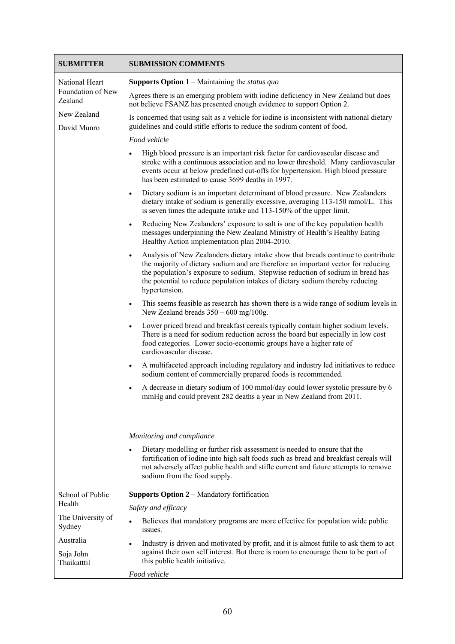| <b>SUBMITTER</b>                      | <b>SUBMISSION COMMENTS</b>                                                                                                                                                                                                                                                                                                                                              |
|---------------------------------------|-------------------------------------------------------------------------------------------------------------------------------------------------------------------------------------------------------------------------------------------------------------------------------------------------------------------------------------------------------------------------|
| National Heart<br>Foundation of New   | <b>Supports Option 1</b> – Maintaining the <i>status quo</i><br>Agrees there is an emerging problem with iodine deficiency in New Zealand but does                                                                                                                                                                                                                      |
| Zealand<br>New Zealand                | not believe FSANZ has presented enough evidence to support Option 2.<br>Is concerned that using salt as a vehicle for iodine is inconsistent with national dietary                                                                                                                                                                                                      |
| David Munro                           | guidelines and could stifle efforts to reduce the sodium content of food.<br>Food vehicle                                                                                                                                                                                                                                                                               |
|                                       | High blood pressure is an important risk factor for cardiovascular disease and<br>$\bullet$<br>stroke with a continuous association and no lower threshold. Many cardiovascular<br>events occur at below predefined cut-offs for hypertension. High blood pressure<br>has been estimated to cause 3699 deaths in 1997.                                                  |
|                                       | Dietary sodium is an important determinant of blood pressure. New Zealanders<br>$\bullet$<br>dietary intake of sodium is generally excessive, averaging 113-150 mmol/L. This<br>is seven times the adequate intake and 113-150% of the upper limit.                                                                                                                     |
|                                       | Reducing New Zealanders' exposure to salt is one of the key population health<br>$\bullet$<br>messages underpinning the New Zealand Ministry of Health's Healthy Eating -<br>Healthy Action implementation plan 2004-2010.                                                                                                                                              |
|                                       | Analysis of New Zealanders dietary intake show that breads continue to contribute<br>$\bullet$<br>the majority of dietary sodium and are therefore an important vector for reducing<br>the population's exposure to sodium. Stepwise reduction of sodium in bread has<br>the potential to reduce population intakes of dietary sodium thereby reducing<br>hypertension. |
|                                       | This seems feasible as research has shown there is a wide range of sodium levels in<br>$\bullet$<br>New Zealand breads $350 - 600$ mg/100g.                                                                                                                                                                                                                             |
|                                       | Lower priced bread and breakfast cereals typically contain higher sodium levels.<br>$\bullet$<br>There is a need for sodium reduction across the board but especially in low cost<br>food categories. Lower socio-economic groups have a higher rate of<br>cardiovascular disease.                                                                                      |
|                                       | A multifaceted approach including regulatory and industry led initiatives to reduce<br>$\bullet$<br>sodium content of commercially prepared foods is recommended.                                                                                                                                                                                                       |
|                                       | A decrease in dietary sodium of 100 mmol/day could lower systolic pressure by 6<br>$\bullet$<br>mmHg and could prevent 282 deaths a year in New Zealand from 2011                                                                                                                                                                                                       |
|                                       | Monitoring and compliance                                                                                                                                                                                                                                                                                                                                               |
|                                       | Dietary modelling or further risk assessment is needed to ensure that the<br>$\bullet$<br>fortification of iodine into high salt foods such as bread and breakfast cereals will<br>not adversely affect public health and stifle current and future attempts to remove<br>sodium from the food supply.                                                                  |
| School of Public<br>Health            | <b>Supports Option 2 – Mandatory fortification</b>                                                                                                                                                                                                                                                                                                                      |
| The University of<br>Sydney           | Safety and efficacy<br>Believes that mandatory programs are more effective for population wide public<br>$\bullet$<br>issues.                                                                                                                                                                                                                                           |
| Australia<br>Soja John<br>Thaikatttil | Industry is driven and motivated by profit, and it is almost futile to ask them to act<br>$\bullet$<br>against their own self interest. But there is room to encourage them to be part of<br>this public health initiative.                                                                                                                                             |
|                                       | Food vehicle                                                                                                                                                                                                                                                                                                                                                            |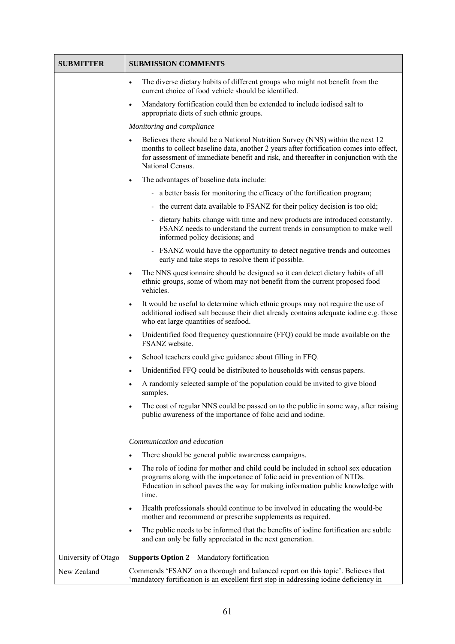| <b>SUBMITTER</b>    | <b>SUBMISSION COMMENTS</b>                                                                                                                                                                                                                                                                        |
|---------------------|---------------------------------------------------------------------------------------------------------------------------------------------------------------------------------------------------------------------------------------------------------------------------------------------------|
|                     | The diverse dietary habits of different groups who might not benefit from the<br>$\bullet$<br>current choice of food vehicle should be identified.                                                                                                                                                |
|                     | Mandatory fortification could then be extended to include iodised salt to<br>$\bullet$<br>appropriate diets of such ethnic groups.                                                                                                                                                                |
|                     | Monitoring and compliance                                                                                                                                                                                                                                                                         |
|                     | Believes there should be a National Nutrition Survey (NNS) within the next 12<br>$\bullet$<br>months to collect baseline data, another 2 years after fortification comes into effect,<br>for assessment of immediate benefit and risk, and thereafter in conjunction with the<br>National Census. |
|                     | The advantages of baseline data include:<br>$\bullet$                                                                                                                                                                                                                                             |
|                     | - a better basis for monitoring the efficacy of the fortification program;                                                                                                                                                                                                                        |
|                     | - the current data available to FSANZ for their policy decision is too old;                                                                                                                                                                                                                       |
|                     | - dietary habits change with time and new products are introduced constantly.<br>FSANZ needs to understand the current trends in consumption to make well<br>informed policy decisions; and                                                                                                       |
|                     | - FSANZ would have the opportunity to detect negative trends and outcomes<br>early and take steps to resolve them if possible.                                                                                                                                                                    |
|                     | The NNS questionnaire should be designed so it can detect dietary habits of all<br>$\bullet$<br>ethnic groups, some of whom may not benefit from the current proposed food<br>vehicles.                                                                                                           |
|                     | It would be useful to determine which ethnic groups may not require the use of<br>$\bullet$<br>additional iodised salt because their diet already contains adequate iodine e.g. those<br>who eat large quantities of seafood.                                                                     |
|                     | Unidentified food frequency questionnaire (FFQ) could be made available on the<br>$\bullet$<br>FSANZ website.                                                                                                                                                                                     |
|                     | School teachers could give guidance about filling in FFQ.<br>$\bullet$                                                                                                                                                                                                                            |
|                     | Unidentified FFQ could be distributed to households with census papers.<br>$\bullet$                                                                                                                                                                                                              |
|                     | A randomly selected sample of the population could be invited to give blood<br>$\bullet$<br>samples.                                                                                                                                                                                              |
|                     | The cost of regular NNS could be passed on to the public in some way, after raising<br>$\bullet$<br>public awareness of the importance of folic acid and iodine.                                                                                                                                  |
|                     | Communication and education                                                                                                                                                                                                                                                                       |
|                     | There should be general public awareness campaigns.<br>$\bullet$                                                                                                                                                                                                                                  |
|                     | The role of iodine for mother and child could be included in school sex education<br>$\bullet$<br>programs along with the importance of folic acid in prevention of NTDs.<br>Education in school paves the way for making information public knowledge with<br>time.                              |
|                     | Health professionals should continue to be involved in educating the would-be<br>$\bullet$<br>mother and recommend or prescribe supplements as required.                                                                                                                                          |
|                     | The public needs to be informed that the benefits of iodine fortification are subtle<br>$\bullet$<br>and can only be fully appreciated in the next generation.                                                                                                                                    |
| University of Otago | <b>Supports Option 2 – Mandatory fortification</b>                                                                                                                                                                                                                                                |
| New Zealand         | Commends 'FSANZ on a thorough and balanced report on this topic'. Believes that<br>'mandatory fortification is an excellent first step in addressing iodine deficiency in                                                                                                                         |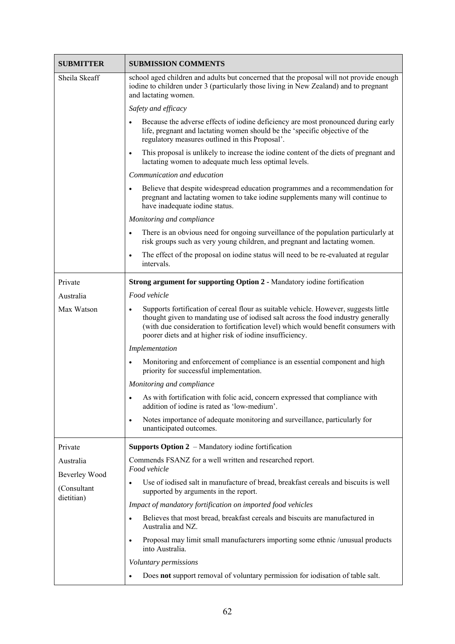| <b>SUBMITTER</b>          | <b>SUBMISSION COMMENTS</b>                                                                                                                                                                                                                                                                                                               |
|---------------------------|------------------------------------------------------------------------------------------------------------------------------------------------------------------------------------------------------------------------------------------------------------------------------------------------------------------------------------------|
| Sheila Skeaff             | school aged children and adults but concerned that the proposal will not provide enough<br>iodine to children under 3 (particularly those living in New Zealand) and to pregnant<br>and lactating women.                                                                                                                                 |
|                           | Safety and efficacy                                                                                                                                                                                                                                                                                                                      |
|                           | Because the adverse effects of iodine deficiency are most pronounced during early<br>$\bullet$<br>life, pregnant and lactating women should be the 'specific objective of the<br>regulatory measures outlined in this Proposal'.                                                                                                         |
|                           | This proposal is unlikely to increase the iodine content of the diets of pregnant and<br>$\bullet$<br>lactating women to adequate much less optimal levels.                                                                                                                                                                              |
|                           | Communication and education                                                                                                                                                                                                                                                                                                              |
|                           | Believe that despite widespread education programmes and a recommendation for<br>$\bullet$<br>pregnant and lactating women to take iodine supplements many will continue to<br>have inadequate iodine status.                                                                                                                            |
|                           | Monitoring and compliance                                                                                                                                                                                                                                                                                                                |
|                           | There is an obvious need for ongoing surveillance of the population particularly at<br>$\bullet$<br>risk groups such as very young children, and pregnant and lactating women.                                                                                                                                                           |
|                           | The effect of the proposal on iodine status will need to be re-evaluated at regular<br>$\bullet$<br>intervals.                                                                                                                                                                                                                           |
| Private                   | <b>Strong argument for supporting Option 2 - Mandatory iodine fortification</b>                                                                                                                                                                                                                                                          |
| Australia                 | Food vehicle                                                                                                                                                                                                                                                                                                                             |
| Max Watson                | Supports fortification of cereal flour as suitable vehicle. However, suggests little<br>$\bullet$<br>thought given to mandating use of iodised salt across the food industry generally<br>(with due consideration to fortification level) which would benefit consumers with<br>poorer diets and at higher risk of iodine insufficiency. |
|                           | Implementation                                                                                                                                                                                                                                                                                                                           |
|                           | Monitoring and enforcement of compliance is an essential component and high<br>priority for successful implementation.                                                                                                                                                                                                                   |
|                           | Monitoring and compliance                                                                                                                                                                                                                                                                                                                |
|                           | As with fortification with folic acid, concern expressed that compliance with<br>addition of iodine is rated as 'low-medium'.                                                                                                                                                                                                            |
|                           | Notes importance of adequate monitoring and surveillance, particularly for<br>$\bullet$<br>unanticipated outcomes.                                                                                                                                                                                                                       |
| Private                   | <b>Supports Option 2</b> – Mandatory iodine fortification                                                                                                                                                                                                                                                                                |
| Australia                 | Commends FSANZ for a well written and researched report.                                                                                                                                                                                                                                                                                 |
| Beverley Wood             | Food vehicle                                                                                                                                                                                                                                                                                                                             |
| (Consultant<br>dietitian) | Use of iodised salt in manufacture of bread, breakfast cereals and biscuits is well<br>supported by arguments in the report.                                                                                                                                                                                                             |
|                           | Impact of mandatory fortification on imported food vehicles                                                                                                                                                                                                                                                                              |
|                           | Believes that most bread, breakfast cereals and biscuits are manufactured in<br>Australia and NZ.                                                                                                                                                                                                                                        |
|                           | Proposal may limit small manufacturers importing some ethnic /unusual products<br>$\bullet$<br>into Australia.                                                                                                                                                                                                                           |
|                           | Voluntary permissions                                                                                                                                                                                                                                                                                                                    |
|                           | Does not support removal of voluntary permission for iodisation of table salt.                                                                                                                                                                                                                                                           |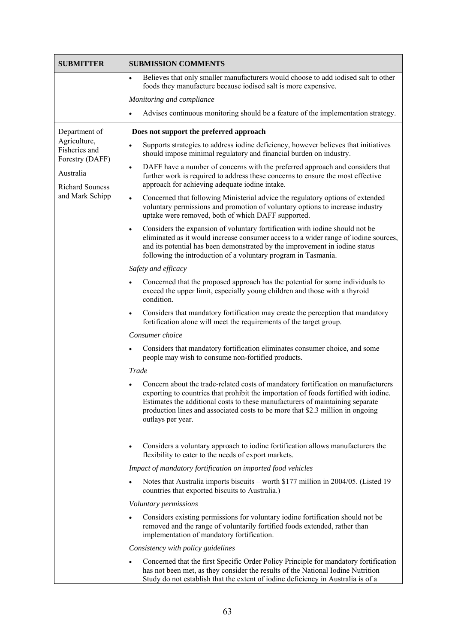| <b>SUBMITTER</b>                                 | <b>SUBMISSION COMMENTS</b>                                                                                                                                                                                                                                                                                                                                        |
|--------------------------------------------------|-------------------------------------------------------------------------------------------------------------------------------------------------------------------------------------------------------------------------------------------------------------------------------------------------------------------------------------------------------------------|
|                                                  | Believes that only smaller manufacturers would choose to add iodised salt to other<br>$\bullet$<br>foods they manufacture because iodised salt is more expensive.                                                                                                                                                                                                 |
|                                                  | Monitoring and compliance                                                                                                                                                                                                                                                                                                                                         |
|                                                  | Advises continuous monitoring should be a feature of the implementation strategy.<br>$\bullet$                                                                                                                                                                                                                                                                    |
| Department of                                    | Does not support the preferred approach                                                                                                                                                                                                                                                                                                                           |
| Agriculture,<br>Fisheries and<br>Forestry (DAFF) | Supports strategies to address iodine deficiency, however believes that initiatives<br>$\bullet$<br>should impose minimal regulatory and financial burden on industry.                                                                                                                                                                                            |
| Australia                                        | DAFF have a number of concerns with the preferred approach and considers that<br>$\bullet$<br>further work is required to address these concerns to ensure the most effective                                                                                                                                                                                     |
| <b>Richard Souness</b>                           | approach for achieving adequate iodine intake.                                                                                                                                                                                                                                                                                                                    |
| and Mark Schipp                                  | Concerned that following Ministerial advice the regulatory options of extended<br>$\bullet$<br>voluntary permissions and promotion of voluntary options to increase industry<br>uptake were removed, both of which DAFF supported.                                                                                                                                |
|                                                  | Considers the expansion of voluntary fortification with iodine should not be<br>$\bullet$<br>eliminated as it would increase consumer access to a wider range of iodine sources,<br>and its potential has been demonstrated by the improvement in iodine status<br>following the introduction of a voluntary program in Tasmania.                                 |
|                                                  | Safety and efficacy                                                                                                                                                                                                                                                                                                                                               |
|                                                  | Concerned that the proposed approach has the potential for some individuals to<br>$\bullet$<br>exceed the upper limit, especially young children and those with a thyroid<br>condition.                                                                                                                                                                           |
|                                                  | Considers that mandatory fortification may create the perception that mandatory<br>$\bullet$<br>fortification alone will meet the requirements of the target group.                                                                                                                                                                                               |
|                                                  | Consumer choice                                                                                                                                                                                                                                                                                                                                                   |
|                                                  | Considers that mandatory fortification eliminates consumer choice, and some<br>$\bullet$<br>people may wish to consume non-fortified products.                                                                                                                                                                                                                    |
|                                                  | Trade                                                                                                                                                                                                                                                                                                                                                             |
|                                                  | Concern about the trade-related costs of mandatory fortification on manufacturers<br>exporting to countries that prohibit the importation of foods fortified with iodine.<br>Estimates the additional costs to these manufacturers of maintaining separate<br>production lines and associated costs to be more that \$2.3 million in ongoing<br>outlays per year. |
|                                                  | Considers a voluntary approach to iodine fortification allows manufacturers the<br>$\bullet$<br>flexibility to cater to the needs of export markets.                                                                                                                                                                                                              |
|                                                  | Impact of mandatory fortification on imported food vehicles                                                                                                                                                                                                                                                                                                       |
|                                                  | Notes that Australia imports biscuits – worth \$177 million in 2004/05. (Listed 19<br>countries that exported biscuits to Australia.)                                                                                                                                                                                                                             |
|                                                  | Voluntary permissions                                                                                                                                                                                                                                                                                                                                             |
|                                                  | Considers existing permissions for voluntary iodine fortification should not be<br>$\bullet$<br>removed and the range of voluntarily fortified foods extended, rather than<br>implementation of mandatory fortification.                                                                                                                                          |
|                                                  | Consistency with policy guidelines                                                                                                                                                                                                                                                                                                                                |
|                                                  | Concerned that the first Specific Order Policy Principle for mandatory fortification<br>$\bullet$<br>has not been met, as they consider the results of the National Iodine Nutrition<br>Study do not establish that the extent of iodine deficiency in Australia is of a                                                                                          |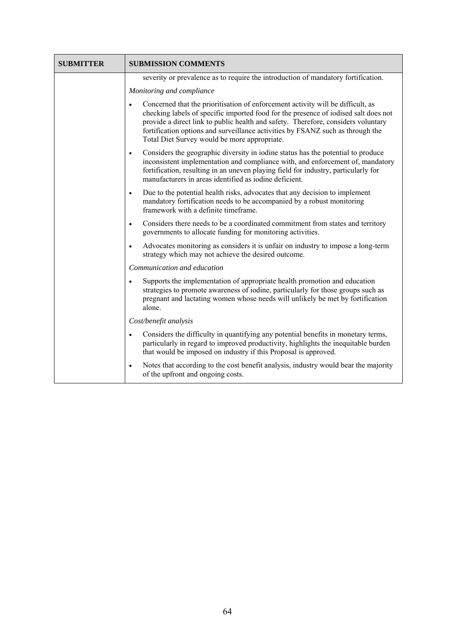| <b>SUBMITTER</b> | <b>SUBMISSION COMMENTS</b>                                                                                                                                                                                                                                                                                                                                                                                 |
|------------------|------------------------------------------------------------------------------------------------------------------------------------------------------------------------------------------------------------------------------------------------------------------------------------------------------------------------------------------------------------------------------------------------------------|
|                  | severity or prevalence as to require the introduction of mandatory fortification.                                                                                                                                                                                                                                                                                                                          |
|                  | Monitoring and compliance                                                                                                                                                                                                                                                                                                                                                                                  |
|                  | Concerned that the prioritisation of enforcement activity will be difficult, as<br>$\bullet$<br>checking labels of specific imported food for the presence of iodised salt does not<br>provide a direct link to public health and safety. Therefore, considers voluntary<br>fortification options and surveillance activities by FSANZ such as through the<br>Total Diet Survey would be more appropriate. |
|                  | Considers the geographic diversity in iodine status has the potential to produce<br>$\bullet$<br>inconsistent implementation and compliance with, and enforcement of, mandatory<br>fortification, resulting in an uneven playing field for industry, particularly for<br>manufacturers in areas identified as iodine deficient.                                                                            |
|                  | Due to the potential health risks, advocates that any decision to implement<br>$\bullet$<br>mandatory fortification needs to be accompanied by a robust monitoring<br>framework with a definite timeframe.                                                                                                                                                                                                 |
|                  | Considers there needs to be a coordinated commitment from states and territory<br>$\bullet$<br>governments to allocate funding for monitoring activities.                                                                                                                                                                                                                                                  |
|                  | Advocates monitoring as considers it is unfair on industry to impose a long-term<br>$\bullet$<br>strategy which may not achieve the desired outcome.                                                                                                                                                                                                                                                       |
|                  | Communication and education                                                                                                                                                                                                                                                                                                                                                                                |
|                  | Supports the implementation of appropriate health promotion and education<br>$\bullet$<br>strategies to promote awareness of iodine, particularly for those groups such as<br>pregnant and lactating women whose needs will unlikely be met by fortification<br>alone                                                                                                                                      |
|                  | Cost/benefit analysis                                                                                                                                                                                                                                                                                                                                                                                      |
|                  | Considers the difficulty in quantifying any potential benefits in monetary terms,<br>$\bullet$<br>particularly in regard to improved productivity, highlights the inequitable burden<br>that would be imposed on industry if this Proposal is approved.                                                                                                                                                    |
|                  | Notes that according to the cost benefit analysis, industry would bear the majority<br>$\bullet$<br>of the upfront and ongoing costs.                                                                                                                                                                                                                                                                      |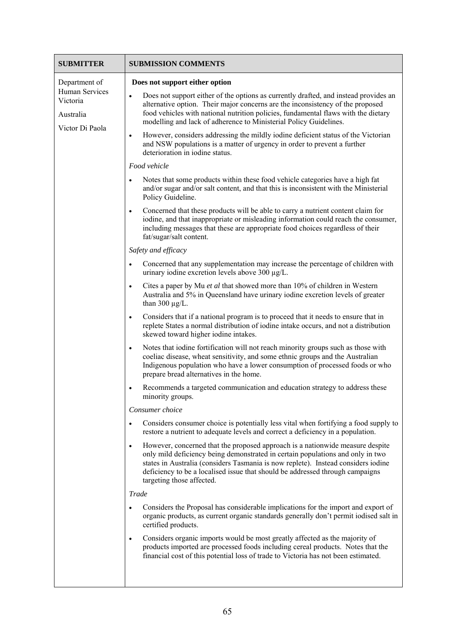| <b>SUBMITTER</b>                                                            | <b>SUBMISSION COMMENTS</b>                                                                                                                                                                                                                                                                                                                                                                                                                                                                                                                                                                                                                                                                                                                                                                              |
|-----------------------------------------------------------------------------|---------------------------------------------------------------------------------------------------------------------------------------------------------------------------------------------------------------------------------------------------------------------------------------------------------------------------------------------------------------------------------------------------------------------------------------------------------------------------------------------------------------------------------------------------------------------------------------------------------------------------------------------------------------------------------------------------------------------------------------------------------------------------------------------------------|
| Department of<br>Human Services<br>Victoria<br>Australia<br>Victor Di Paola | Does not support either option<br>Does not support either of the options as currently drafted, and instead provides an<br>$\bullet$<br>alternative option. Their major concerns are the inconsistency of the proposed<br>food vehicles with national nutrition policies, fundamental flaws with the dietary<br>modelling and lack of adherence to Ministerial Policy Guidelines.<br>However, considers addressing the mildly iodine deficient status of the Victorian<br>$\bullet$<br>and NSW populations is a matter of urgency in order to prevent a further<br>deterioration in iodine status.<br>Food vehicle<br>Notes that some products within these food vehicle categories have a high fat<br>$\bullet$<br>and/or sugar and/or salt content, and that this is inconsistent with the Ministerial |
|                                                                             | Policy Guideline.<br>Concerned that these products will be able to carry a nutrient content claim for<br>$\bullet$<br>iodine, and that inappropriate or misleading information could reach the consumer,<br>including messages that these are appropriate food choices regardless of their<br>fat/sugar/salt content.                                                                                                                                                                                                                                                                                                                                                                                                                                                                                   |
|                                                                             | Safety and efficacy                                                                                                                                                                                                                                                                                                                                                                                                                                                                                                                                                                                                                                                                                                                                                                                     |
|                                                                             | Concerned that any supplementation may increase the percentage of children with<br>$\bullet$<br>urinary iodine excretion levels above 300 µg/L.                                                                                                                                                                                                                                                                                                                                                                                                                                                                                                                                                                                                                                                         |
|                                                                             | Cites a paper by Mu et al that showed more than 10% of children in Western<br>$\bullet$<br>Australia and 5% in Queensland have urinary iodine excretion levels of greater<br>than 300 $\mu$ g/L.                                                                                                                                                                                                                                                                                                                                                                                                                                                                                                                                                                                                        |
|                                                                             | Considers that if a national program is to proceed that it needs to ensure that in<br>$\bullet$<br>replete States a normal distribution of iodine intake occurs, and not a distribution<br>skewed toward higher iodine intakes.                                                                                                                                                                                                                                                                                                                                                                                                                                                                                                                                                                         |
|                                                                             | Notes that iodine fortification will not reach minority groups such as those with<br>$\bullet$<br>coeliac disease, wheat sensitivity, and some ethnic groups and the Australian<br>Indigenous population who have a lower consumption of processed foods or who<br>prepare bread alternatives in the home.                                                                                                                                                                                                                                                                                                                                                                                                                                                                                              |
|                                                                             | Recommends a targeted communication and education strategy to address these<br>$\bullet$<br>minority groups.                                                                                                                                                                                                                                                                                                                                                                                                                                                                                                                                                                                                                                                                                            |
|                                                                             | Consumer choice                                                                                                                                                                                                                                                                                                                                                                                                                                                                                                                                                                                                                                                                                                                                                                                         |
|                                                                             | Considers consumer choice is potentially less vital when fortifying a food supply to<br>$\bullet$<br>restore a nutrient to adequate levels and correct a deficiency in a population.                                                                                                                                                                                                                                                                                                                                                                                                                                                                                                                                                                                                                    |
|                                                                             | However, concerned that the proposed approach is a nationwide measure despite<br>$\bullet$<br>only mild deficiency being demonstrated in certain populations and only in two<br>states in Australia (considers Tasmania is now replete). Instead considers iodine<br>deficiency to be a localised issue that should be addressed through campaigns<br>targeting those affected.                                                                                                                                                                                                                                                                                                                                                                                                                         |
|                                                                             | <b>Trade</b>                                                                                                                                                                                                                                                                                                                                                                                                                                                                                                                                                                                                                                                                                                                                                                                            |
|                                                                             | Considers the Proposal has considerable implications for the import and export of<br>organic products, as current organic standards generally don't permit iodised salt in<br>certified products.                                                                                                                                                                                                                                                                                                                                                                                                                                                                                                                                                                                                       |
|                                                                             | Considers organic imports would be most greatly affected as the majority of<br>$\bullet$<br>products imported are processed foods including cereal products. Notes that the<br>financial cost of this potential loss of trade to Victoria has not been estimated.                                                                                                                                                                                                                                                                                                                                                                                                                                                                                                                                       |
|                                                                             |                                                                                                                                                                                                                                                                                                                                                                                                                                                                                                                                                                                                                                                                                                                                                                                                         |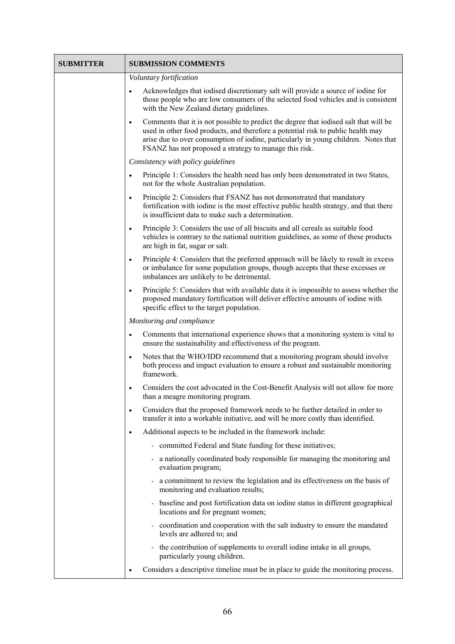| <b>SUBMITTER</b> | <b>SUBMISSION COMMENTS</b>                                                                                                                                                                                                                                                                                                              |
|------------------|-----------------------------------------------------------------------------------------------------------------------------------------------------------------------------------------------------------------------------------------------------------------------------------------------------------------------------------------|
|                  | Voluntary fortification                                                                                                                                                                                                                                                                                                                 |
|                  | Acknowledges that iodised discretionary salt will provide a source of iodine for<br>those people who are low consumers of the selected food vehicles and is consistent<br>with the New Zealand dietary guidelines.                                                                                                                      |
|                  | Comments that it is not possible to predict the degree that iodised salt that will be<br>$\bullet$<br>used in other food products, and therefore a potential risk to public health may<br>arise due to over consumption of iodine, particularly in young children. Notes that<br>FSANZ has not proposed a strategy to manage this risk. |
|                  | Consistency with policy guidelines                                                                                                                                                                                                                                                                                                      |
|                  | Principle 1: Considers the health need has only been demonstrated in two States,<br>$\bullet$<br>not for the whole Australian population.                                                                                                                                                                                               |
|                  | Principle 2: Considers that FSANZ has not demonstrated that mandatory<br>$\bullet$<br>fortification with iodine is the most effective public health strategy, and that there<br>is insufficient data to make such a determination.                                                                                                      |
|                  | Principle 3: Considers the use of all biscuits and all cereals as suitable food<br>$\bullet$<br>vehicles is contrary to the national nutrition guidelines, as some of these products<br>are high in fat, sugar or salt.                                                                                                                 |
|                  | Principle 4: Considers that the preferred approach will be likely to result in excess<br>$\bullet$<br>or imbalance for some population groups, though accepts that these excesses or<br>imbalances are unlikely to be detrimental.                                                                                                      |
|                  | Principle 5: Considers that with available data it is impossible to assess whether the<br>$\bullet$<br>proposed mandatory fortification will deliver effective amounts of iodine with<br>specific effect to the target population.                                                                                                      |
|                  | Monitoring and compliance                                                                                                                                                                                                                                                                                                               |
|                  | Comments that international experience shows that a monitoring system is vital to<br>$\bullet$<br>ensure the sustainability and effectiveness of the program.                                                                                                                                                                           |
|                  | Notes that the WHO/IDD recommend that a monitoring program should involve<br>$\bullet$<br>both process and impact evaluation to ensure a robust and sustainable monitoring<br>framework.                                                                                                                                                |
|                  | Considers the cost advocated in the Cost-Benefit Analysis will not allow for more<br>$\bullet$<br>than a meagre monitoring program.                                                                                                                                                                                                     |
|                  | Considers that the proposed framework needs to be further detailed in order to<br>$\bullet$<br>transfer it into a workable initiative, and will be more costly than identified.                                                                                                                                                         |
|                  | Additional aspects to be included in the framework include:<br>٠                                                                                                                                                                                                                                                                        |
|                  | - committed Federal and State funding for these initiatives;                                                                                                                                                                                                                                                                            |
|                  | a nationally coordinated body responsible for managing the monitoring and<br>evaluation program;                                                                                                                                                                                                                                        |
|                  | a commitment to review the legislation and its effectiveness on the basis of<br>monitoring and evaluation results;                                                                                                                                                                                                                      |
|                  | baseline and post fortification data on iodine status in different geographical<br>locations and for pregnant women;                                                                                                                                                                                                                    |
|                  | coordination and cooperation with the salt industry to ensure the mandated<br>levels are adhered to; and                                                                                                                                                                                                                                |
|                  | the contribution of supplements to overall iodine intake in all groups,<br>particularly young children.                                                                                                                                                                                                                                 |
|                  | Considers a descriptive timeline must be in place to guide the monitoring process.                                                                                                                                                                                                                                                      |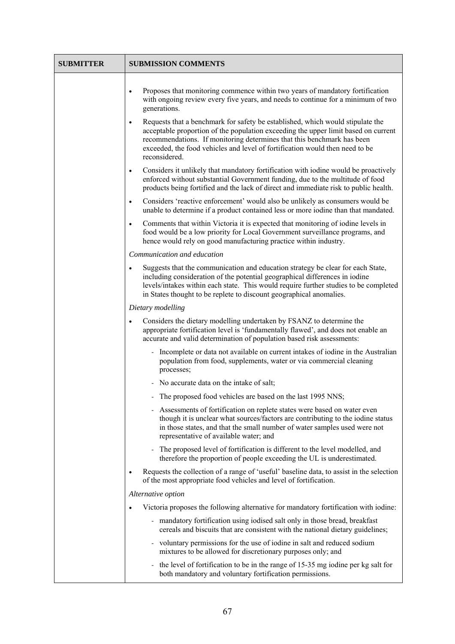| SUBMITTER | <b>SUBMISSION COMMENTS</b>                                                                                                                                                                                                                                                                                                                                   |
|-----------|--------------------------------------------------------------------------------------------------------------------------------------------------------------------------------------------------------------------------------------------------------------------------------------------------------------------------------------------------------------|
|           | Proposes that monitoring commence within two years of mandatory fortification<br>with ongoing review every five years, and needs to continue for a minimum of two<br>generations.                                                                                                                                                                            |
|           | Requests that a benchmark for safety be established, which would stipulate the<br>$\bullet$<br>acceptable proportion of the population exceeding the upper limit based on current<br>recommendations. If monitoring determines that this benchmark has been<br>exceeded, the food vehicles and level of fortification would then need to be<br>reconsidered. |
|           | Considers it unlikely that mandatory fortification with iodine would be proactively<br>$\bullet$<br>enforced without substantial Government funding, due to the multitude of food<br>products being fortified and the lack of direct and immediate risk to public health.                                                                                    |
|           | Considers 'reactive enforcement' would also be unlikely as consumers would be<br>$\bullet$<br>unable to determine if a product contained less or more iodine than that mandated.                                                                                                                                                                             |
|           | Comments that within Victoria it is expected that monitoring of iodine levels in<br>$\bullet$<br>food would be a low priority for Local Government surveillance programs, and<br>hence would rely on good manufacturing practice within industry.                                                                                                            |
|           | Communication and education                                                                                                                                                                                                                                                                                                                                  |
|           | Suggests that the communication and education strategy be clear for each State,<br>$\bullet$<br>including consideration of the potential geographical differences in iodine<br>levels/intakes within each state. This would require further studies to be completed<br>in States thought to be replete to discount geographical anomalies.                   |
|           | Dietary modelling                                                                                                                                                                                                                                                                                                                                            |
|           | Considers the dietary modelling undertaken by FSANZ to determine the<br>appropriate fortification level is 'fundamentally flawed', and does not enable an<br>accurate and valid determination of population based risk assessments:                                                                                                                          |
|           | Incomplete or data not available on current intakes of iodine in the Australian<br>population from food, supplements, water or via commercial cleaning<br>processes;                                                                                                                                                                                         |
|           | - No accurate data on the intake of salt;                                                                                                                                                                                                                                                                                                                    |
|           | - The proposed food vehicles are based on the last 1995 NNS:                                                                                                                                                                                                                                                                                                 |
|           | Assessments of fortification on replete states were based on water even<br>though it is unclear what sources/factors are contributing to the iodine status<br>in those states, and that the small number of water samples used were not<br>representative of available water; and                                                                            |
|           | The proposed level of fortification is different to the level modelled, and<br>therefore the proportion of people exceeding the UL is underestimated.                                                                                                                                                                                                        |
|           | Requests the collection of a range of 'useful' baseline data, to assist in the selection<br>of the most appropriate food vehicles and level of fortification.                                                                                                                                                                                                |
|           | Alternative option                                                                                                                                                                                                                                                                                                                                           |
|           | Victoria proposes the following alternative for mandatory fortification with iodine:<br>٠                                                                                                                                                                                                                                                                    |
|           | - mandatory fortification using iodised salt only in those bread, breakfast<br>cereals and biscuits that are consistent with the national dietary guidelines;                                                                                                                                                                                                |
|           | voluntary permissions for the use of iodine in salt and reduced sodium<br>-<br>mixtures to be allowed for discretionary purposes only; and                                                                                                                                                                                                                   |
|           | - the level of fortification to be in the range of 15-35 mg iodine per kg salt for<br>both mandatory and voluntary fortification permissions.                                                                                                                                                                                                                |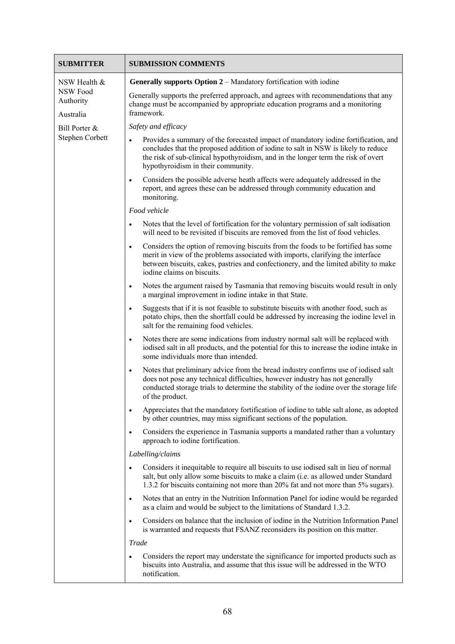| <b>SUBMITTER</b>                                          | <b>SUBMISSION COMMENTS</b>                                                                                                                                                                                                                                                                                      |
|-----------------------------------------------------------|-----------------------------------------------------------------------------------------------------------------------------------------------------------------------------------------------------------------------------------------------------------------------------------------------------------------|
| NSW Health &<br><b>NSW Food</b><br>Authority<br>Australia | Generally supports Option 2 – Mandatory fortification with iodine                                                                                                                                                                                                                                               |
|                                                           | Generally supports the preferred approach, and agrees with recommendations that any<br>change must be accompanied by appropriate education programs and a monitoring<br>framework.                                                                                                                              |
| Bill Porter &                                             | Safety and efficacy                                                                                                                                                                                                                                                                                             |
| Stephen Corbett                                           | Provides a summary of the forecasted impact of mandatory iodine fortification, and<br>$\bullet$<br>concludes that the proposed addition of iodine to salt in NSW is likely to reduce<br>the risk of sub-clinical hypothyroidism, and in the longer term the risk of overt<br>hypothyroidism in their community. |
|                                                           | Considers the possible adverse heath affects were adequately addressed in the<br>$\bullet$<br>report, and agrees these can be addressed through community education and<br>monitoring.                                                                                                                          |
|                                                           | Food vehicle                                                                                                                                                                                                                                                                                                    |
|                                                           | Notes that the level of fortification for the voluntary permission of salt iodisation<br>$\bullet$<br>will need to be revisited if biscuits are removed from the list of food vehicles.                                                                                                                         |
|                                                           | Considers the option of removing biscuits from the foods to be fortified has some<br>$\bullet$<br>merit in view of the problems associated with imports, clarifying the interface<br>between biscuits, cakes, pastries and confectionery, and the limited ability to make<br>iodine claims on biscuits.         |
|                                                           | Notes the argument raised by Tasmania that removing biscuits would result in only<br>$\bullet$<br>a marginal improvement in iodine intake in that State.                                                                                                                                                        |
|                                                           | Suggests that if it is not feasible to substitute biscuits with another food, such as<br>$\bullet$<br>potato chips, then the shortfall could be addressed by increasing the iodine level in<br>salt for the remaining food vehicles.                                                                            |
|                                                           | Notes there are some indications from industry normal salt will be replaced with<br>$\bullet$<br>iodised salt in all products, and the potential for this to increase the iodine intake in<br>some individuals more than intended.                                                                              |
|                                                           | Notes that preliminary advice from the bread industry confirms use of iodised salt<br>$\bullet$<br>does not pose any technical difficulties, however industry has not generally<br>conducted storage trials to determine the stability of the iodine over the storage life<br>of the product.                   |
|                                                           | Appreciates that the mandatory fortification of iodine to table salt alone, as adopted<br>$\bullet$<br>by other countries, may miss significant sections of the population.                                                                                                                                     |
|                                                           | Considers the experience in Tasmania supports a mandated rather than a voluntary<br>$\bullet$<br>approach to iodine fortification.                                                                                                                                                                              |
|                                                           | Labelling/claims                                                                                                                                                                                                                                                                                                |
|                                                           | Considers it inequitable to require all biscuits to use iodised salt in lieu of normal<br>$\bullet$<br>salt, but only allow some biscuits to make a claim (i.e. as allowed under Standard<br>1.3.2 for biscuits containing not more than 20% fat and not more than 5% sugars).                                  |
|                                                           | Notes that an entry in the Nutrition Information Panel for iodine would be regarded<br>$\bullet$<br>as a claim and would be subject to the limitations of Standard 1.3.2.                                                                                                                                       |
|                                                           | Considers on balance that the inclusion of iodine in the Nutrition Information Panel<br>$\bullet$<br>is warranted and requests that FSANZ reconsiders its position on this matter.                                                                                                                              |
|                                                           | <b>Trade</b>                                                                                                                                                                                                                                                                                                    |
|                                                           | Considers the report may understate the significance for imported products such as<br>$\bullet$<br>biscuits into Australia, and assume that this issue will be addressed in the WTO<br>notification.                                                                                                            |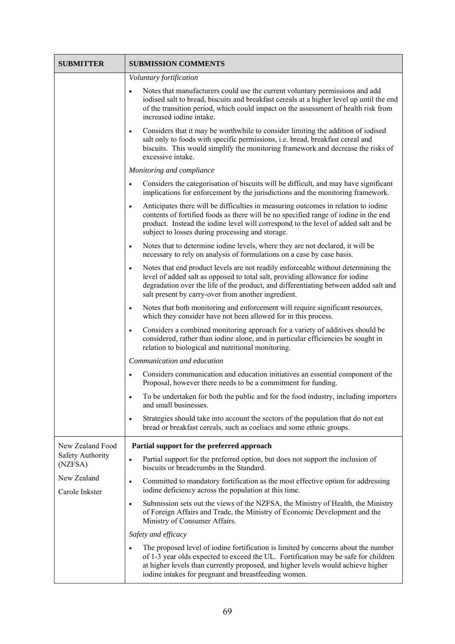| <b>SUBMITTER</b>              | <b>SUBMISSION COMMENTS</b>                                                                                                                                                                                                                                                                                                         |
|-------------------------------|------------------------------------------------------------------------------------------------------------------------------------------------------------------------------------------------------------------------------------------------------------------------------------------------------------------------------------|
|                               | Voluntary fortification                                                                                                                                                                                                                                                                                                            |
|                               | Notes that manufacturers could use the current voluntary permissions and add<br>iodised salt to bread, biscuits and breakfast cereals at a higher level up until the end<br>of the transition period, which could impact on the assessment of health risk from<br>increased iodine intake.                                         |
|                               | Considers that it may be worthwhile to consider limiting the addition of iodised<br>$\bullet$<br>salt only to foods with specific permissions, i.e. bread, breakfast cereal and<br>biscuits. This would simplify the monitoring framework and decrease the risks of<br>excessive intake.                                           |
|                               | Monitoring and compliance                                                                                                                                                                                                                                                                                                          |
|                               | Considers the categorisation of biscuits will be difficult, and may have significant<br>$\bullet$<br>implications for enforcement by the jurisdictions and the monitoring framework.                                                                                                                                               |
|                               | Anticipates there will be difficulties in measuring outcomes in relation to iodine<br>$\bullet$<br>contents of fortified foods as there will be no specified range of iodine in the end<br>product. Instead the iodine level will correspond to the level of added salt and be<br>subject to losses during processing and storage. |
|                               | Notes that to determine iodine levels, where they are not declared, it will be<br>$\bullet$<br>necessary to rely on analysis of formulations on a case by case basis.                                                                                                                                                              |
|                               | Notes that end product levels are not readily enforceable without determining the<br>$\bullet$<br>level of added salt as opposed to total salt, providing allowance for iodine<br>degradation over the life of the product, and differentiating between added salt and<br>salt present by carry-over from another ingredient.      |
|                               | Notes that both monitoring and enforcement will require significant resources,<br>$\bullet$<br>which they consider have not been allowed for in this process.                                                                                                                                                                      |
|                               | Considers a combined monitoring approach for a variety of additives should be<br>$\bullet$<br>considered, rather than iodine alone, and in particular efficiencies be sought in<br>relation to biological and nutritional monitoring.                                                                                              |
|                               | Communication and education                                                                                                                                                                                                                                                                                                        |
|                               | Considers communication and education initiatives an essential component of the<br>$\bullet$<br>Proposal, however there needs to be a commitment for funding.                                                                                                                                                                      |
|                               | To be undertaken for both the public and for the food industry, including importers<br>and small businesses.                                                                                                                                                                                                                       |
|                               | Strategies should take into account the sectors of the population that do not eat<br>$\bullet$<br>bread or breakfast cereals, such as coeliacs and some ethnic groups.                                                                                                                                                             |
| New Zealand Food              | Partial support for the preferred approach                                                                                                                                                                                                                                                                                         |
| Safety Authority<br>(NZFSA)   | Partial support for the preferred option, but does not support the inclusion of<br>$\bullet$<br>biscuits or breadcrumbs in the Standard.                                                                                                                                                                                           |
| New Zealand<br>Carole Inkster | Committed to mandatory fortification as the most effective option for addressing<br>٠<br>iodine deficiency across the population at this time.                                                                                                                                                                                     |
|                               | Submission sets out the views of the NZFSA, the Ministry of Health, the Ministry<br>$\bullet$<br>of Foreign Affairs and Trade, the Ministry of Economic Development and the<br>Ministry of Consumer Affairs.                                                                                                                       |
|                               | Safety and efficacy                                                                                                                                                                                                                                                                                                                |
|                               | The proposed level of iodine fortification is limited by concerns about the number<br>of 1-3 year olds expected to exceed the UL. Fortification may be safe for children<br>at higher levels than currently proposed, and higher levels would achieve higher<br>iodine intakes for pregnant and breastfeeding women.               |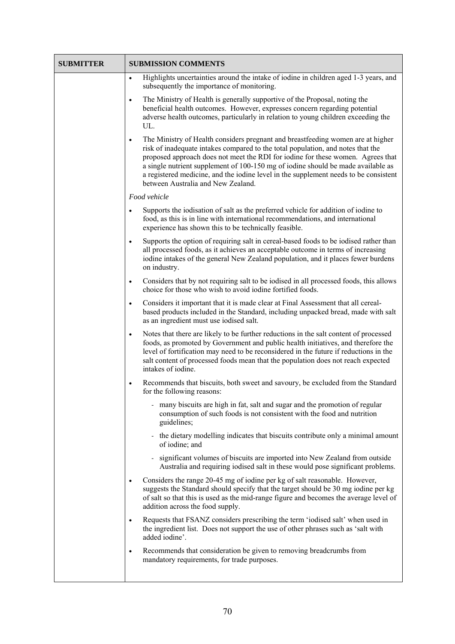| <b>SUBMITTER</b> | <b>SUBMISSION COMMENTS</b>                                                                                                                                                                                                                                                                                                                                                                                                                                                           |
|------------------|--------------------------------------------------------------------------------------------------------------------------------------------------------------------------------------------------------------------------------------------------------------------------------------------------------------------------------------------------------------------------------------------------------------------------------------------------------------------------------------|
|                  | Highlights uncertainties around the intake of iodine in children aged 1-3 years, and<br>$\bullet$<br>subsequently the importance of monitoring.                                                                                                                                                                                                                                                                                                                                      |
|                  | The Ministry of Health is generally supportive of the Proposal, noting the<br>$\bullet$<br>beneficial health outcomes. However, expresses concern regarding potential<br>adverse health outcomes, particularly in relation to young children exceeding the<br>UL.                                                                                                                                                                                                                    |
|                  | The Ministry of Health considers pregnant and breastfeeding women are at higher<br>$\bullet$<br>risk of inadequate intakes compared to the total population, and notes that the<br>proposed approach does not meet the RDI for iodine for these women. Agrees that<br>a single nutrient supplement of 100-150 mg of iodine should be made available as<br>a registered medicine, and the iodine level in the supplement needs to be consistent<br>between Australia and New Zealand. |
|                  | Food vehicle                                                                                                                                                                                                                                                                                                                                                                                                                                                                         |
|                  | Supports the iodisation of salt as the preferred vehicle for addition of iodine to<br>$\bullet$<br>food, as this is in line with international recommendations, and international<br>experience has shown this to be technically feasible.                                                                                                                                                                                                                                           |
|                  | Supports the option of requiring salt in cereal-based foods to be iodised rather than<br>$\bullet$<br>all processed foods, as it achieves an acceptable outcome in terms of increasing<br>iodine intakes of the general New Zealand population, and it places fewer burdens<br>on industry.                                                                                                                                                                                          |
|                  | Considers that by not requiring salt to be iodised in all processed foods, this allows<br>$\bullet$<br>choice for those who wish to avoid iodine fortified foods.                                                                                                                                                                                                                                                                                                                    |
|                  | Considers it important that it is made clear at Final Assessment that all cereal-<br>$\bullet$<br>based products included in the Standard, including unpacked bread, made with salt<br>as an ingredient must use iodised salt.                                                                                                                                                                                                                                                       |
|                  | Notes that there are likely to be further reductions in the salt content of processed<br>$\bullet$<br>foods, as promoted by Government and public health initiatives, and therefore the<br>level of fortification may need to be reconsidered in the future if reductions in the<br>salt content of processed foods mean that the population does not reach expected<br>intakes of iodine.                                                                                           |
|                  | Recommends that biscuits, both sweet and savoury, be excluded from the Standard<br>$\bullet$<br>for the following reasons:                                                                                                                                                                                                                                                                                                                                                           |
|                  | many biscuits are high in fat, salt and sugar and the promotion of regular<br>consumption of such foods is not consistent with the food and nutrition<br>guidelines;                                                                                                                                                                                                                                                                                                                 |
|                  | the dietary modelling indicates that biscuits contribute only a minimal amount<br>of iodine; and                                                                                                                                                                                                                                                                                                                                                                                     |
|                  | significant volumes of biscuits are imported into New Zealand from outside<br>Australia and requiring iodised salt in these would pose significant problems.                                                                                                                                                                                                                                                                                                                         |
|                  | Considers the range 20-45 mg of iodine per kg of salt reasonable. However,<br>$\bullet$<br>suggests the Standard should specify that the target should be 30 mg iodine per kg<br>of salt so that this is used as the mid-range figure and becomes the average level of<br>addition across the food supply.                                                                                                                                                                           |
|                  | Requests that FSANZ considers prescribing the term 'iodised salt' when used in<br>$\bullet$<br>the ingredient list. Does not support the use of other phrases such as 'salt with<br>added iodine'.                                                                                                                                                                                                                                                                                   |
|                  | Recommends that consideration be given to removing breadcrumbs from<br>$\bullet$<br>mandatory requirements, for trade purposes.                                                                                                                                                                                                                                                                                                                                                      |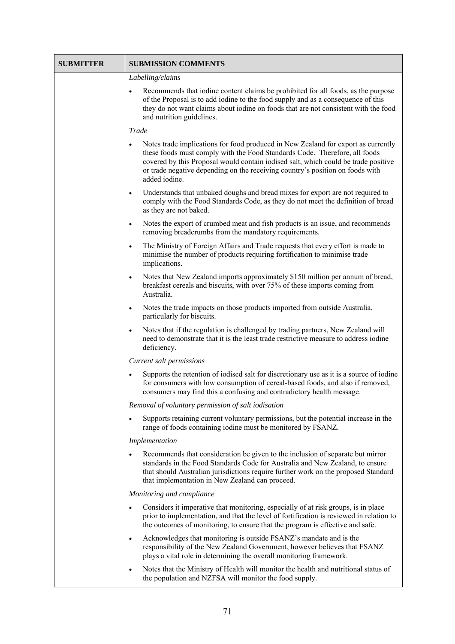| <b>SUBMITTER</b> | <b>SUBMISSION COMMENTS</b>                                                                                                                                                                                                                                                                                                                                   |
|------------------|--------------------------------------------------------------------------------------------------------------------------------------------------------------------------------------------------------------------------------------------------------------------------------------------------------------------------------------------------------------|
|                  | Labelling/claims                                                                                                                                                                                                                                                                                                                                             |
|                  | Recommends that iodine content claims be prohibited for all foods, as the purpose<br>$\bullet$<br>of the Proposal is to add iodine to the food supply and as a consequence of this<br>they do not want claims about iodine on foods that are not consistent with the food<br>and nutrition guidelines.                                                       |
|                  | Trade                                                                                                                                                                                                                                                                                                                                                        |
|                  | Notes trade implications for food produced in New Zealand for export as currently<br>٠<br>these foods must comply with the Food Standards Code. Therefore, all foods<br>covered by this Proposal would contain iodised salt, which could be trade positive<br>or trade negative depending on the receiving country's position on foods with<br>added iodine. |
|                  | Understands that unbaked doughs and bread mixes for export are not required to<br>$\bullet$<br>comply with the Food Standards Code, as they do not meet the definition of bread<br>as they are not baked.                                                                                                                                                    |
|                  | Notes the export of crumbed meat and fish products is an issue, and recommends<br>$\bullet$<br>removing breadcrumbs from the mandatory requirements.                                                                                                                                                                                                         |
|                  | The Ministry of Foreign Affairs and Trade requests that every effort is made to<br>$\bullet$<br>minimise the number of products requiring fortification to minimise trade<br>implications.                                                                                                                                                                   |
|                  | Notes that New Zealand imports approximately \$150 million per annum of bread,<br>$\bullet$<br>breakfast cereals and biscuits, with over 75% of these imports coming from<br>Australia.                                                                                                                                                                      |
|                  | Notes the trade impacts on those products imported from outside Australia,<br>$\bullet$<br>particularly for biscuits.                                                                                                                                                                                                                                        |
|                  | Notes that if the regulation is challenged by trading partners, New Zealand will<br>٠<br>need to demonstrate that it is the least trade restrictive measure to address iodine<br>deficiency.                                                                                                                                                                 |
|                  | Current salt permissions                                                                                                                                                                                                                                                                                                                                     |
|                  | Supports the retention of iodised salt for discretionary use as it is a source of iodine<br>$\bullet$<br>for consumers with low consumption of cereal-based foods, and also if removed,<br>consumers may find this a confusing and contradictory health message.                                                                                             |
|                  | Removal of voluntary permission of salt iodisation                                                                                                                                                                                                                                                                                                           |
|                  | Supports retaining current voluntary permissions, but the potential increase in the<br>range of foods containing iodine must be monitored by FSANZ.                                                                                                                                                                                                          |
|                  | Implementation                                                                                                                                                                                                                                                                                                                                               |
|                  | Recommends that consideration be given to the inclusion of separate but mirror<br>standards in the Food Standards Code for Australia and New Zealand, to ensure<br>that should Australian jurisdictions require further work on the proposed Standard<br>that implementation in New Zealand can proceed.                                                     |
|                  | Monitoring and compliance                                                                                                                                                                                                                                                                                                                                    |
|                  | Considers it imperative that monitoring, especially of at risk groups, is in place<br>٠<br>prior to implementation, and that the level of fortification is reviewed in relation to<br>the outcomes of monitoring, to ensure that the program is effective and safe.                                                                                          |
|                  | Acknowledges that monitoring is outside FSANZ's mandate and is the<br>$\bullet$<br>responsibility of the New Zealand Government, however believes that FSANZ<br>plays a vital role in determining the overall monitoring framework.                                                                                                                          |
|                  | Notes that the Ministry of Health will monitor the health and nutritional status of<br>٠<br>the population and NZFSA will monitor the food supply.                                                                                                                                                                                                           |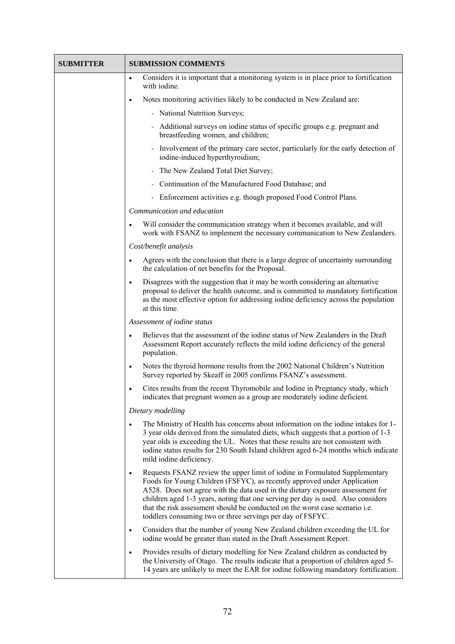| <b>SUBMITTER</b> | <b>SUBMISSION COMMENTS</b>                                                                                                                                                                                                                                                                                                                                                                                                                                                               |
|------------------|------------------------------------------------------------------------------------------------------------------------------------------------------------------------------------------------------------------------------------------------------------------------------------------------------------------------------------------------------------------------------------------------------------------------------------------------------------------------------------------|
|                  | Considers it is important that a monitoring system is in place prior to fortification<br>$\bullet$<br>with iodine.                                                                                                                                                                                                                                                                                                                                                                       |
|                  | Notes monitoring activities likely to be conducted in New Zealand are:<br>$\bullet$                                                                                                                                                                                                                                                                                                                                                                                                      |
|                  | - National Nutrition Surveys;                                                                                                                                                                                                                                                                                                                                                                                                                                                            |
|                  | - Additional surveys on iodine status of specific groups e.g. pregnant and<br>breastfeeding women, and children;                                                                                                                                                                                                                                                                                                                                                                         |
|                  | - Involvement of the primary care sector, particularly for the early detection of<br>iodine-induced hyperthyroidism;                                                                                                                                                                                                                                                                                                                                                                     |
|                  | - The New Zealand Total Diet Survey;                                                                                                                                                                                                                                                                                                                                                                                                                                                     |
|                  | - Continuation of the Manufactured Food Database; and                                                                                                                                                                                                                                                                                                                                                                                                                                    |
|                  | - Enforcement activities e.g. though proposed Food Control Plans.                                                                                                                                                                                                                                                                                                                                                                                                                        |
|                  | Communication and education                                                                                                                                                                                                                                                                                                                                                                                                                                                              |
|                  | Will consider the communication strategy when it becomes available, and will<br>$\bullet$<br>work with FSANZ to implement the necessary communication to New Zealanders.                                                                                                                                                                                                                                                                                                                 |
|                  | Cost/benefit analysis                                                                                                                                                                                                                                                                                                                                                                                                                                                                    |
|                  | Agrees with the conclusion that there is a large degree of uncertainty surrounding<br>$\bullet$<br>the calculation of net benefits for the Proposal.                                                                                                                                                                                                                                                                                                                                     |
|                  | Disagrees with the suggestion that it may be worth considering an alternative<br>$\bullet$<br>proposal to deliver the health outcome, and is committed to mandatory fortification<br>as the most effective option for addressing iodine deficiency across the population<br>at this time.                                                                                                                                                                                                |
|                  | Assessment of iodine status                                                                                                                                                                                                                                                                                                                                                                                                                                                              |
|                  | Believes that the assessment of the iodine status of New Zealanders in the Draft<br>$\bullet$<br>Assessment Report accurately reflects the mild iodine deficiency of the general<br>population.                                                                                                                                                                                                                                                                                          |
|                  | Notes the thyroid hormone results from the 2002 National Children's Nutrition<br>$\bullet$<br>Survey reported by Skeaff in 2005 confirms FSANZ's assessment.                                                                                                                                                                                                                                                                                                                             |
|                  | Cites results from the recent Thyromobile and Iodine in Pregnancy study, which<br>$\bullet$<br>indicates that pregnant women as a group are moderately iodine deficient.                                                                                                                                                                                                                                                                                                                 |
|                  | Dietary modelling                                                                                                                                                                                                                                                                                                                                                                                                                                                                        |
|                  | The Ministry of Health has concerns about information on the iodine intakes for 1-<br>3 year olds derived from the simulated diets, which suggests that a portion of 1-3<br>year olds is exceeding the UL. Notes that these results are not consistent with<br>iodine status results for 230 South Island children aged 6-24 months which indicate<br>mild iodine deficiency.                                                                                                            |
|                  | Requests FSANZ review the upper limit of iodine in Formulated Supplementary<br>$\bullet$<br>Foods for Young Children (FSFYC), as recently approved under Application<br>A528. Does not agree with the data used in the dietary exposure assessment for<br>children aged 1-3 years, noting that one serving per day is used. Also considers<br>that the risk assessment should be conducted on the worst case scenario i.e.<br>toddlers consuming two or three servings per day of FSFYC. |
|                  | Considers that the number of young New Zealand children exceeding the UL for<br>$\bullet$<br>iodine would be greater than stated in the Draft Assessment Report.                                                                                                                                                                                                                                                                                                                         |
|                  | Provides results of dietary modelling for New Zealand children as conducted by<br>$\bullet$<br>the University of Otago. The results indicate that a proportion of children aged 5-<br>14 years are unlikely to meet the EAR for iodine following mandatory fortification.                                                                                                                                                                                                                |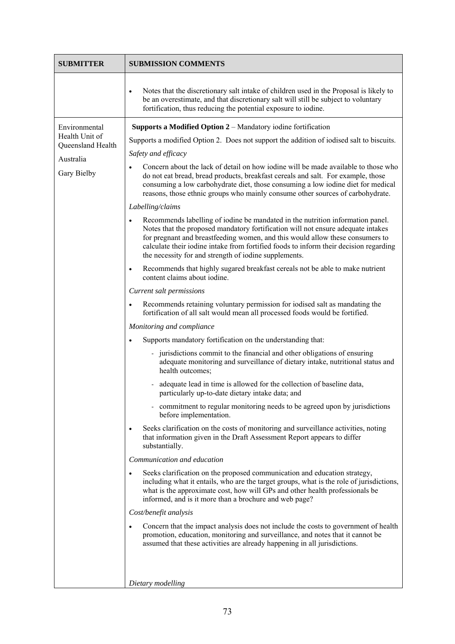| <b>SUBMITTER</b>                                                                 | <b>SUBMISSION COMMENTS</b>                                                                                                                                                                                                                                                                                                                                                                                                                                                                                                                                                                                                                                                                                                                                                                                                                                                                                                                                                                                                                                                                                                                                                                                                                                                                                                                                                                                                                                                                                                                                                                                                                                                                                                                                                                                                                                                                                                                                                                                                                                                                                                                                                                                                                                                                                                                                                                                                                                                                                                                                                                                                                                                                 |
|----------------------------------------------------------------------------------|--------------------------------------------------------------------------------------------------------------------------------------------------------------------------------------------------------------------------------------------------------------------------------------------------------------------------------------------------------------------------------------------------------------------------------------------------------------------------------------------------------------------------------------------------------------------------------------------------------------------------------------------------------------------------------------------------------------------------------------------------------------------------------------------------------------------------------------------------------------------------------------------------------------------------------------------------------------------------------------------------------------------------------------------------------------------------------------------------------------------------------------------------------------------------------------------------------------------------------------------------------------------------------------------------------------------------------------------------------------------------------------------------------------------------------------------------------------------------------------------------------------------------------------------------------------------------------------------------------------------------------------------------------------------------------------------------------------------------------------------------------------------------------------------------------------------------------------------------------------------------------------------------------------------------------------------------------------------------------------------------------------------------------------------------------------------------------------------------------------------------------------------------------------------------------------------------------------------------------------------------------------------------------------------------------------------------------------------------------------------------------------------------------------------------------------------------------------------------------------------------------------------------------------------------------------------------------------------------------------------------------------------------------------------------------------------|
|                                                                                  | Notes that the discretionary salt intake of children used in the Proposal is likely to<br>be an overestimate, and that discretionary salt will still be subject to voluntary<br>fortification, thus reducing the potential exposure to iodine.                                                                                                                                                                                                                                                                                                                                                                                                                                                                                                                                                                                                                                                                                                                                                                                                                                                                                                                                                                                                                                                                                                                                                                                                                                                                                                                                                                                                                                                                                                                                                                                                                                                                                                                                                                                                                                                                                                                                                                                                                                                                                                                                                                                                                                                                                                                                                                                                                                             |
| Environmental<br>Health Unit of<br>Queensland Health<br>Australia<br>Gary Bielby | <b>Supports a Modified Option 2</b> – Mandatory iodine fortification<br>Supports a modified Option 2. Does not support the addition of iodised salt to biscuits.<br>Safety and efficacy<br>Concern about the lack of detail on how iodine will be made available to those who<br>$\bullet$<br>do not eat bread, bread products, breakfast cereals and salt. For example, those<br>consuming a low carbohydrate diet, those consuming a low iodine diet for medical<br>reasons, those ethnic groups who mainly consume other sources of carbohydrate.<br>Labelling/claims<br>Recommends labelling of iodine be mandated in the nutrition information panel.<br>$\bullet$<br>Notes that the proposed mandatory fortification will not ensure adequate intakes<br>for pregnant and breastfeeding women, and this would allow these consumers to<br>calculate their iodine intake from fortified foods to inform their decision regarding<br>the necessity for and strength of iodine supplements.<br>Recommends that highly sugared breakfast cereals not be able to make nutrient<br>$\bullet$<br>content claims about iodine.<br>Current salt permissions<br>Recommends retaining voluntary permission for iodised salt as mandating the<br>$\bullet$<br>fortification of all salt would mean all processed foods would be fortified.<br>Monitoring and compliance<br>Supports mandatory fortification on the understanding that:<br>- jurisdictions commit to the financial and other obligations of ensuring<br>adequate monitoring and surveillance of dietary intake, nutritional status and<br>health outcomes;<br>adequate lead in time is allowed for the collection of baseline data,<br>particularly up-to-date dietary intake data; and<br>- commitment to regular monitoring needs to be agreed upon by jurisdictions<br>before implementation.<br>Seeks clarification on the costs of monitoring and surveillance activities, noting<br>that information given in the Draft Assessment Report appears to differ<br>substantially.<br>Communication and education<br>Seeks clarification on the proposed communication and education strategy,<br>$\bullet$<br>including what it entails, who are the target groups, what is the role of jurisdictions,<br>what is the approximate cost, how will GPs and other health professionals be<br>informed, and is it more than a brochure and web page?<br>Cost/benefit analysis<br>Concern that the impact analysis does not include the costs to government of health<br>promotion, education, monitoring and surveillance, and notes that it cannot be<br>assumed that these activities are already happening in all jurisdictions. |
|                                                                                  | Dietary modelling                                                                                                                                                                                                                                                                                                                                                                                                                                                                                                                                                                                                                                                                                                                                                                                                                                                                                                                                                                                                                                                                                                                                                                                                                                                                                                                                                                                                                                                                                                                                                                                                                                                                                                                                                                                                                                                                                                                                                                                                                                                                                                                                                                                                                                                                                                                                                                                                                                                                                                                                                                                                                                                                          |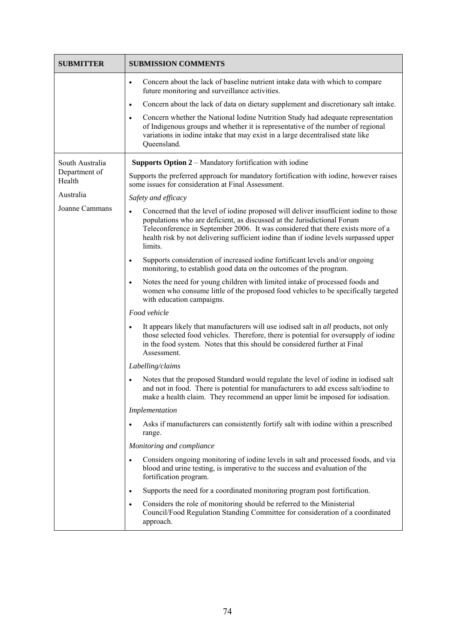| <b>SUBMITTER</b>                           | <b>SUBMISSION COMMENTS</b>                                                                                                                                                                                                                                                                                                                                           |
|--------------------------------------------|----------------------------------------------------------------------------------------------------------------------------------------------------------------------------------------------------------------------------------------------------------------------------------------------------------------------------------------------------------------------|
|                                            | Concern about the lack of baseline nutrient intake data with which to compare<br>$\bullet$<br>future monitoring and surveillance activities.                                                                                                                                                                                                                         |
|                                            | Concern about the lack of data on dietary supplement and discretionary salt intake.<br>$\bullet$                                                                                                                                                                                                                                                                     |
|                                            | Concern whether the National Iodine Nutrition Study had adequate representation<br>$\bullet$<br>of Indigenous groups and whether it is representative of the number of regional<br>variations in iodine intake that may exist in a large decentralised state like<br>Queensland.                                                                                     |
| South Australia<br>Department of<br>Health | <b>Supports Option 2 – Mandatory fortification with iodine</b>                                                                                                                                                                                                                                                                                                       |
|                                            | Supports the preferred approach for mandatory fortification with iodine, however raises<br>some issues for consideration at Final Assessment.                                                                                                                                                                                                                        |
| Australia                                  | Safety and efficacy                                                                                                                                                                                                                                                                                                                                                  |
| Joanne Cammans                             | Concerned that the level of iodine proposed will deliver insufficient iodine to those<br>$\bullet$<br>populations who are deficient, as discussed at the Jurisdictional Forum<br>Teleconference in September 2006. It was considered that there exists more of a<br>health risk by not delivering sufficient iodine than if iodine levels surpassed upper<br>limits. |
|                                            | Supports consideration of increased iodine fortificant levels and/or ongoing<br>$\bullet$<br>monitoring, to establish good data on the outcomes of the program.                                                                                                                                                                                                      |
|                                            | Notes the need for young children with limited intake of processed foods and<br>$\bullet$<br>women who consume little of the proposed food vehicles to be specifically targeted<br>with education campaigns.                                                                                                                                                         |
|                                            | Food vehicle                                                                                                                                                                                                                                                                                                                                                         |
|                                            | It appears likely that manufacturers will use iodised salt in <i>all</i> products, not only<br>$\bullet$<br>those selected food vehicles. Therefore, there is potential for oversupply of iodine<br>in the food system. Notes that this should be considered further at Final<br>Assessment.                                                                         |
|                                            | Labelling/claims                                                                                                                                                                                                                                                                                                                                                     |
|                                            | Notes that the proposed Standard would regulate the level of iodine in iodised salt<br>and not in food. There is potential for manufacturers to add excess salt/iodine to<br>make a health claim. They recommend an upper limit be imposed for iodisation.                                                                                                           |
|                                            | Implementation                                                                                                                                                                                                                                                                                                                                                       |
|                                            | Asks if manufacturers can consistently fortify salt with iodine within a prescribed<br>$\bullet$<br>range.                                                                                                                                                                                                                                                           |
|                                            | Monitoring and compliance                                                                                                                                                                                                                                                                                                                                            |
|                                            | Considers ongoing monitoring of iodine levels in salt and processed foods, and via<br>$\bullet$<br>blood and urine testing, is imperative to the success and evaluation of the<br>fortification program.                                                                                                                                                             |
|                                            | Supports the need for a coordinated monitoring program post fortification.<br>$\bullet$                                                                                                                                                                                                                                                                              |
|                                            | Considers the role of monitoring should be referred to the Ministerial<br>$\bullet$<br>Council/Food Regulation Standing Committee for consideration of a coordinated<br>approach.                                                                                                                                                                                    |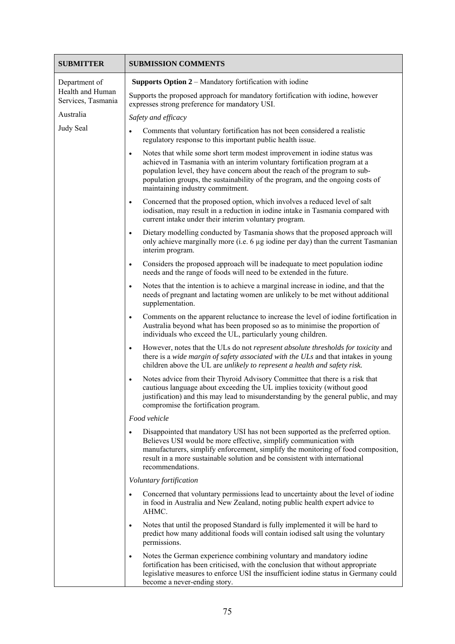| <b>SUBMITTER</b>                                        | <b>SUBMISSION COMMENTS</b>                                                                                                                                                                                                                                                                                                                                             |
|---------------------------------------------------------|------------------------------------------------------------------------------------------------------------------------------------------------------------------------------------------------------------------------------------------------------------------------------------------------------------------------------------------------------------------------|
| Department of<br>Health and Human<br>Services, Tasmania | <b>Supports Option 2 – Mandatory fortification with iodine</b>                                                                                                                                                                                                                                                                                                         |
|                                                         | Supports the proposed approach for mandatory fortification with iodine, however<br>expresses strong preference for mandatory USI.                                                                                                                                                                                                                                      |
| Australia                                               | Safety and efficacy                                                                                                                                                                                                                                                                                                                                                    |
| Judy Seal                                               | Comments that voluntary fortification has not been considered a realistic<br>$\bullet$<br>regulatory response to this important public health issue.                                                                                                                                                                                                                   |
|                                                         | Notes that while some short term modest improvement in iodine status was<br>$\bullet$<br>achieved in Tasmania with an interim voluntary fortification program at a<br>population level, they have concern about the reach of the program to sub-<br>population groups, the sustainability of the program, and the ongoing costs of<br>maintaining industry commitment. |
|                                                         | Concerned that the proposed option, which involves a reduced level of salt<br>٠<br>iodisation, may result in a reduction in iodine intake in Tasmania compared with<br>current intake under their interim voluntary program.                                                                                                                                           |
|                                                         | Dietary modelling conducted by Tasmania shows that the proposed approach will<br>$\bullet$<br>only achieve marginally more (i.e. 6 µg iodine per day) than the current Tasmanian<br>interim program.                                                                                                                                                                   |
|                                                         | Considers the proposed approach will be inadequate to meet population iodine<br>$\bullet$<br>needs and the range of foods will need to be extended in the future.                                                                                                                                                                                                      |
|                                                         | Notes that the intention is to achieve a marginal increase in iodine, and that the<br>$\bullet$<br>needs of pregnant and lactating women are unlikely to be met without additional<br>supplementation.                                                                                                                                                                 |
|                                                         | Comments on the apparent reluctance to increase the level of iodine fortification in<br>$\bullet$<br>Australia beyond what has been proposed so as to minimise the proportion of<br>individuals who exceed the UL, particularly young children.                                                                                                                        |
|                                                         | However, notes that the ULs do not represent absolute thresholds for toxicity and<br>$\bullet$<br>there is a wide margin of safety associated with the ULs and that intakes in young<br>children above the UL are unlikely to represent a health and safety risk.                                                                                                      |
|                                                         | Notes advice from their Thyroid Advisory Committee that there is a risk that<br>$\bullet$<br>cautious language about exceeding the UL implies toxicity (without good<br>justification) and this may lead to misunderstanding by the general public, and may<br>compromise the fortification program.                                                                   |
|                                                         | Food vehicle                                                                                                                                                                                                                                                                                                                                                           |
|                                                         | Disappointed that mandatory USI has not been supported as the preferred option.<br>$\bullet$<br>Believes USI would be more effective, simplify communication with<br>manufacturers, simplify enforcement, simplify the monitoring of food composition,<br>result in a more sustainable solution and be consistent with international<br>recommendations.               |
|                                                         | Voluntary fortification                                                                                                                                                                                                                                                                                                                                                |
|                                                         | Concerned that voluntary permissions lead to uncertainty about the level of iodine<br>$\bullet$<br>in food in Australia and New Zealand, noting public health expert advice to<br>AHMC.                                                                                                                                                                                |
|                                                         | Notes that until the proposed Standard is fully implemented it will be hard to<br>$\bullet$<br>predict how many additional foods will contain iodised salt using the voluntary<br>permissions.                                                                                                                                                                         |
|                                                         | Notes the German experience combining voluntary and mandatory iodine<br>$\bullet$<br>fortification has been criticised, with the conclusion that without appropriate<br>legislative measures to enforce USI the insufficient iodine status in Germany could<br>become a never-ending story.                                                                            |